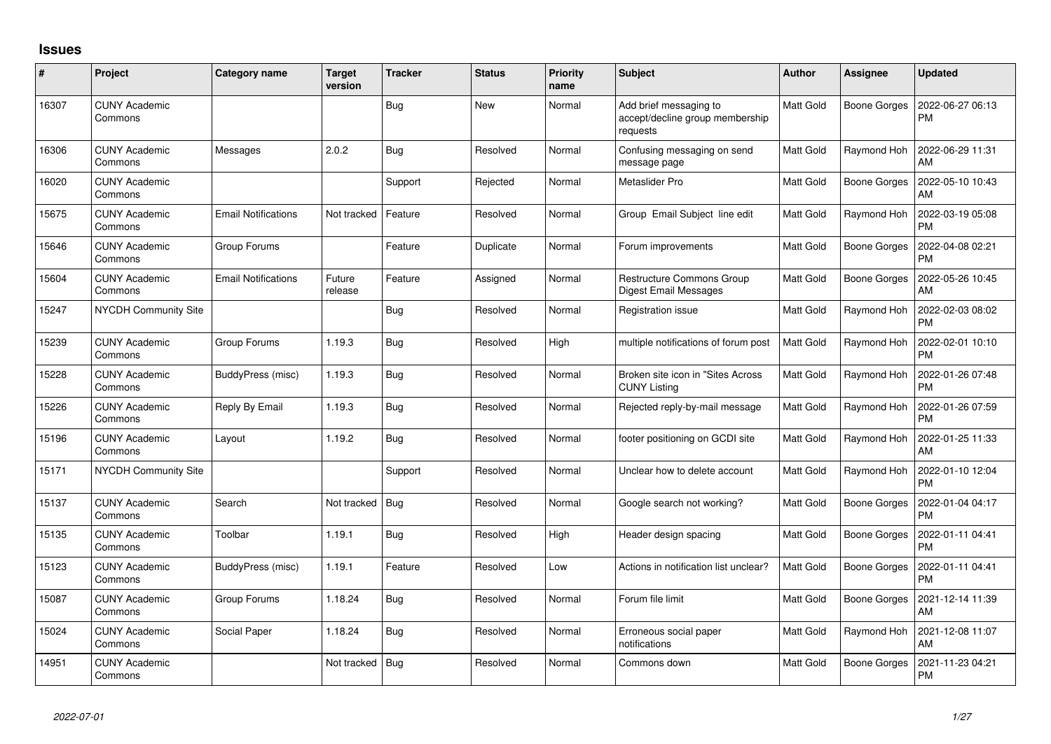## **Issues**

| #     | Project                         | Category name              | <b>Target</b><br>version | <b>Tracker</b> | <b>Status</b> | <b>Priority</b><br>name | <b>Subject</b>                                                        | <b>Author</b>    | <b>Assignee</b>     | <b>Updated</b>                |
|-------|---------------------------------|----------------------------|--------------------------|----------------|---------------|-------------------------|-----------------------------------------------------------------------|------------------|---------------------|-------------------------------|
| 16307 | <b>CUNY Academic</b><br>Commons |                            |                          | Bug            | <b>New</b>    | Normal                  | Add brief messaging to<br>accept/decline group membership<br>requests | <b>Matt Gold</b> | Boone Gorges        | 2022-06-27 06:13<br><b>PM</b> |
| 16306 | <b>CUNY Academic</b><br>Commons | Messages                   | 2.0.2                    | Bug            | Resolved      | Normal                  | Confusing messaging on send<br>message page                           | <b>Matt Gold</b> | Raymond Hoh         | 2022-06-29 11:31<br>AM        |
| 16020 | <b>CUNY Academic</b><br>Commons |                            |                          | Support        | Rejected      | Normal                  | Metaslider Pro                                                        | <b>Matt Gold</b> | <b>Boone Gorges</b> | 2022-05-10 10:43<br>AM        |
| 15675 | <b>CUNY Academic</b><br>Commons | <b>Email Notifications</b> | Not tracked              | Feature        | Resolved      | Normal                  | Group Email Subject line edit                                         | <b>Matt Gold</b> | Raymond Hoh         | 2022-03-19 05:08<br><b>PM</b> |
| 15646 | <b>CUNY Academic</b><br>Commons | Group Forums               |                          | Feature        | Duplicate     | Normal                  | Forum improvements                                                    | Matt Gold        | Boone Gorges        | 2022-04-08 02:21<br><b>PM</b> |
| 15604 | <b>CUNY Academic</b><br>Commons | <b>Email Notifications</b> | Future<br>release        | Feature        | Assigned      | Normal                  | <b>Restructure Commons Group</b><br><b>Digest Email Messages</b>      | Matt Gold        | Boone Gorges        | 2022-05-26 10:45<br>AM        |
| 15247 | NYCDH Community Site            |                            |                          | <b>Bug</b>     | Resolved      | Normal                  | Registration issue                                                    | <b>Matt Gold</b> | Raymond Hoh         | 2022-02-03 08:02<br><b>PM</b> |
| 15239 | <b>CUNY Academic</b><br>Commons | Group Forums               | 1.19.3                   | Bug            | Resolved      | High                    | multiple notifications of forum post                                  | <b>Matt Gold</b> | Raymond Hoh         | 2022-02-01 10:10<br><b>PM</b> |
| 15228 | <b>CUNY Academic</b><br>Commons | BuddyPress (misc)          | 1.19.3                   | Bug            | Resolved      | Normal                  | Broken site icon in "Sites Across<br><b>CUNY Listing</b>              | <b>Matt Gold</b> | Raymond Hoh         | 2022-01-26 07:48<br><b>PM</b> |
| 15226 | <b>CUNY Academic</b><br>Commons | Reply By Email             | 1.19.3                   | Bug            | Resolved      | Normal                  | Rejected reply-by-mail message                                        | Matt Gold        | Raymond Hoh         | 2022-01-26 07:59<br><b>PM</b> |
| 15196 | <b>CUNY Academic</b><br>Commons | Layout                     | 1.19.2                   | Bug            | Resolved      | Normal                  | footer positioning on GCDI site                                       | Matt Gold        | Raymond Hoh         | 2022-01-25 11:33<br>AM        |
| 15171 | NYCDH Community Site            |                            |                          | Support        | Resolved      | Normal                  | Unclear how to delete account                                         | <b>Matt Gold</b> | Raymond Hoh         | 2022-01-10 12:04<br><b>PM</b> |
| 15137 | <b>CUNY Academic</b><br>Commons | Search                     | Not tracked              | Bug            | Resolved      | Normal                  | Google search not working?                                            | Matt Gold        | <b>Boone Gorges</b> | 2022-01-04 04:17<br><b>PM</b> |
| 15135 | <b>CUNY Academic</b><br>Commons | Toolbar                    | 1.19.1                   | <b>Bug</b>     | Resolved      | High                    | Header design spacing                                                 | Matt Gold        | <b>Boone Gorges</b> | 2022-01-11 04:41<br><b>PM</b> |
| 15123 | <b>CUNY Academic</b><br>Commons | BuddyPress (misc)          | 1.19.1                   | Feature        | Resolved      | Low                     | Actions in notification list unclear?                                 | <b>Matt Gold</b> | <b>Boone Gorges</b> | 2022-01-11 04:41<br><b>PM</b> |
| 15087 | <b>CUNY Academic</b><br>Commons | Group Forums               | 1.18.24                  | <b>Bug</b>     | Resolved      | Normal                  | Forum file limit                                                      | Matt Gold        | <b>Boone Gorges</b> | 2021-12-14 11:39<br>AM        |
| 15024 | <b>CUNY Academic</b><br>Commons | Social Paper               | 1.18.24                  | <b>Bug</b>     | Resolved      | Normal                  | Erroneous social paper<br>notifications                               | Matt Gold        | Raymond Hoh         | 2021-12-08 11:07<br>AM        |
| 14951 | <b>CUNY Academic</b><br>Commons |                            | Not tracked              | Bug            | Resolved      | Normal                  | Commons down                                                          | <b>Matt Gold</b> | <b>Boone Gorges</b> | 2021-11-23 04:21<br>PM        |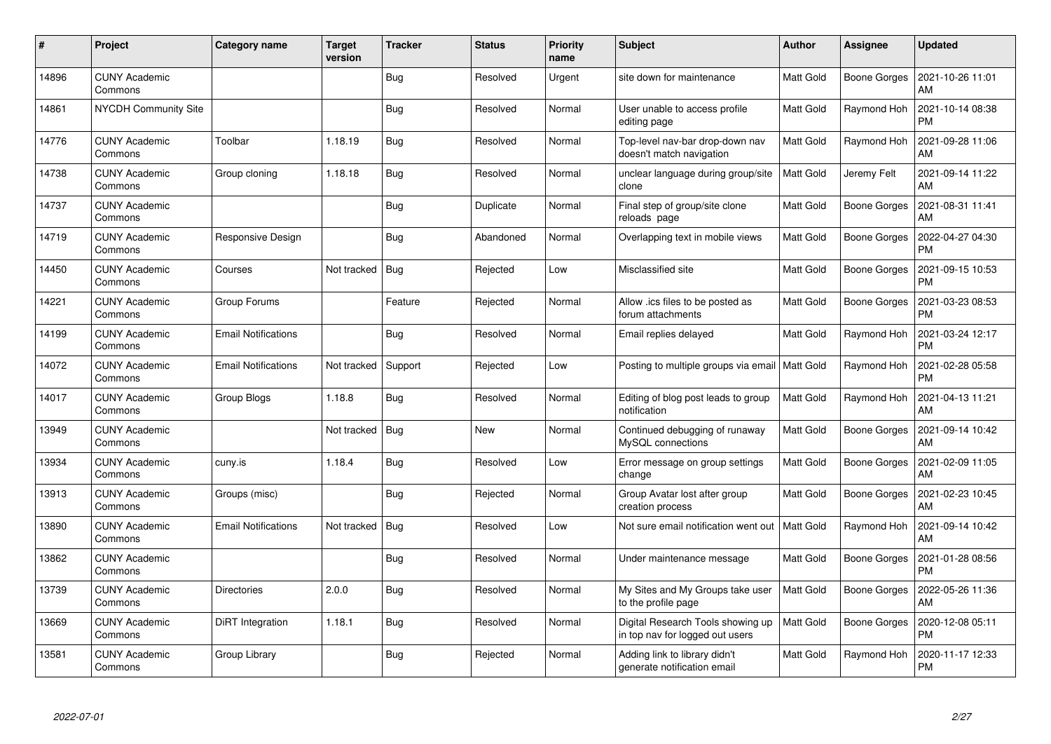| $\pmb{\#}$ | Project                         | Category name              | <b>Target</b><br>version | <b>Tracker</b> | <b>Status</b> | <b>Priority</b><br>name | <b>Subject</b>                                                       | <b>Author</b>    | Assignee            | <b>Updated</b>                |
|------------|---------------------------------|----------------------------|--------------------------|----------------|---------------|-------------------------|----------------------------------------------------------------------|------------------|---------------------|-------------------------------|
| 14896      | <b>CUNY Academic</b><br>Commons |                            |                          | <b>Bug</b>     | Resolved      | Urgent                  | site down for maintenance                                            | <b>Matt Gold</b> | <b>Boone Gorges</b> | 2021-10-26 11:01<br>AM        |
| 14861      | <b>NYCDH Community Site</b>     |                            |                          | Bug            | Resolved      | Normal                  | User unable to access profile<br>editing page                        | <b>Matt Gold</b> | Raymond Hoh         | 2021-10-14 08:38<br><b>PM</b> |
| 14776      | <b>CUNY Academic</b><br>Commons | Toolbar                    | 1.18.19                  | <b>Bug</b>     | Resolved      | Normal                  | Top-level nav-bar drop-down nav<br>doesn't match navigation          | <b>Matt Gold</b> | Raymond Hoh         | 2021-09-28 11:06<br>AM        |
| 14738      | <b>CUNY Academic</b><br>Commons | Group cloning              | 1.18.18                  | <b>Bug</b>     | Resolved      | Normal                  | unclear language during group/site<br>clone                          | Matt Gold        | Jeremy Felt         | 2021-09-14 11:22<br>AM        |
| 14737      | <b>CUNY Academic</b><br>Commons |                            |                          | Bug            | Duplicate     | Normal                  | Final step of group/site clone<br>reloads page                       | <b>Matt Gold</b> | <b>Boone Gorges</b> | 2021-08-31 11:41<br>AM        |
| 14719      | <b>CUNY Academic</b><br>Commons | Responsive Design          |                          | <b>Bug</b>     | Abandoned     | Normal                  | Overlapping text in mobile views                                     | Matt Gold        | <b>Boone Gorges</b> | 2022-04-27 04:30<br><b>PM</b> |
| 14450      | <b>CUNY Academic</b><br>Commons | Courses                    | Not tracked              | <b>Bug</b>     | Rejected      | Low                     | Misclassified site                                                   | Matt Gold        | <b>Boone Gorges</b> | 2021-09-15 10:53<br><b>PM</b> |
| 14221      | <b>CUNY Academic</b><br>Commons | Group Forums               |                          | Feature        | Rejected      | Normal                  | Allow .ics files to be posted as<br>forum attachments                | Matt Gold        | Boone Gorges        | 2021-03-23 08:53<br><b>PM</b> |
| 14199      | <b>CUNY Academic</b><br>Commons | <b>Email Notifications</b> |                          | Bug            | Resolved      | Normal                  | Email replies delayed                                                | <b>Matt Gold</b> | Raymond Hoh         | 2021-03-24 12:17<br><b>PM</b> |
| 14072      | <b>CUNY Academic</b><br>Commons | <b>Email Notifications</b> | Not tracked              | Support        | Rejected      | Low                     | Posting to multiple groups via email   Matt Gold                     |                  | Raymond Hoh         | 2021-02-28 05:58<br><b>PM</b> |
| 14017      | <b>CUNY Academic</b><br>Commons | Group Blogs                | 1.18.8                   | <b>Bug</b>     | Resolved      | Normal                  | Editing of blog post leads to group<br>notification                  | Matt Gold        | Raymond Hoh         | 2021-04-13 11:21<br>AM        |
| 13949      | <b>CUNY Academic</b><br>Commons |                            | Not tracked              | <b>Bug</b>     | New           | Normal                  | Continued debugging of runaway<br>MySQL connections                  | <b>Matt Gold</b> | Boone Gorges        | 2021-09-14 10:42<br>AM        |
| 13934      | <b>CUNY Academic</b><br>Commons | cuny.is                    | 1.18.4                   | Bug            | Resolved      | Low                     | Error message on group settings<br>change                            | Matt Gold        | <b>Boone Gorges</b> | 2021-02-09 11:05<br>AM        |
| 13913      | <b>CUNY Academic</b><br>Commons | Groups (misc)              |                          | <b>Bug</b>     | Rejected      | Normal                  | Group Avatar lost after group<br>creation process                    | Matt Gold        | <b>Boone Gorges</b> | 2021-02-23 10:45<br>AM        |
| 13890      | <b>CUNY Academic</b><br>Commons | <b>Email Notifications</b> | Not tracked              | <b>Bug</b>     | Resolved      | Low                     | Not sure email notification went out                                 | <b>Matt Gold</b> | Raymond Hoh         | 2021-09-14 10:42<br>AM        |
| 13862      | <b>CUNY Academic</b><br>Commons |                            |                          | Bug            | Resolved      | Normal                  | Under maintenance message                                            | <b>Matt Gold</b> | <b>Boone Gorges</b> | 2021-01-28 08:56<br><b>PM</b> |
| 13739      | <b>CUNY Academic</b><br>Commons | <b>Directories</b>         | 2.0.0                    | <b>Bug</b>     | Resolved      | Normal                  | My Sites and My Groups take user<br>to the profile page              | Matt Gold        | Boone Gorges        | 2022-05-26 11:36<br>AM        |
| 13669      | <b>CUNY Academic</b><br>Commons | DiRT Integration           | 1.18.1                   | <b>Bug</b>     | Resolved      | Normal                  | Digital Research Tools showing up<br>in top nav for logged out users | Matt Gold        | <b>Boone Gorges</b> | 2020-12-08 05:11<br><b>PM</b> |
| 13581      | CUNY Academic<br>Commons        | Group Library              |                          | <b>Bug</b>     | Rejected      | Normal                  | Adding link to library didn't<br>generate notification email         | Matt Gold        | Raymond Hoh         | 2020-11-17 12:33<br>PM        |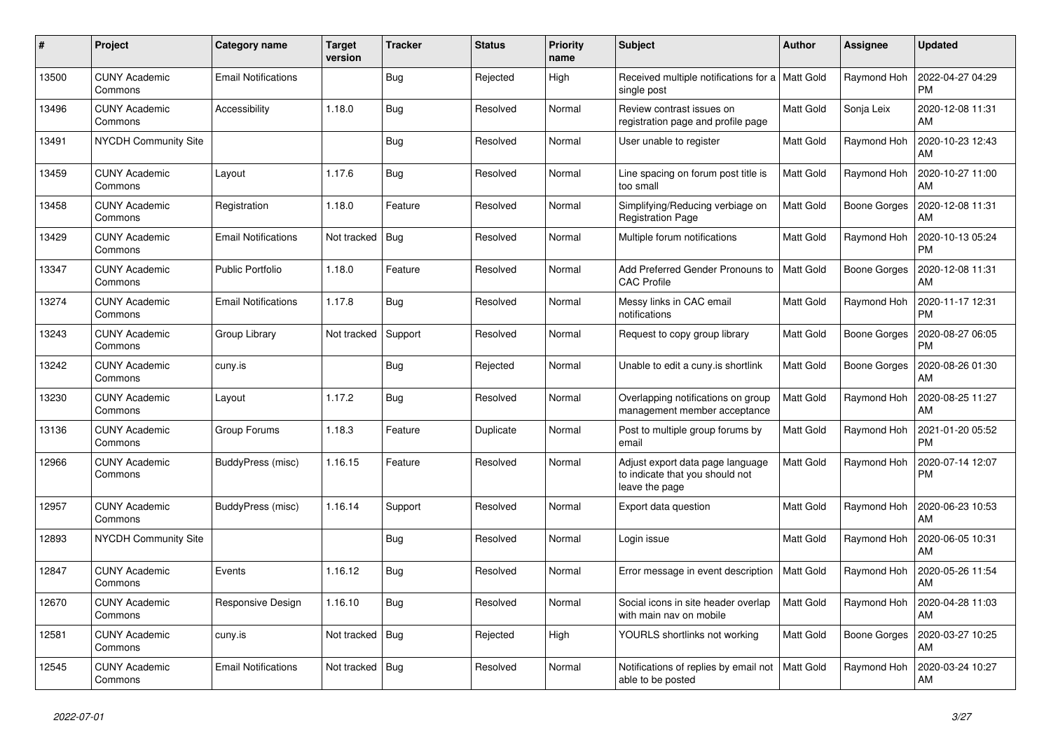| $\pmb{\#}$ | Project                         | Category name              | <b>Target</b><br>version | <b>Tracker</b> | Status    | <b>Priority</b><br>name | <b>Subject</b>                                                                        | Author           | Assignee            | <b>Updated</b>                |
|------------|---------------------------------|----------------------------|--------------------------|----------------|-----------|-------------------------|---------------------------------------------------------------------------------------|------------------|---------------------|-------------------------------|
| 13500      | <b>CUNY Academic</b><br>Commons | <b>Email Notifications</b> |                          | <b>Bug</b>     | Rejected  | High                    | Received multiple notifications for a   Matt Gold<br>single post                      |                  | Raymond Hoh         | 2022-04-27 04:29<br><b>PM</b> |
| 13496      | <b>CUNY Academic</b><br>Commons | <b>Accessibility</b>       | 1.18.0                   | <b>Bug</b>     | Resolved  | Normal                  | Review contrast issues on<br>registration page and profile page                       | Matt Gold        | Sonja Leix          | 2020-12-08 11:31<br>AM        |
| 13491      | NYCDH Community Site            |                            |                          | <b>Bug</b>     | Resolved  | Normal                  | User unable to register                                                               | Matt Gold        | Raymond Hoh         | 2020-10-23 12:43<br>AM        |
| 13459      | <b>CUNY Academic</b><br>Commons | Layout                     | 1.17.6                   | <b>Bug</b>     | Resolved  | Normal                  | Line spacing on forum post title is<br>too small                                      | Matt Gold        | Raymond Hoh         | 2020-10-27 11:00<br>AM        |
| 13458      | <b>CUNY Academic</b><br>Commons | Registration               | 1.18.0                   | Feature        | Resolved  | Normal                  | Simplifying/Reducing verbiage on<br><b>Registration Page</b>                          | <b>Matt Gold</b> | <b>Boone Gorges</b> | 2020-12-08 11:31<br>AM        |
| 13429      | <b>CUNY Academic</b><br>Commons | <b>Email Notifications</b> | Not tracked              | Bug            | Resolved  | Normal                  | Multiple forum notifications                                                          | Matt Gold        | Raymond Hoh         | 2020-10-13 05:24<br><b>PM</b> |
| 13347      | <b>CUNY Academic</b><br>Commons | <b>Public Portfolio</b>    | 1.18.0                   | Feature        | Resolved  | Normal                  | Add Preferred Gender Pronouns to<br><b>CAC Profile</b>                                | <b>Matt Gold</b> | <b>Boone Gorges</b> | 2020-12-08 11:31<br>AM        |
| 13274      | <b>CUNY Academic</b><br>Commons | <b>Email Notifications</b> | 1.17.8                   | <b>Bug</b>     | Resolved  | Normal                  | Messy links in CAC email<br>notifications                                             | Matt Gold        | Raymond Hoh         | 2020-11-17 12:31<br><b>PM</b> |
| 13243      | <b>CUNY Academic</b><br>Commons | Group Library              | Not tracked              | Support        | Resolved  | Normal                  | Request to copy group library                                                         | Matt Gold        | <b>Boone Gorges</b> | 2020-08-27 06:05<br><b>PM</b> |
| 13242      | <b>CUNY Academic</b><br>Commons | cuny.is                    |                          | <b>Bug</b>     | Rejected  | Normal                  | Unable to edit a cuny.is shortlink                                                    | <b>Matt Gold</b> | Boone Gorges        | 2020-08-26 01:30<br>AM        |
| 13230      | <b>CUNY Academic</b><br>Commons | Layout                     | 1.17.2                   | <b>Bug</b>     | Resolved  | Normal                  | Overlapping notifications on group<br>management member acceptance                    | Matt Gold        | Raymond Hoh         | 2020-08-25 11:27<br>AM        |
| 13136      | <b>CUNY Academic</b><br>Commons | Group Forums               | 1.18.3                   | Feature        | Duplicate | Normal                  | Post to multiple group forums by<br>email                                             | Matt Gold        | Raymond Hoh         | 2021-01-20 05:52<br><b>PM</b> |
| 12966      | <b>CUNY Academic</b><br>Commons | BuddyPress (misc)          | 1.16.15                  | Feature        | Resolved  | Normal                  | Adjust export data page language<br>to indicate that you should not<br>leave the page | <b>Matt Gold</b> | Raymond Hoh         | 2020-07-14 12:07<br><b>PM</b> |
| 12957      | <b>CUNY Academic</b><br>Commons | BuddyPress (misc)          | 1.16.14                  | Support        | Resolved  | Normal                  | Export data question                                                                  | Matt Gold        | Raymond Hoh         | 2020-06-23 10:53<br>AM        |
| 12893      | <b>NYCDH Community Site</b>     |                            |                          | Bug            | Resolved  | Normal                  | Login issue                                                                           | <b>Matt Gold</b> | Raymond Hoh         | 2020-06-05 10:31<br>AM        |
| 12847      | <b>CUNY Academic</b><br>Commons | Events                     | 1.16.12                  | Bug            | Resolved  | Normal                  | Error message in event description                                                    | Matt Gold        | Raymond Hoh         | 2020-05-26 11:54<br>AM        |
| 12670      | <b>CUNY Academic</b><br>Commons | Responsive Design          | 1.16.10                  | <b>Bug</b>     | Resolved  | Normal                  | Social icons in site header overlap<br>with main nav on mobile                        | <b>Matt Gold</b> | Raymond Hoh         | 2020-04-28 11:03<br>AM        |
| 12581      | <b>CUNY Academic</b><br>Commons | cuny.is                    | Not tracked              | Bug            | Rejected  | High                    | YOURLS shortlinks not working                                                         | Matt Gold        | Boone Gorges        | 2020-03-27 10:25<br>AM        |
| 12545      | <b>CUNY Academic</b><br>Commons | <b>Email Notifications</b> | Not tracked              | Bug            | Resolved  | Normal                  | Notifications of replies by email not<br>able to be posted                            | Matt Gold        | Raymond Hoh         | 2020-03-24 10:27<br>AM        |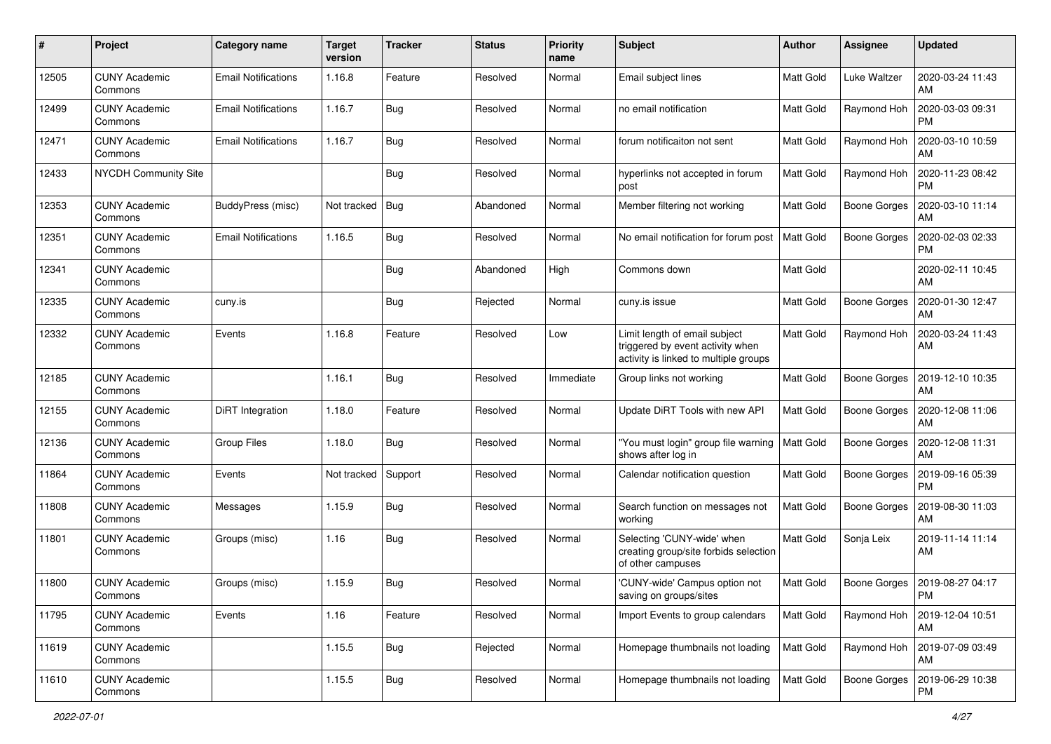| #     | Project                         | Category name              | <b>Target</b><br>version | <b>Tracker</b> | <b>Status</b> | <b>Priority</b><br>name | <b>Subject</b>                                                                                             | Author           | Assignee            | <b>Updated</b>                |
|-------|---------------------------------|----------------------------|--------------------------|----------------|---------------|-------------------------|------------------------------------------------------------------------------------------------------------|------------------|---------------------|-------------------------------|
| 12505 | <b>CUNY Academic</b><br>Commons | <b>Email Notifications</b> | 1.16.8                   | Feature        | Resolved      | Normal                  | Email subject lines                                                                                        | Matt Gold        | Luke Waltzer        | 2020-03-24 11:43<br>AM        |
| 12499 | <b>CUNY Academic</b><br>Commons | <b>Email Notifications</b> | 1.16.7                   | <b>Bug</b>     | Resolved      | Normal                  | no email notification                                                                                      | <b>Matt Gold</b> | Raymond Hoh         | 2020-03-03 09:31<br><b>PM</b> |
| 12471 | <b>CUNY Academic</b><br>Commons | <b>Email Notifications</b> | 1.16.7                   | Bug            | Resolved      | Normal                  | forum notificaiton not sent                                                                                | <b>Matt Gold</b> | Raymond Hoh         | 2020-03-10 10:59<br>AM        |
| 12433 | <b>NYCDH Community Site</b>     |                            |                          | Bug            | Resolved      | Normal                  | hyperlinks not accepted in forum<br>post                                                                   | <b>Matt Gold</b> | Raymond Hoh         | 2020-11-23 08:42<br><b>PM</b> |
| 12353 | <b>CUNY Academic</b><br>Commons | BuddyPress (misc)          | Not tracked              | Bug            | Abandoned     | Normal                  | Member filtering not working                                                                               | Matt Gold        | <b>Boone Gorges</b> | 2020-03-10 11:14<br>AM        |
| 12351 | <b>CUNY Academic</b><br>Commons | <b>Email Notifications</b> | 1.16.5                   | Bug            | Resolved      | Normal                  | No email notification for forum post                                                                       | <b>Matt Gold</b> | <b>Boone Gorges</b> | 2020-02-03 02:33<br><b>PM</b> |
| 12341 | <b>CUNY Academic</b><br>Commons |                            |                          | Bug            | Abandoned     | High                    | Commons down                                                                                               | <b>Matt Gold</b> |                     | 2020-02-11 10:45<br>AM        |
| 12335 | <b>CUNY Academic</b><br>Commons | cuny.is                    |                          | Bug            | Rejected      | Normal                  | cuny.is issue                                                                                              | Matt Gold        | <b>Boone Gorges</b> | 2020-01-30 12:47<br>AM        |
| 12332 | <b>CUNY Academic</b><br>Commons | Events                     | 1.16.8                   | Feature        | Resolved      | Low                     | Limit length of email subject<br>triggered by event activity when<br>activity is linked to multiple groups | <b>Matt Gold</b> | Raymond Hoh         | 2020-03-24 11:43<br>AM        |
| 12185 | <b>CUNY Academic</b><br>Commons |                            | 1.16.1                   | Bug            | Resolved      | Immediate               | Group links not working                                                                                    | <b>Matt Gold</b> | <b>Boone Gorges</b> | 2019-12-10 10:35<br>AM        |
| 12155 | <b>CUNY Academic</b><br>Commons | DiRT Integration           | 1.18.0                   | Feature        | Resolved      | Normal                  | Update DiRT Tools with new API                                                                             | Matt Gold        | <b>Boone Gorges</b> | 2020-12-08 11:06<br>AM        |
| 12136 | <b>CUNY Academic</b><br>Commons | <b>Group Files</b>         | 1.18.0                   | Bug            | Resolved      | Normal                  | "You must login" group file warning<br>shows after log in                                                  | <b>Matt Gold</b> | <b>Boone Gorges</b> | 2020-12-08 11:31<br>AM        |
| 11864 | <b>CUNY Academic</b><br>Commons | Events                     | Not tracked              | Support        | Resolved      | Normal                  | Calendar notification question                                                                             | <b>Matt Gold</b> | <b>Boone Gorges</b> | 2019-09-16 05:39<br><b>PM</b> |
| 11808 | <b>CUNY Academic</b><br>Commons | Messages                   | 1.15.9                   | <b>Bug</b>     | Resolved      | Normal                  | Search function on messages not<br>working                                                                 | Matt Gold        | <b>Boone Gorges</b> | 2019-08-30 11:03<br>AM        |
| 11801 | <b>CUNY Academic</b><br>Commons | Groups (misc)              | 1.16                     | Bug            | Resolved      | Normal                  | Selecting 'CUNY-wide' when<br>creating group/site forbids selection<br>of other campuses                   | Matt Gold        | Sonja Leix          | 2019-11-14 11:14<br>AM        |
| 11800 | <b>CUNY Academic</b><br>Commons | Groups (misc)              | 1.15.9                   | <b>Bug</b>     | Resolved      | Normal                  | 'CUNY-wide' Campus option not<br>saving on groups/sites                                                    | Matt Gold        | Boone Gorges        | 2019-08-27 04:17<br>PM        |
| 11795 | <b>CUNY Academic</b><br>Commons | Events                     | 1.16                     | Feature        | Resolved      | Normal                  | Import Events to group calendars                                                                           | <b>Matt Gold</b> | Raymond Hoh         | 2019-12-04 10:51<br>AM        |
| 11619 | <b>CUNY Academic</b><br>Commons |                            | 1.15.5                   | Bug            | Rejected      | Normal                  | Homepage thumbnails not loading                                                                            | Matt Gold        | Raymond Hoh         | 2019-07-09 03:49<br>AM        |
| 11610 | <b>CUNY Academic</b><br>Commons |                            | 1.15.5                   | Bug            | Resolved      | Normal                  | Homepage thumbnails not loading                                                                            | Matt Gold        | <b>Boone Gorges</b> | 2019-06-29 10:38<br><b>PM</b> |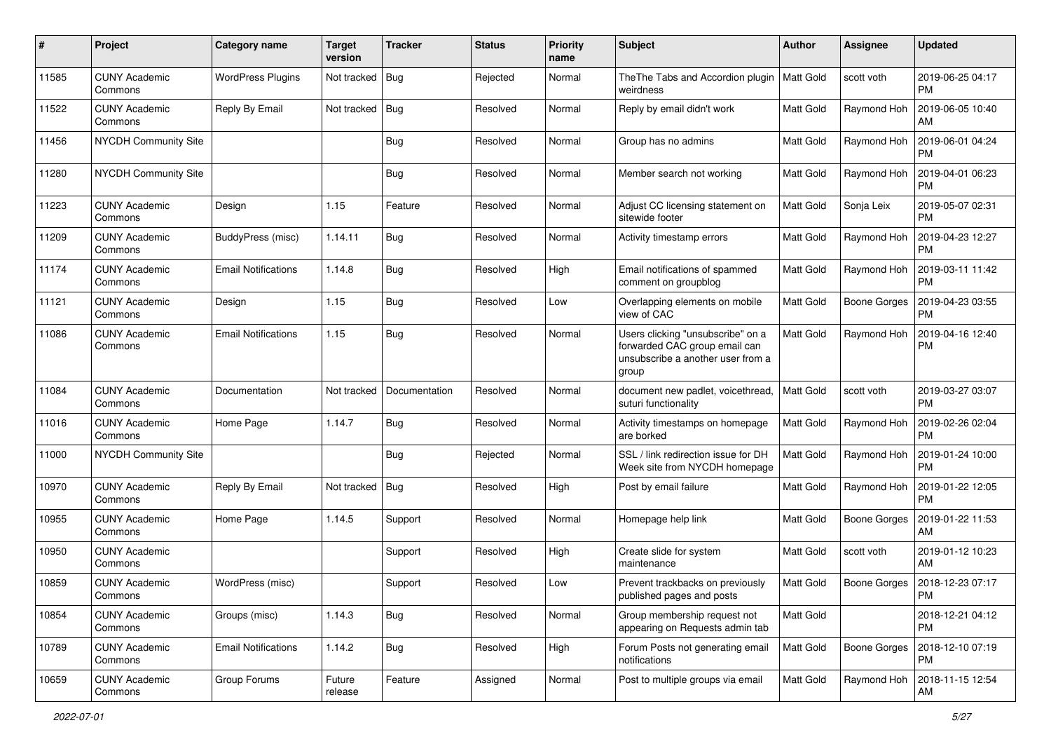| #     | Project                         | <b>Category name</b>       | <b>Target</b><br>version | <b>Tracker</b> | <b>Status</b> | <b>Priority</b><br>name | Subject                                                                                                          | Author           | <b>Assignee</b>     | <b>Updated</b>                |
|-------|---------------------------------|----------------------------|--------------------------|----------------|---------------|-------------------------|------------------------------------------------------------------------------------------------------------------|------------------|---------------------|-------------------------------|
| 11585 | <b>CUNY Academic</b><br>Commons | <b>WordPress Plugins</b>   | Not tracked              | <b>Bug</b>     | Rejected      | Normal                  | The The Tabs and Accordion plugin<br>weirdness                                                                   | Matt Gold        | scott voth          | 2019-06-25 04:17<br><b>PM</b> |
| 11522 | <b>CUNY Academic</b><br>Commons | Reply By Email             | Not tracked              | Bug            | Resolved      | Normal                  | Reply by email didn't work                                                                                       | Matt Gold        | Raymond Hoh         | 2019-06-05 10:40<br>AM        |
| 11456 | <b>NYCDH Community Site</b>     |                            |                          | <b>Bug</b>     | Resolved      | Normal                  | Group has no admins                                                                                              | <b>Matt Gold</b> | Raymond Hoh         | 2019-06-01 04:24<br><b>PM</b> |
| 11280 | <b>NYCDH Community Site</b>     |                            |                          | Bug            | Resolved      | Normal                  | Member search not working                                                                                        | <b>Matt Gold</b> | Raymond Hoh         | 2019-04-01 06:23<br><b>PM</b> |
| 11223 | <b>CUNY Academic</b><br>Commons | Design                     | 1.15                     | Feature        | Resolved      | Normal                  | Adjust CC licensing statement on<br>sitewide footer                                                              | <b>Matt Gold</b> | Sonja Leix          | 2019-05-07 02:31<br><b>PM</b> |
| 11209 | <b>CUNY Academic</b><br>Commons | BuddyPress (misc)          | 1.14.11                  | Bug            | Resolved      | Normal                  | Activity timestamp errors                                                                                        | <b>Matt Gold</b> | Raymond Hoh         | 2019-04-23 12:27<br><b>PM</b> |
| 11174 | <b>CUNY Academic</b><br>Commons | Email Notifications        | 1.14.8                   | <b>Bug</b>     | Resolved      | High                    | Email notifications of spammed<br>comment on groupblog                                                           | Matt Gold        | Raymond Hoh         | 2019-03-11 11:42<br><b>PM</b> |
| 11121 | <b>CUNY Academic</b><br>Commons | Design                     | 1.15                     | <b>Bug</b>     | Resolved      | Low                     | Overlapping elements on mobile<br>view of CAC                                                                    | <b>Matt Gold</b> | <b>Boone Gorges</b> | 2019-04-23 03:55<br><b>PM</b> |
| 11086 | <b>CUNY Academic</b><br>Commons | <b>Email Notifications</b> | 1.15                     | Bug            | Resolved      | Normal                  | Users clicking "unsubscribe" on a<br>forwarded CAC group email can<br>unsubscribe a another user from a<br>group | Matt Gold        | Raymond Hoh         | 2019-04-16 12:40<br><b>PM</b> |
| 11084 | <b>CUNY Academic</b><br>Commons | Documentation              | Not tracked              | Documentation  | Resolved      | Normal                  | document new padlet, voicethread,<br>suturi functionality                                                        | <b>Matt Gold</b> | scott voth          | 2019-03-27 03:07<br><b>PM</b> |
| 11016 | <b>CUNY Academic</b><br>Commons | Home Page                  | 1.14.7                   | Bug            | Resolved      | Normal                  | Activity timestamps on homepage<br>are borked                                                                    | <b>Matt Gold</b> | Raymond Hoh         | 2019-02-26 02:04<br><b>PM</b> |
| 11000 | <b>NYCDH Community Site</b>     |                            |                          | Bug            | Rejected      | Normal                  | SSL / link redirection issue for DH<br>Week site from NYCDH homepage                                             | Matt Gold        | Raymond Hoh         | 2019-01-24 10:00<br><b>PM</b> |
| 10970 | <b>CUNY Academic</b><br>Commons | Reply By Email             | Not tracked              | Bug            | Resolved      | High                    | Post by email failure                                                                                            | <b>Matt Gold</b> | Raymond Hoh         | 2019-01-22 12:05<br><b>PM</b> |
| 10955 | <b>CUNY Academic</b><br>Commons | Home Page                  | 1.14.5                   | Support        | Resolved      | Normal                  | Homepage help link                                                                                               | Matt Gold        | <b>Boone Gorges</b> | 2019-01-22 11:53<br>AM        |
| 10950 | <b>CUNY Academic</b><br>Commons |                            |                          | Support        | Resolved      | High                    | Create slide for system<br>maintenance                                                                           | Matt Gold        | scott voth          | 2019-01-12 10:23<br>AM        |
| 10859 | <b>CUNY Academic</b><br>Commons | WordPress (misc)           |                          | Support        | Resolved      | Low                     | Prevent trackbacks on previously<br>published pages and posts                                                    | Matt Gold        | Boone Gorges        | 2018-12-23 07:17<br>PM        |
| 10854 | <b>CUNY Academic</b><br>Commons | Groups (misc)              | 1.14.3                   | Bug            | Resolved      | Normal                  | Group membership request not<br>appearing on Requests admin tab                                                  | Matt Gold        |                     | 2018-12-21 04:12<br><b>PM</b> |
| 10789 | <b>CUNY Academic</b><br>Commons | <b>Email Notifications</b> | 1.14.2                   | Bug            | Resolved      | High                    | Forum Posts not generating email<br>notifications                                                                | Matt Gold        | <b>Boone Gorges</b> | 2018-12-10 07:19<br>PM        |
| 10659 | <b>CUNY Academic</b><br>Commons | Group Forums               | Future<br>release        | Feature        | Assigned      | Normal                  | Post to multiple groups via email                                                                                | Matt Gold        | Raymond Hoh         | 2018-11-15 12:54<br>AM        |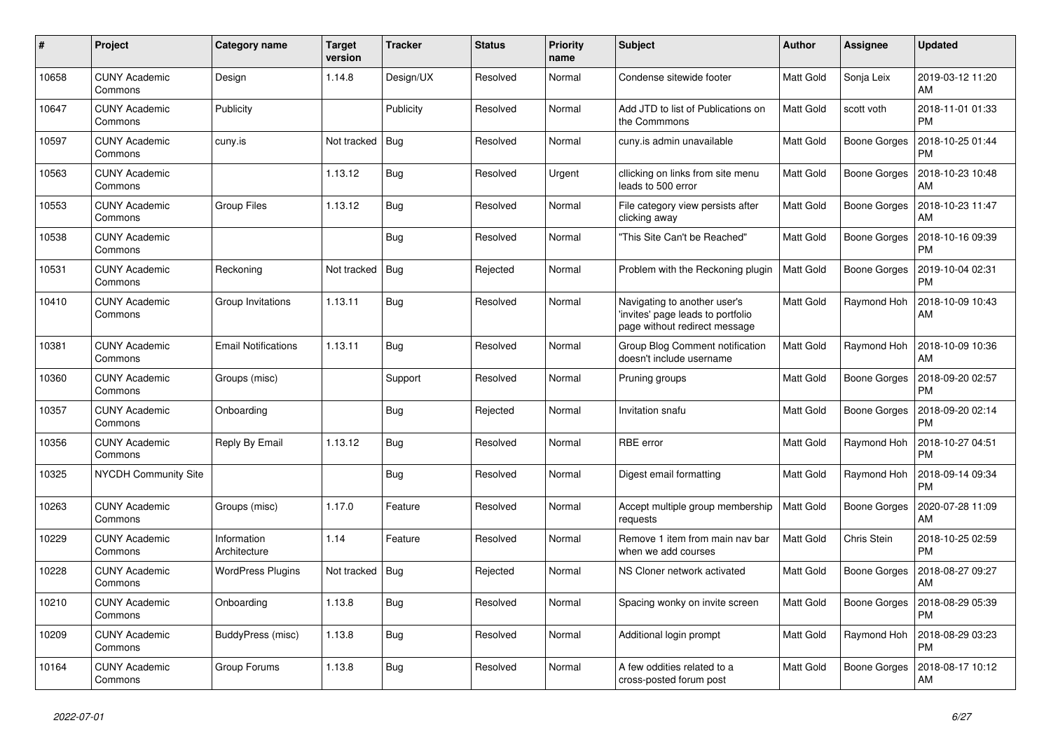| $\pmb{\#}$ | Project                         | Category name               | <b>Target</b><br>version | <b>Tracker</b> | <b>Status</b> | <b>Priority</b><br>name | <b>Subject</b>                                                                                    | Author           | Assignee            | <b>Updated</b>                |
|------------|---------------------------------|-----------------------------|--------------------------|----------------|---------------|-------------------------|---------------------------------------------------------------------------------------------------|------------------|---------------------|-------------------------------|
| 10658      | <b>CUNY Academic</b><br>Commons | Design                      | 1.14.8                   | Design/UX      | Resolved      | Normal                  | Condense sitewide footer                                                                          | Matt Gold        | Sonja Leix          | 2019-03-12 11:20<br>AM        |
| 10647      | <b>CUNY Academic</b><br>Commons | Publicity                   |                          | Publicity      | Resolved      | Normal                  | Add JTD to list of Publications on<br>the Commmons                                                | <b>Matt Gold</b> | scott voth          | 2018-11-01 01:33<br><b>PM</b> |
| 10597      | <b>CUNY Academic</b><br>Commons | cuny.is                     | Not tracked              | Bug            | Resolved      | Normal                  | cuny is admin unavailable                                                                         | <b>Matt Gold</b> | Boone Gorges        | 2018-10-25 01:44<br><b>PM</b> |
| 10563      | <b>CUNY Academic</b><br>Commons |                             | 1.13.12                  | <b>Bug</b>     | Resolved      | Urgent                  | cllicking on links from site menu<br>leads to 500 error                                           | Matt Gold        | <b>Boone Gorges</b> | 2018-10-23 10:48<br>AM        |
| 10553      | <b>CUNY Academic</b><br>Commons | <b>Group Files</b>          | 1.13.12                  | <b>Bug</b>     | Resolved      | Normal                  | File category view persists after<br>clicking away                                                | Matt Gold        | <b>Boone Gorges</b> | 2018-10-23 11:47<br>AM        |
| 10538      | <b>CUNY Academic</b><br>Commons |                             |                          | Bug            | Resolved      | Normal                  | 'This Site Can't be Reached"                                                                      | <b>Matt Gold</b> | <b>Boone Gorges</b> | 2018-10-16 09:39<br><b>PM</b> |
| 10531      | <b>CUNY Academic</b><br>Commons | Reckoning                   | Not tracked              | Bug            | Rejected      | Normal                  | Problem with the Reckoning plugin                                                                 | Matt Gold        | <b>Boone Gorges</b> | 2019-10-04 02:31<br>PM        |
| 10410      | <b>CUNY Academic</b><br>Commons | Group Invitations           | 1.13.11                  | <b>Bug</b>     | Resolved      | Normal                  | Navigating to another user's<br>invites' page leads to portfolio<br>page without redirect message | Matt Gold        | Raymond Hoh         | 2018-10-09 10:43<br>AM        |
| 10381      | <b>CUNY Academic</b><br>Commons | <b>Email Notifications</b>  | 1.13.11                  | Bug            | Resolved      | Normal                  | Group Blog Comment notification<br>doesn't include username                                       | <b>Matt Gold</b> | Raymond Hoh         | 2018-10-09 10:36<br>AM        |
| 10360      | <b>CUNY Academic</b><br>Commons | Groups (misc)               |                          | Support        | Resolved      | Normal                  | Pruning groups                                                                                    | Matt Gold        | <b>Boone Gorges</b> | 2018-09-20 02:57<br><b>PM</b> |
| 10357      | <b>CUNY Academic</b><br>Commons | Onboarding                  |                          | Bug            | Rejected      | Normal                  | Invitation snafu                                                                                  | Matt Gold        | Boone Gorges        | 2018-09-20 02:14<br><b>PM</b> |
| 10356      | <b>CUNY Academic</b><br>Commons | Reply By Email              | 1.13.12                  | <b>Bug</b>     | Resolved      | Normal                  | RBE error                                                                                         | Matt Gold        | Raymond Hoh         | 2018-10-27 04:51<br><b>PM</b> |
| 10325      | NYCDH Community Site            |                             |                          | <b>Bug</b>     | Resolved      | Normal                  | Digest email formatting                                                                           | <b>Matt Gold</b> | Raymond Hoh         | 2018-09-14 09:34<br><b>PM</b> |
| 10263      | <b>CUNY Academic</b><br>Commons | Groups (misc)               | 1.17.0                   | Feature        | Resolved      | Normal                  | Accept multiple group membership<br>requests                                                      | <b>Matt Gold</b> | Boone Gorges        | 2020-07-28 11:09<br>AM        |
| 10229      | <b>CUNY Academic</b><br>Commons | Information<br>Architecture | 1.14                     | Feature        | Resolved      | Normal                  | Remove 1 item from main nav bar<br>when we add courses                                            | Matt Gold        | Chris Stein         | 2018-10-25 02:59<br><b>PM</b> |
| 10228      | <b>CUNY Academic</b><br>Commons | <b>WordPress Plugins</b>    | Not tracked              | <b>Bug</b>     | Rejected      | Normal                  | NS Cloner network activated                                                                       | Matt Gold        | <b>Boone Gorges</b> | 2018-08-27 09:27<br>AM        |
| 10210      | <b>CUNY Academic</b><br>Commons | Onboarding                  | 1.13.8                   | Bug            | Resolved      | Normal                  | Spacing wonky on invite screen                                                                    | Matt Gold        | Boone Gorges        | 2018-08-29 05:39<br><b>PM</b> |
| 10209      | <b>CUNY Academic</b><br>Commons | BuddyPress (misc)           | 1.13.8                   | <b>Bug</b>     | Resolved      | Normal                  | Additional login prompt                                                                           | <b>Matt Gold</b> | Raymond Hoh         | 2018-08-29 03:23<br><b>PM</b> |
| 10164      | <b>CUNY Academic</b><br>Commons | Group Forums                | 1.13.8                   | <b>Bug</b>     | Resolved      | Normal                  | A few oddities related to a<br>cross-posted forum post                                            | <b>Matt Gold</b> | <b>Boone Gorges</b> | 2018-08-17 10:12<br>AM        |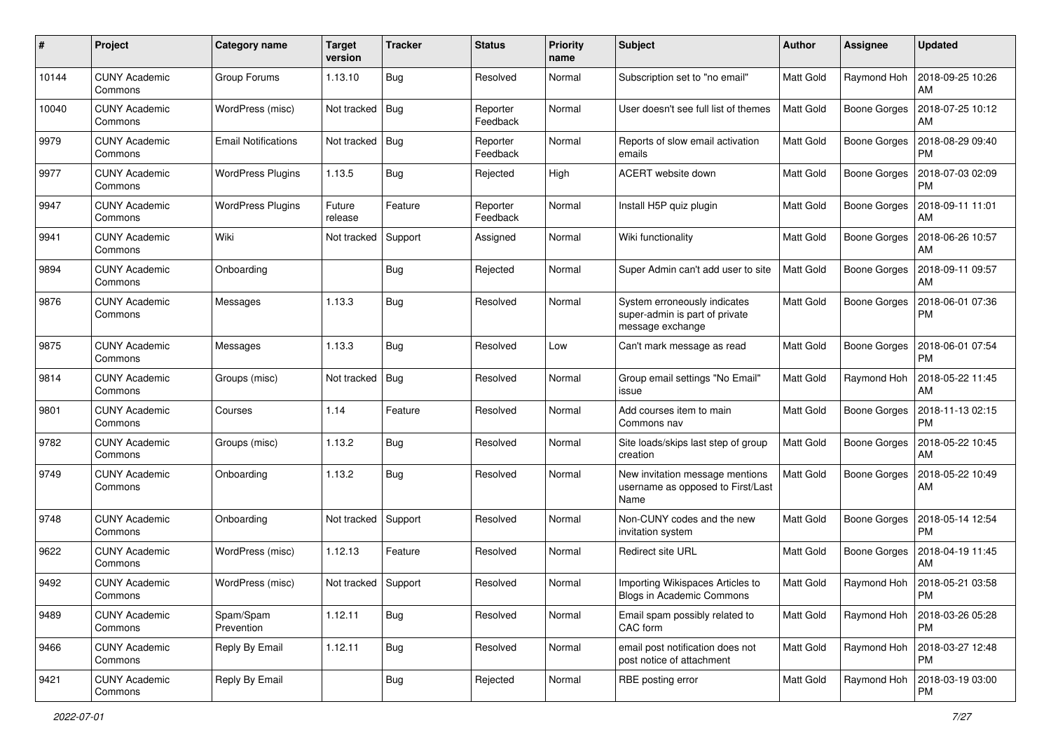| #     | Project                         | Category name              | <b>Target</b><br>version | <b>Tracker</b> | <b>Status</b>        | <b>Priority</b><br>name | <b>Subject</b>                                                                     | Author           | <b>Assignee</b>     | <b>Updated</b>                |
|-------|---------------------------------|----------------------------|--------------------------|----------------|----------------------|-------------------------|------------------------------------------------------------------------------------|------------------|---------------------|-------------------------------|
| 10144 | <b>CUNY Academic</b><br>Commons | Group Forums               | 1.13.10                  | Bug            | Resolved             | Normal                  | Subscription set to "no email"                                                     | <b>Matt Gold</b> | Raymond Hoh         | 2018-09-25 10:26<br>AM        |
| 10040 | <b>CUNY Academic</b><br>Commons | WordPress (misc)           | Not tracked              | Bug            | Reporter<br>Feedback | Normal                  | User doesn't see full list of themes                                               | <b>Matt Gold</b> | <b>Boone Gorges</b> | 2018-07-25 10:12<br>AM        |
| 9979  | CUNY Academic<br>Commons        | <b>Email Notifications</b> | Not tracked              | <b>Bug</b>     | Reporter<br>Feedback | Normal                  | Reports of slow email activation<br>emails                                         | <b>Matt Gold</b> | <b>Boone Gorges</b> | 2018-08-29 09:40<br><b>PM</b> |
| 9977  | <b>CUNY Academic</b><br>Commons | <b>WordPress Plugins</b>   | 1.13.5                   | Bug            | Rejected             | High                    | ACERT website down                                                                 | <b>Matt Gold</b> | <b>Boone Gorges</b> | 2018-07-03 02:09<br><b>PM</b> |
| 9947  | <b>CUNY Academic</b><br>Commons | <b>WordPress Plugins</b>   | Future<br>release        | Feature        | Reporter<br>Feedback | Normal                  | Install H5P quiz plugin                                                            | Matt Gold        | <b>Boone Gorges</b> | 2018-09-11 11:01<br>AM        |
| 9941  | <b>CUNY Academic</b><br>Commons | Wiki                       | Not tracked              | Support        | Assigned             | Normal                  | Wiki functionality                                                                 | Matt Gold        | <b>Boone Gorges</b> | 2018-06-26 10:57<br>AM        |
| 9894  | <b>CUNY Academic</b><br>Commons | Onboarding                 |                          | Bug            | Rejected             | Normal                  | Super Admin can't add user to site                                                 | <b>Matt Gold</b> | Boone Gorges        | 2018-09-11 09:57<br>AM        |
| 9876  | <b>CUNY Academic</b><br>Commons | Messages                   | 1.13.3                   | Bug            | Resolved             | Normal                  | System erroneously indicates<br>super-admin is part of private<br>message exchange | Matt Gold        | <b>Boone Gorges</b> | 2018-06-01 07:36<br>PM        |
| 9875  | <b>CUNY Academic</b><br>Commons | Messages                   | 1.13.3                   | <b>Bug</b>     | Resolved             | Low                     | Can't mark message as read                                                         | <b>Matt Gold</b> | Boone Gorges        | 2018-06-01 07:54<br><b>PM</b> |
| 9814  | <b>CUNY Academic</b><br>Commons | Groups (misc)              | Not tracked              | Bug            | Resolved             | Normal                  | Group email settings "No Email"<br>issue                                           | Matt Gold        | Raymond Hoh         | 2018-05-22 11:45<br>AM        |
| 9801  | <b>CUNY Academic</b><br>Commons | Courses                    | 1.14                     | Feature        | Resolved             | Normal                  | Add courses item to main<br>Commons nav                                            | Matt Gold        | Boone Gorges        | 2018-11-13 02:15<br><b>PM</b> |
| 9782  | <b>CUNY Academic</b><br>Commons | Groups (misc)              | 1.13.2                   | Bug            | Resolved             | Normal                  | Site loads/skips last step of group<br>creation                                    | Matt Gold        | <b>Boone Gorges</b> | 2018-05-22 10:45<br>AM        |
| 9749  | <b>CUNY Academic</b><br>Commons | Onboarding                 | 1.13.2                   | Bug            | Resolved             | Normal                  | New invitation message mentions<br>username as opposed to First/Last<br>Name       | <b>Matt Gold</b> | Boone Gorges        | 2018-05-22 10:49<br>AM        |
| 9748  | <b>CUNY Academic</b><br>Commons | Onboarding                 | Not tracked              | Support        | Resolved             | Normal                  | Non-CUNY codes and the new<br>invitation system                                    | <b>Matt Gold</b> | Boone Gorges        | 2018-05-14 12:54<br><b>PM</b> |
| 9622  | <b>CUNY Academic</b><br>Commons | WordPress (misc)           | 1.12.13                  | Feature        | Resolved             | Normal                  | <b>Redirect site URL</b>                                                           | Matt Gold        | <b>Boone Gorges</b> | 2018-04-19 11:45<br>AM        |
| 9492  | <b>CUNY Academic</b><br>Commons | WordPress (misc)           | Not tracked              | Support        | Resolved             | Normal                  | Importing Wikispaces Articles to<br><b>Blogs in Academic Commons</b>               | Matt Gold        | Raymond Hoh         | 2018-05-21 03:58<br>PM        |
| 9489  | <b>CUNY Academic</b><br>Commons | Spam/Spam<br>Prevention    | 1.12.11                  | Bug            | Resolved             | Normal                  | Email spam possibly related to<br>CAC form                                         | Matt Gold        | Raymond Hoh         | 2018-03-26 05:28<br>PM        |
| 9466  | <b>CUNY Academic</b><br>Commons | Reply By Email             | 1.12.11                  | <b>Bug</b>     | Resolved             | Normal                  | email post notification does not<br>post notice of attachment                      | Matt Gold        | Raymond Hoh         | 2018-03-27 12:48<br><b>PM</b> |
| 9421  | <b>CUNY Academic</b><br>Commons | Reply By Email             |                          | <b>Bug</b>     | Rejected             | Normal                  | RBE posting error                                                                  | Matt Gold        | Raymond Hoh         | 2018-03-19 03:00<br>PM        |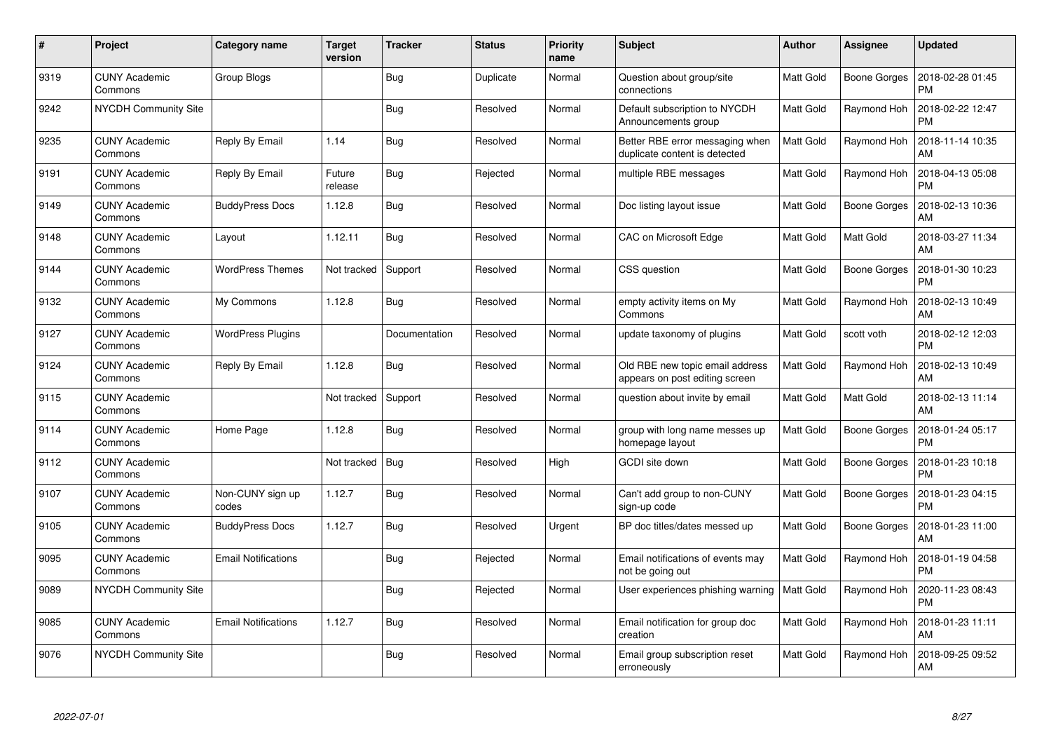| $\#$ | Project                         | Category name              | <b>Target</b><br>version | <b>Tracker</b> | <b>Status</b> | <b>Priority</b><br>name | <b>Subject</b>                                                    | <b>Author</b>    | <b>Assignee</b>     | <b>Updated</b>                |
|------|---------------------------------|----------------------------|--------------------------|----------------|---------------|-------------------------|-------------------------------------------------------------------|------------------|---------------------|-------------------------------|
| 9319 | <b>CUNY Academic</b><br>Commons | Group Blogs                |                          | <b>Bug</b>     | Duplicate     | Normal                  | Question about group/site<br>connections                          | Matt Gold        | <b>Boone Gorges</b> | 2018-02-28 01:45<br><b>PM</b> |
| 9242 | <b>NYCDH Community Site</b>     |                            |                          | Bug            | Resolved      | Normal                  | Default subscription to NYCDH<br>Announcements group              | Matt Gold        | Raymond Hoh         | 2018-02-22 12:47<br><b>PM</b> |
| 9235 | <b>CUNY Academic</b><br>Commons | Reply By Email             | 1.14                     | <b>Bug</b>     | Resolved      | Normal                  | Better RBE error messaging when<br>duplicate content is detected  | <b>Matt Gold</b> | Raymond Hoh         | 2018-11-14 10:35<br>AM        |
| 9191 | <b>CUNY Academic</b><br>Commons | Reply By Email             | Future<br>release        | <b>Bug</b>     | Rejected      | Normal                  | multiple RBE messages                                             | Matt Gold        | Raymond Hoh         | 2018-04-13 05:08<br><b>PM</b> |
| 9149 | <b>CUNY Academic</b><br>Commons | <b>BuddyPress Docs</b>     | 1.12.8                   | <b>Bug</b>     | Resolved      | Normal                  | Doc listing layout issue                                          | Matt Gold        | <b>Boone Gorges</b> | 2018-02-13 10:36<br>AM        |
| 9148 | <b>CUNY Academic</b><br>Commons | Layout                     | 1.12.11                  | Bug            | Resolved      | Normal                  | CAC on Microsoft Edge                                             | Matt Gold        | Matt Gold           | 2018-03-27 11:34<br>AM        |
| 9144 | <b>CUNY Academic</b><br>Commons | <b>WordPress Themes</b>    | Not tracked              | Support        | Resolved      | Normal                  | CSS question                                                      | <b>Matt Gold</b> | <b>Boone Gorges</b> | 2018-01-30 10:23<br><b>PM</b> |
| 9132 | <b>CUNY Academic</b><br>Commons | My Commons                 | 1.12.8                   | Bug            | Resolved      | Normal                  | empty activity items on My<br>Commons                             | Matt Gold        | Raymond Hoh         | 2018-02-13 10:49<br>AM        |
| 9127 | <b>CUNY Academic</b><br>Commons | <b>WordPress Plugins</b>   |                          | Documentation  | Resolved      | Normal                  | update taxonomy of plugins                                        | <b>Matt Gold</b> | scott voth          | 2018-02-12 12:03<br><b>PM</b> |
| 9124 | <b>CUNY Academic</b><br>Commons | Reply By Email             | 1.12.8                   | <b>Bug</b>     | Resolved      | Normal                  | Old RBE new topic email address<br>appears on post editing screen | Matt Gold        | Raymond Hoh         | 2018-02-13 10:49<br>AM        |
| 9115 | <b>CUNY Academic</b><br>Commons |                            | Not tracked              | Support        | Resolved      | Normal                  | question about invite by email                                    | <b>Matt Gold</b> | Matt Gold           | 2018-02-13 11:14<br>AM        |
| 9114 | <b>CUNY Academic</b><br>Commons | Home Page                  | 1.12.8                   | Bug            | Resolved      | Normal                  | group with long name messes up<br>homepage layout                 | Matt Gold        | Boone Gorges        | 2018-01-24 05:17<br><b>PM</b> |
| 9112 | <b>CUNY Academic</b><br>Commons |                            | Not tracked              | Bug            | Resolved      | High                    | GCDI site down                                                    | Matt Gold        | Boone Gorges        | 2018-01-23 10:18<br><b>PM</b> |
| 9107 | <b>CUNY Academic</b><br>Commons | Non-CUNY sign up<br>codes  | 1.12.7                   | Bug            | Resolved      | Normal                  | Can't add group to non-CUNY<br>sign-up code                       | Matt Gold        | <b>Boone Gorges</b> | 2018-01-23 04:15<br><b>PM</b> |
| 9105 | <b>CUNY Academic</b><br>Commons | <b>BuddyPress Docs</b>     | 1.12.7                   | Bug            | Resolved      | Urgent                  | BP doc titles/dates messed up                                     | Matt Gold        | Boone Gorges        | 2018-01-23 11:00<br>AM        |
| 9095 | <b>CUNY Academic</b><br>Commons | <b>Email Notifications</b> |                          | <b>Bug</b>     | Rejected      | Normal                  | Email notifications of events may<br>not be going out             | Matt Gold        | Raymond Hoh         | 2018-01-19 04:58<br><b>PM</b> |
| 9089 | <b>NYCDH Community Site</b>     |                            |                          | Bug            | Rejected      | Normal                  | User experiences phishing warning                                 | Matt Gold        | Raymond Hoh         | 2020-11-23 08:43<br><b>PM</b> |
| 9085 | <b>CUNY Academic</b><br>Commons | <b>Email Notifications</b> | 1.12.7                   | Bug            | Resolved      | Normal                  | Email notification for group doc<br>creation                      | Matt Gold        | Raymond Hoh         | 2018-01-23 11:11<br>AM        |
| 9076 | <b>NYCDH Community Site</b>     |                            |                          | <b>Bug</b>     | Resolved      | Normal                  | Email group subscription reset<br>erroneously                     | Matt Gold        | Raymond Hoh         | 2018-09-25 09:52<br>AM        |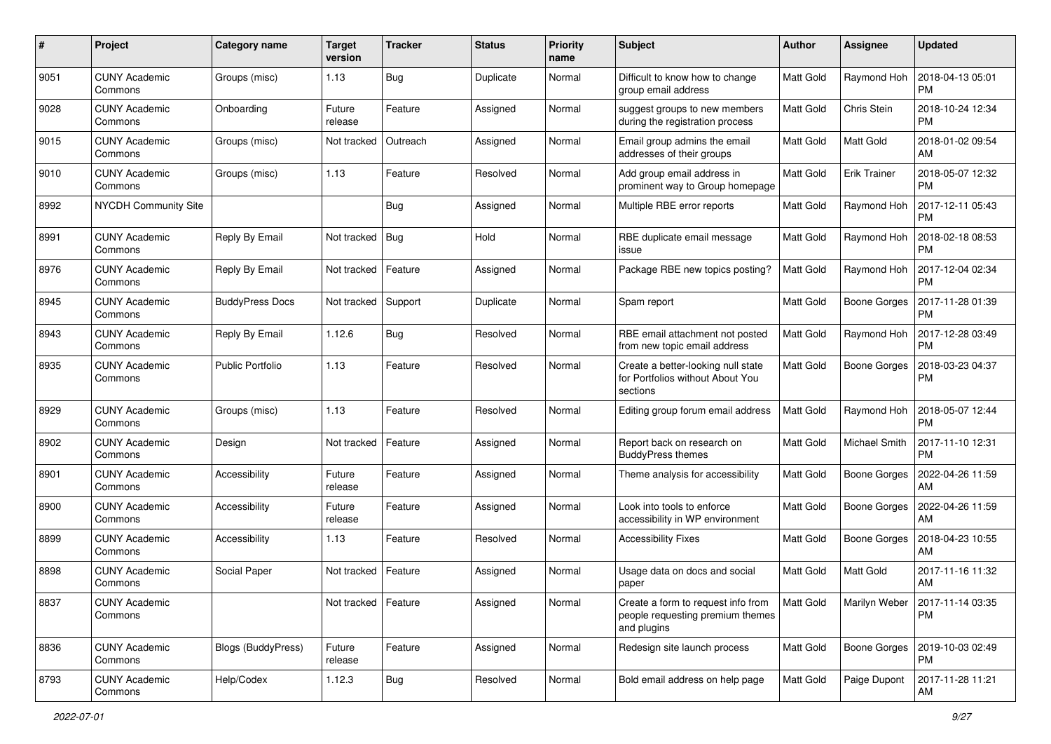| #    | Project                         | <b>Category name</b>    | <b>Target</b><br>version | <b>Tracker</b> | <b>Status</b> | <b>Priority</b><br>name | <b>Subject</b>                                                                        | Author           | <b>Assignee</b>     | <b>Updated</b>                                |
|------|---------------------------------|-------------------------|--------------------------|----------------|---------------|-------------------------|---------------------------------------------------------------------------------------|------------------|---------------------|-----------------------------------------------|
| 9051 | <b>CUNY Academic</b><br>Commons | Groups (misc)           | 1.13                     | Bug            | Duplicate     | Normal                  | Difficult to know how to change<br>group email address                                | <b>Matt Gold</b> | Raymond Hoh         | 2018-04-13 05:01<br><b>PM</b>                 |
| 9028 | <b>CUNY Academic</b><br>Commons | Onboarding              | Future<br>release        | Feature        | Assigned      | Normal                  | suggest groups to new members<br>during the registration process                      | Matt Gold        | Chris Stein         | 2018-10-24 12:34<br><b>PM</b>                 |
| 9015 | CUNY Academic<br>Commons        | Groups (misc)           | Not tracked              | Outreach       | Assigned      | Normal                  | Email group admins the email<br>addresses of their groups                             | Matt Gold        | Matt Gold           | 2018-01-02 09:54<br>AM                        |
| 9010 | <b>CUNY Academic</b><br>Commons | Groups (misc)           | 1.13                     | Feature        | Resolved      | Normal                  | Add group email address in<br>prominent way to Group homepage                         | <b>Matt Gold</b> | <b>Erik Trainer</b> | 2018-05-07 12:32<br><b>PM</b>                 |
| 8992 | NYCDH Community Site            |                         |                          | Bug            | Assigned      | Normal                  | Multiple RBE error reports                                                            | <b>Matt Gold</b> | Raymond Hoh         | 2017-12-11 05:43<br><b>PM</b>                 |
| 8991 | <b>CUNY Academic</b><br>Commons | Reply By Email          | Not tracked              | Bug            | Hold          | Normal                  | RBE duplicate email message<br>issue                                                  | Matt Gold        | Raymond Hoh         | 2018-02-18 08:53<br><b>PM</b>                 |
| 8976 | <b>CUNY Academic</b><br>Commons | Reply By Email          | Not tracked              | Feature        | Assigned      | Normal                  | Package RBE new topics posting?                                                       | <b>Matt Gold</b> | Raymond Hoh         | 2017-12-04 02:34<br><b>PM</b>                 |
| 8945 | <b>CUNY Academic</b><br>Commons | <b>BuddyPress Docs</b>  | Not tracked              | Support        | Duplicate     | Normal                  | Spam report                                                                           | <b>Matt Gold</b> | <b>Boone Gorges</b> | 2017-11-28 01:39<br><b>PM</b>                 |
| 8943 | <b>CUNY Academic</b><br>Commons | Reply By Email          | 1.12.6                   | Bug            | Resolved      | Normal                  | RBE email attachment not posted<br>from new topic email address                       | Matt Gold        | Raymond Hoh         | 2017-12-28 03:49<br><b>PM</b>                 |
| 8935 | <b>CUNY Academic</b><br>Commons | <b>Public Portfolio</b> | 1.13                     | Feature        | Resolved      | Normal                  | Create a better-looking null state<br>for Portfolios without About You<br>sections    | <b>Matt Gold</b> | <b>Boone Gorges</b> | 2018-03-23 04:37<br><b>PM</b>                 |
| 8929 | <b>CUNY Academic</b><br>Commons | Groups (misc)           | 1.13                     | Feature        | Resolved      | Normal                  | Editing group forum email address                                                     | <b>Matt Gold</b> | Raymond Hoh         | 2018-05-07 12:44<br><b>PM</b>                 |
| 8902 | <b>CUNY Academic</b><br>Commons | Design                  | Not tracked              | Feature        | Assigned      | Normal                  | Report back on research on<br><b>BuddyPress themes</b>                                | <b>Matt Gold</b> | Michael Smith       | 2017-11-10 12:31<br><b>PM</b>                 |
| 8901 | <b>CUNY Academic</b><br>Commons | Accessibility           | Future<br>release        | Feature        | Assigned      | Normal                  | Theme analysis for accessibility                                                      | <b>Matt Gold</b> | <b>Boone Gorges</b> | 2022-04-26 11:59<br>AM                        |
| 8900 | <b>CUNY Academic</b><br>Commons | Accessibility           | Future<br>release        | Feature        | Assigned      | Normal                  | Look into tools to enforce<br>accessibility in WP environment                         | Matt Gold        | Boone Gorges        | 2022-04-26 11:59<br>AM                        |
| 8899 | <b>CUNY Academic</b><br>Commons | Accessibility           | 1.13                     | Feature        | Resolved      | Normal                  | <b>Accessibility Fixes</b>                                                            | <b>Matt Gold</b> | <b>Boone Gorges</b> | 2018-04-23 10:55<br>AM                        |
| 8898 | <b>CUNY Academic</b><br>Commons | Social Paper            | Not tracked              | Feature        | Assigned      | Normal                  | Usage data on docs and social<br>paper                                                | <b>Matt Gold</b> | Matt Gold           | 2017-11-16 11:32<br>AM                        |
| 8837 | <b>CUNY Academic</b><br>Commons |                         | Not tracked   Feature    |                | Assigned      | Normal                  | Create a form to request info from<br>people requesting premium themes<br>and plugins | Matt Gold        |                     | Marilyn Weber   2017-11-14 03:35<br><b>PM</b> |
| 8836 | <b>CUNY Academic</b><br>Commons | Blogs (BuddyPress)      | Future<br>release        | Feature        | Assigned      | Normal                  | Redesign site launch process                                                          | Matt Gold        | Boone Gorges        | 2019-10-03 02:49<br><b>PM</b>                 |
| 8793 | <b>CUNY Academic</b><br>Commons | Help/Codex              | 1.12.3                   | Bug            | Resolved      | Normal                  | Bold email address on help page                                                       | Matt Gold        | Paige Dupont        | 2017-11-28 11:21<br>AM                        |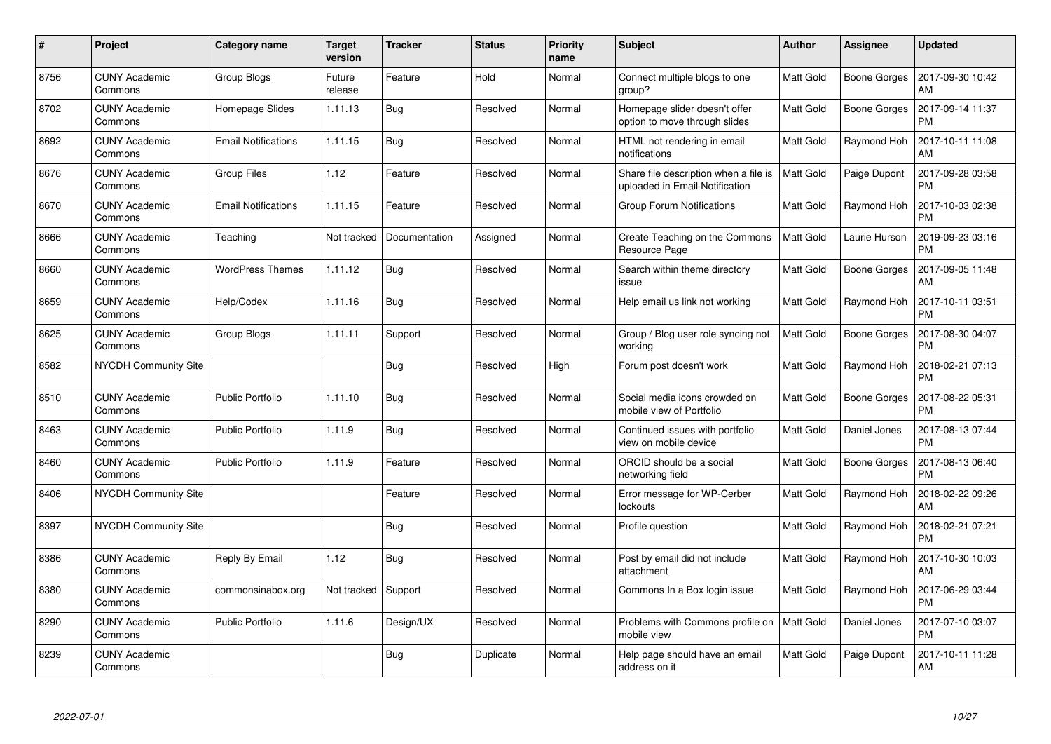| $\#$ | Project                         | Category name              | <b>Target</b><br>version | <b>Tracker</b> | <b>Status</b> | <b>Priority</b><br>name | <b>Subject</b>                                                          | Author           | Assignee            | <b>Updated</b>                |
|------|---------------------------------|----------------------------|--------------------------|----------------|---------------|-------------------------|-------------------------------------------------------------------------|------------------|---------------------|-------------------------------|
| 8756 | <b>CUNY Academic</b><br>Commons | Group Blogs                | Future<br>release        | Feature        | Hold          | Normal                  | Connect multiple blogs to one<br>group?                                 | Matt Gold        | <b>Boone Gorges</b> | 2017-09-30 10:42<br>AM        |
| 8702 | <b>CUNY Academic</b><br>Commons | Homepage Slides            | 1.11.13                  | Bug            | Resolved      | Normal                  | Homepage slider doesn't offer<br>option to move through slides          | Matt Gold        | <b>Boone Gorges</b> | 2017-09-14 11:37<br><b>PM</b> |
| 8692 | <b>CUNY Academic</b><br>Commons | <b>Email Notifications</b> | 1.11.15                  | Bug            | Resolved      | Normal                  | HTML not rendering in email<br>notifications                            | <b>Matt Gold</b> | Raymond Hoh         | 2017-10-11 11:08<br>AM        |
| 8676 | <b>CUNY Academic</b><br>Commons | <b>Group Files</b>         | 1.12                     | Feature        | Resolved      | Normal                  | Share file description when a file is<br>uploaded in Email Notification | Matt Gold        | Paige Dupont        | 2017-09-28 03:58<br><b>PM</b> |
| 8670 | <b>CUNY Academic</b><br>Commons | <b>Email Notifications</b> | 1.11.15                  | Feature        | Resolved      | Normal                  | <b>Group Forum Notifications</b>                                        | Matt Gold        | Raymond Hoh         | 2017-10-03 02:38<br><b>PM</b> |
| 8666 | <b>CUNY Academic</b><br>Commons | Teaching                   | Not tracked              | Documentation  | Assigned      | Normal                  | Create Teaching on the Commons<br>Resource Page                         | <b>Matt Gold</b> | Laurie Hurson       | 2019-09-23 03:16<br><b>PM</b> |
| 8660 | <b>CUNY Academic</b><br>Commons | <b>WordPress Themes</b>    | 1.11.12                  | <b>Bug</b>     | Resolved      | Normal                  | Search within theme directory<br>issue                                  | Matt Gold        | Boone Gorges        | 2017-09-05 11:48<br>AM        |
| 8659 | <b>CUNY Academic</b><br>Commons | Help/Codex                 | 1.11.16                  | Bug            | Resolved      | Normal                  | Help email us link not working                                          | Matt Gold        | Raymond Hoh         | 2017-10-11 03:51<br><b>PM</b> |
| 8625 | <b>CUNY Academic</b><br>Commons | Group Blogs                | 1.11.11                  | Support        | Resolved      | Normal                  | Group / Blog user role syncing not<br>working                           | Matt Gold        | <b>Boone Gorges</b> | 2017-08-30 04:07<br><b>PM</b> |
| 8582 | <b>NYCDH Community Site</b>     |                            |                          | <b>Bug</b>     | Resolved      | High                    | Forum post doesn't work                                                 | Matt Gold        | Raymond Hoh         | 2018-02-21 07:13<br><b>PM</b> |
| 8510 | <b>CUNY Academic</b><br>Commons | <b>Public Portfolio</b>    | 1.11.10                  | <b>Bug</b>     | Resolved      | Normal                  | Social media icons crowded on<br>mobile view of Portfolio               | Matt Gold        | <b>Boone Gorges</b> | 2017-08-22 05:31<br><b>PM</b> |
| 8463 | <b>CUNY Academic</b><br>Commons | <b>Public Portfolio</b>    | 1.11.9                   | <b>Bug</b>     | Resolved      | Normal                  | Continued issues with portfolio<br>view on mobile device                | Matt Gold        | Daniel Jones        | 2017-08-13 07:44<br><b>PM</b> |
| 8460 | <b>CUNY Academic</b><br>Commons | <b>Public Portfolio</b>    | 1.11.9                   | Feature        | Resolved      | Normal                  | ORCID should be a social<br>networking field                            | Matt Gold        | Boone Gorges        | 2017-08-13 06:40<br><b>PM</b> |
| 8406 | NYCDH Community Site            |                            |                          | Feature        | Resolved      | Normal                  | Error message for WP-Cerber<br>lockouts                                 | <b>Matt Gold</b> | Raymond Hoh         | 2018-02-22 09:26<br>AM        |
| 8397 | <b>NYCDH Community Site</b>     |                            |                          | <b>Bug</b>     | Resolved      | Normal                  | Profile question                                                        | Matt Gold        | Raymond Hoh         | 2018-02-21 07:21<br><b>PM</b> |
| 8386 | <b>CUNY Academic</b><br>Commons | Reply By Email             | 1.12                     | Bug            | Resolved      | Normal                  | Post by email did not include<br>attachment                             | Matt Gold        | Raymond Hoh         | 2017-10-30 10:03<br>AM        |
| 8380 | <b>CUNY Academic</b><br>Commons | commonsinabox.org          | Not tracked              | Support        | Resolved      | Normal                  | Commons In a Box login issue                                            | Matt Gold        | Raymond Hoh         | 2017-06-29 03:44<br><b>PM</b> |
| 8290 | <b>CUNY Academic</b><br>Commons | Public Portfolio           | 1.11.6                   | Design/UX      | Resolved      | Normal                  | Problems with Commons profile on<br>mobile view                         | Matt Gold        | Daniel Jones        | 2017-07-10 03:07<br><b>PM</b> |
| 8239 | CUNY Academic<br>Commons        |                            |                          | <b>Bug</b>     | Duplicate     | Normal                  | Help page should have an email<br>address on it                         | Matt Gold        | Paige Dupont        | 2017-10-11 11:28<br>AM        |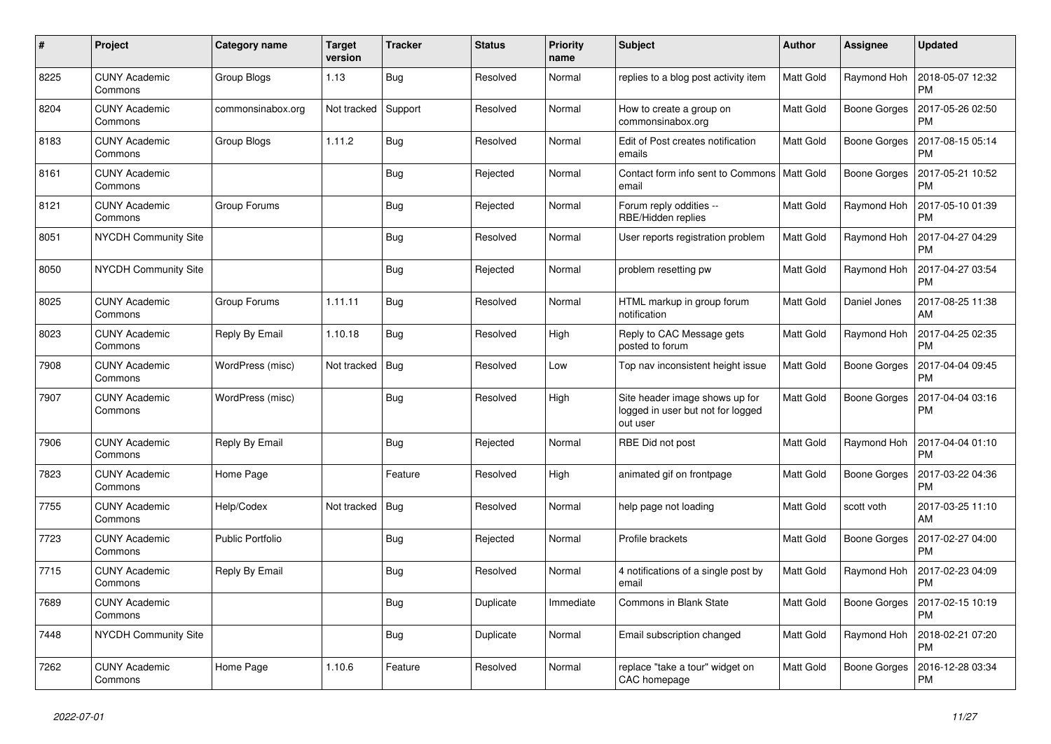| #    | Project                         | Category name     | <b>Target</b><br>version | <b>Tracker</b> | <b>Status</b> | <b>Priority</b><br>name | <b>Subject</b>                                                                  | Author           | Assignee            | <b>Updated</b>                |
|------|---------------------------------|-------------------|--------------------------|----------------|---------------|-------------------------|---------------------------------------------------------------------------------|------------------|---------------------|-------------------------------|
| 8225 | <b>CUNY Academic</b><br>Commons | Group Blogs       | 1.13                     | <b>Bug</b>     | Resolved      | Normal                  | replies to a blog post activity item                                            | Matt Gold        | Raymond Hoh         | 2018-05-07 12:32<br><b>PM</b> |
| 8204 | <b>CUNY Academic</b><br>Commons | commonsinabox.org | Not tracked              | Support        | Resolved      | Normal                  | How to create a group on<br>commonsinabox.org                                   | Matt Gold        | <b>Boone Gorges</b> | 2017-05-26 02:50<br><b>PM</b> |
| 8183 | <b>CUNY Academic</b><br>Commons | Group Blogs       | 1.11.2                   | Bug            | Resolved      | Normal                  | Edit of Post creates notification<br>emails                                     | <b>Matt Gold</b> | <b>Boone Gorges</b> | 2017-08-15 05:14<br><b>PM</b> |
| 8161 | <b>CUNY Academic</b><br>Commons |                   |                          | <b>Bug</b>     | Rejected      | Normal                  | Contact form info sent to Commons   Matt Gold<br>email                          |                  | <b>Boone Gorges</b> | 2017-05-21 10:52<br><b>PM</b> |
| 8121 | <b>CUNY Academic</b><br>Commons | Group Forums      |                          | Bug            | Rejected      | Normal                  | Forum reply oddities --<br>RBE/Hidden replies                                   | Matt Gold        | Raymond Hoh         | 2017-05-10 01:39<br><b>PM</b> |
| 8051 | <b>NYCDH Community Site</b>     |                   |                          | Bug            | Resolved      | Normal                  | User reports registration problem                                               | <b>Matt Gold</b> | Raymond Hoh         | 2017-04-27 04:29<br><b>PM</b> |
| 8050 | <b>NYCDH Community Site</b>     |                   |                          | <b>Bug</b>     | Rejected      | Normal                  | problem resetting pw                                                            | Matt Gold        | Raymond Hoh         | 2017-04-27 03:54<br><b>PM</b> |
| 8025 | <b>CUNY Academic</b><br>Commons | Group Forums      | 1.11.11                  | <b>Bug</b>     | Resolved      | Normal                  | HTML markup in group forum<br>notification                                      | Matt Gold        | Daniel Jones        | 2017-08-25 11:38<br>AM        |
| 8023 | <b>CUNY Academic</b><br>Commons | Reply By Email    | 1.10.18                  | Bug            | Resolved      | High                    | Reply to CAC Message gets<br>posted to forum                                    | <b>Matt Gold</b> | Raymond Hoh         | 2017-04-25 02:35<br><b>PM</b> |
| 7908 | <b>CUNY Academic</b><br>Commons | WordPress (misc)  | Not tracked              | Bug            | Resolved      | Low                     | Top nav inconsistent height issue                                               | Matt Gold        | Boone Gorges        | 2017-04-04 09:45<br><b>PM</b> |
| 7907 | <b>CUNY Academic</b><br>Commons | WordPress (misc)  |                          | <b>Bug</b>     | Resolved      | High                    | Site header image shows up for<br>logged in user but not for logged<br>out user | Matt Gold        | Boone Gorges        | 2017-04-04 03:16<br><b>PM</b> |
| 7906 | <b>CUNY Academic</b><br>Commons | Reply By Email    |                          | Bug            | Rejected      | Normal                  | RBE Did not post                                                                | Matt Gold        | Raymond Hoh         | 2017-04-04 01:10<br><b>PM</b> |
| 7823 | <b>CUNY Academic</b><br>Commons | Home Page         |                          | Feature        | Resolved      | High                    | animated gif on frontpage                                                       | <b>Matt Gold</b> | <b>Boone Gorges</b> | 2017-03-22 04:36<br><b>PM</b> |
| 7755 | <b>CUNY Academic</b><br>Commons | Help/Codex        | Not tracked              | Bug            | Resolved      | Normal                  | help page not loading                                                           | Matt Gold        | scott voth          | 2017-03-25 11:10<br>AM        |
| 7723 | <b>CUNY Academic</b><br>Commons | Public Portfolio  |                          | <b>Bug</b>     | Rejected      | Normal                  | Profile brackets                                                                | <b>Matt Gold</b> | <b>Boone Gorges</b> | 2017-02-27 04:00<br><b>PM</b> |
| 7715 | <b>CUNY Academic</b><br>Commons | Reply By Email    |                          | <b>Bug</b>     | Resolved      | Normal                  | 4 notifications of a single post by<br>email                                    | <b>Matt Gold</b> | Raymond Hoh         | 2017-02-23 04:09<br><b>PM</b> |
| 7689 | <b>CUNY Academic</b><br>Commons |                   |                          | Bug            | Duplicate     | Immediate               | Commons in Blank State                                                          | Matt Gold        | Boone Gorges        | 2017-02-15 10:19<br><b>PM</b> |
| 7448 | <b>NYCDH Community Site</b>     |                   |                          | <b>Bug</b>     | Duplicate     | Normal                  | Email subscription changed                                                      | <b>Matt Gold</b> | Raymond Hoh         | 2018-02-21 07:20<br><b>PM</b> |
| 7262 | <b>CUNY Academic</b><br>Commons | Home Page         | 1.10.6                   | Feature        | Resolved      | Normal                  | replace "take a tour" widget on<br>CAC homepage                                 | <b>Matt Gold</b> | <b>Boone Gorges</b> | 2016-12-28 03:34<br><b>PM</b> |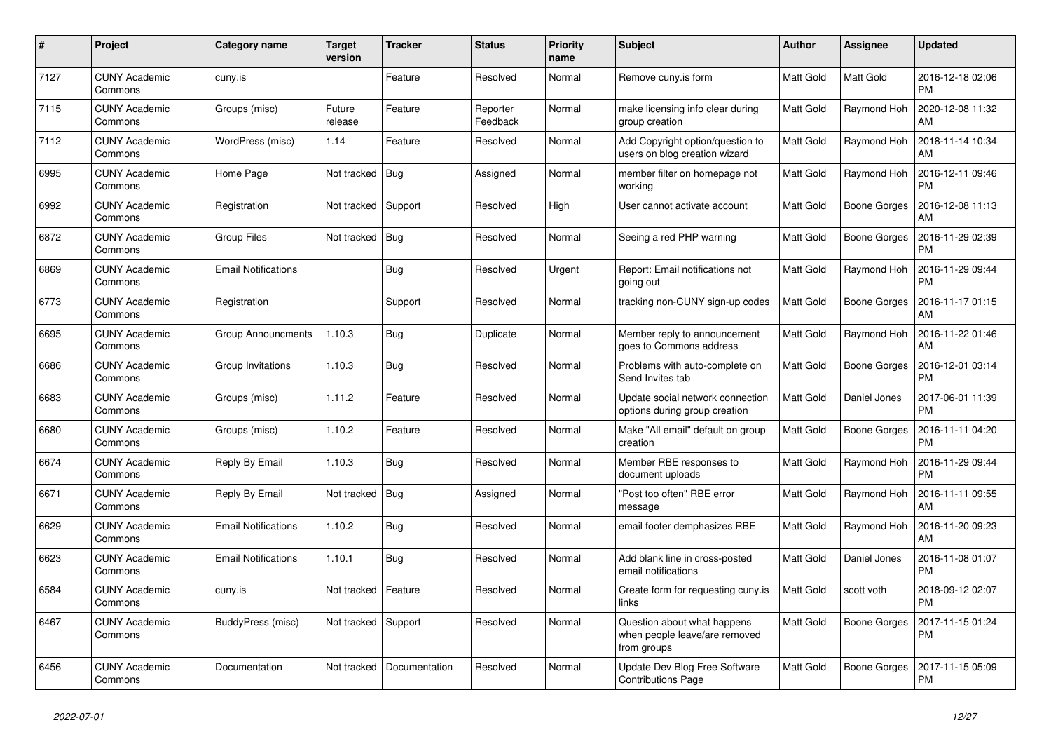| #    | Project                         | Category name              | <b>Target</b><br>version | <b>Tracker</b> | <b>Status</b>        | <b>Priority</b><br>name | <b>Subject</b>                                                              | <b>Author</b>    | Assignee            | <b>Updated</b>                |
|------|---------------------------------|----------------------------|--------------------------|----------------|----------------------|-------------------------|-----------------------------------------------------------------------------|------------------|---------------------|-------------------------------|
| 7127 | <b>CUNY Academic</b><br>Commons | cuny.is                    |                          | Feature        | Resolved             | Normal                  | Remove cuny.is form                                                         | <b>Matt Gold</b> | Matt Gold           | 2016-12-18 02:06<br><b>PM</b> |
| 7115 | <b>CUNY Academic</b><br>Commons | Groups (misc)              | Future<br>release        | Feature        | Reporter<br>Feedback | Normal                  | make licensing info clear during<br>group creation                          | Matt Gold        | Raymond Hoh         | 2020-12-08 11:32<br>AM        |
| 7112 | <b>CUNY Academic</b><br>Commons | WordPress (misc)           | 1.14                     | Feature        | Resolved             | Normal                  | Add Copyright option/question to<br>users on blog creation wizard           | Matt Gold        | Raymond Hoh         | 2018-11-14 10:34<br>AM        |
| 6995 | <b>CUNY Academic</b><br>Commons | Home Page                  | Not tracked              | Bug            | Assigned             | Normal                  | member filter on homepage not<br>working                                    | Matt Gold        | Raymond Hoh         | 2016-12-11 09:46<br><b>PM</b> |
| 6992 | <b>CUNY Academic</b><br>Commons | Registration               | Not tracked              | Support        | Resolved             | High                    | User cannot activate account                                                | Matt Gold        | Boone Gorges        | 2016-12-08 11:13<br>AM        |
| 6872 | <b>CUNY Academic</b><br>Commons | <b>Group Files</b>         | Not tracked              | Bug            | Resolved             | Normal                  | Seeing a red PHP warning                                                    | Matt Gold        | <b>Boone Gorges</b> | 2016-11-29 02:39<br><b>PM</b> |
| 6869 | <b>CUNY Academic</b><br>Commons | <b>Email Notifications</b> |                          | <b>Bug</b>     | Resolved             | Urgent                  | Report: Email notifications not<br>going out                                | Matt Gold        | Raymond Hoh         | 2016-11-29 09:44<br><b>PM</b> |
| 6773 | <b>CUNY Academic</b><br>Commons | Registration               |                          | Support        | Resolved             | Normal                  | tracking non-CUNY sign-up codes                                             | Matt Gold        | Boone Gorges        | 2016-11-17 01:15<br>AM        |
| 6695 | <b>CUNY Academic</b><br>Commons | <b>Group Announcments</b>  | 1.10.3                   | <b>Bug</b>     | Duplicate            | Normal                  | Member reply to announcement<br>goes to Commons address                     | Matt Gold        | Raymond Hoh         | 2016-11-22 01:46<br>AM        |
| 6686 | <b>CUNY Academic</b><br>Commons | Group Invitations          | 1.10.3                   | Bug            | Resolved             | Normal                  | Problems with auto-complete on<br>Send Invites tab                          | Matt Gold        | Boone Gorges        | 2016-12-01 03:14<br><b>PM</b> |
| 6683 | <b>CUNY Academic</b><br>Commons | Groups (misc)              | 1.11.2                   | Feature        | Resolved             | Normal                  | Update social network connection<br>options during group creation           | Matt Gold        | Daniel Jones        | 2017-06-01 11:39<br><b>PM</b> |
| 6680 | <b>CUNY Academic</b><br>Commons | Groups (misc)              | 1.10.2                   | Feature        | Resolved             | Normal                  | Make "All email" default on group<br>creation                               | <b>Matt Gold</b> | <b>Boone Gorges</b> | 2016-11-11 04:20<br><b>PM</b> |
| 6674 | <b>CUNY Academic</b><br>Commons | Reply By Email             | 1.10.3                   | <b>Bug</b>     | Resolved             | Normal                  | Member RBE responses to<br>document uploads                                 | Matt Gold        | Raymond Hoh         | 2016-11-29 09:44<br><b>PM</b> |
| 6671 | <b>CUNY Academic</b><br>Commons | Reply By Email             | Not tracked              | Bug            | Assigned             | Normal                  | "Post too often" RBE error<br>message                                       | Matt Gold        | Raymond Hoh         | 2016-11-11 09:55<br>AM        |
| 6629 | <b>CUNY Academic</b><br>Commons | <b>Email Notifications</b> | 1.10.2                   | Bug            | Resolved             | Normal                  | email footer demphasizes RBE                                                | Matt Gold        | Raymond Hoh         | 2016-11-20 09:23<br>AM        |
| 6623 | <b>CUNY Academic</b><br>Commons | <b>Email Notifications</b> | 1.10.1                   | <b>Bug</b>     | Resolved             | Normal                  | Add blank line in cross-posted<br>email notifications                       | Matt Gold        | Daniel Jones        | 2016-11-08 01:07<br><b>PM</b> |
| 6584 | <b>CUNY Academic</b><br>Commons | cuny.is                    | Not tracked              | Feature        | Resolved             | Normal                  | Create form for requesting cuny.is<br>links                                 | Matt Gold        | scott voth          | 2018-09-12 02:07<br><b>PM</b> |
| 6467 | <b>CUNY Academic</b><br>Commons | BuddyPress (misc)          | Not tracked              | Support        | Resolved             | Normal                  | Question about what happens<br>when people leave/are removed<br>from groups | Matt Gold        | <b>Boone Gorges</b> | 2017-11-15 01:24<br><b>PM</b> |
| 6456 | <b>CUNY Academic</b><br>Commons | Documentation              | Not tracked              | Documentation  | Resolved             | Normal                  | Update Dev Blog Free Software<br><b>Contributions Page</b>                  | Matt Gold        | <b>Boone Gorges</b> | 2017-11-15 05:09<br><b>PM</b> |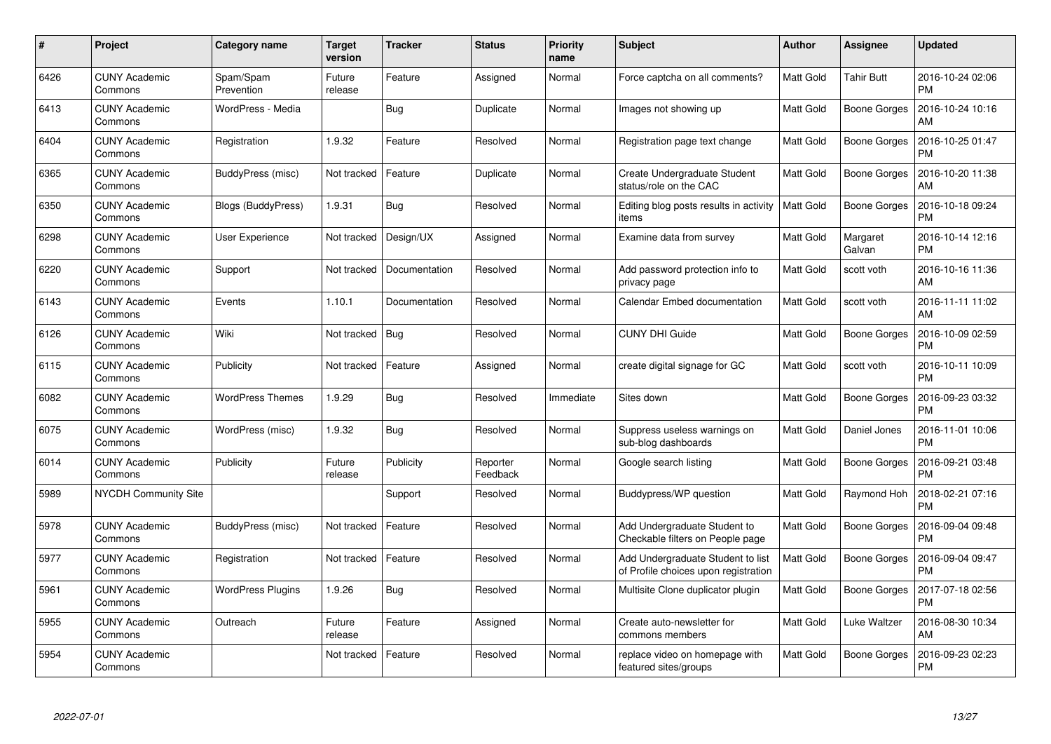| #    | Project                         | <b>Category name</b>     | Target<br>version | <b>Tracker</b> | <b>Status</b>        | <b>Priority</b><br>name | <b>Subject</b>                                                            | <b>Author</b>    | Assignee            | <b>Updated</b>                |
|------|---------------------------------|--------------------------|-------------------|----------------|----------------------|-------------------------|---------------------------------------------------------------------------|------------------|---------------------|-------------------------------|
| 6426 | <b>CUNY Academic</b><br>Commons | Spam/Spam<br>Prevention  | Future<br>release | Feature        | Assigned             | Normal                  | Force captcha on all comments?                                            | <b>Matt Gold</b> | <b>Tahir Butt</b>   | 2016-10-24 02:06<br><b>PM</b> |
| 6413 | <b>CUNY Academic</b><br>Commons | WordPress - Media        |                   | Bug            | Duplicate            | Normal                  | Images not showing up                                                     | Matt Gold        | <b>Boone Gorges</b> | 2016-10-24 10:16<br>AM        |
| 6404 | <b>CUNY Academic</b><br>Commons | Registration             | 1.9.32            | Feature        | Resolved             | Normal                  | Registration page text change                                             | <b>Matt Gold</b> | <b>Boone Gorges</b> | 2016-10-25 01:47<br><b>PM</b> |
| 6365 | <b>CUNY Academic</b><br>Commons | BuddyPress (misc)        | Not tracked       | Feature        | Duplicate            | Normal                  | Create Undergraduate Student<br>status/role on the CAC                    | <b>Matt Gold</b> | Boone Gorges        | 2016-10-20 11:38<br>AM        |
| 6350 | <b>CUNY Academic</b><br>Commons | Blogs (BuddyPress)       | 1.9.31            | Bug            | Resolved             | Normal                  | Editing blog posts results in activity<br>items                           | <b>Matt Gold</b> | <b>Boone Gorges</b> | 2016-10-18 09:24<br><b>PM</b> |
| 6298 | <b>CUNY Academic</b><br>Commons | User Experience          | Not tracked       | Design/UX      | Assigned             | Normal                  | Examine data from survey                                                  | Matt Gold        | Margaret<br>Galvan  | 2016-10-14 12:16<br><b>PM</b> |
| 6220 | <b>CUNY Academic</b><br>Commons | Support                  | Not tracked       | Documentation  | Resolved             | Normal                  | Add password protection info to<br>privacy page                           | <b>Matt Gold</b> | scott voth          | 2016-10-16 11:36<br>AM        |
| 6143 | <b>CUNY Academic</b><br>Commons | Events                   | 1.10.1            | Documentation  | Resolved             | Normal                  | Calendar Embed documentation                                              | Matt Gold        | scott voth          | 2016-11-11 11:02<br>AM        |
| 6126 | <b>CUNY Academic</b><br>Commons | Wiki                     | Not tracked       | Bug            | Resolved             | Normal                  | <b>CUNY DHI Guide</b>                                                     | Matt Gold        | <b>Boone Gorges</b> | 2016-10-09 02:59<br><b>PM</b> |
| 6115 | <b>CUNY Academic</b><br>Commons | Publicity                | Not tracked       | Feature        | Assigned             | Normal                  | create digital signage for GC                                             | Matt Gold        | scott voth          | 2016-10-11 10:09<br><b>PM</b> |
| 6082 | <b>CUNY Academic</b><br>Commons | <b>WordPress Themes</b>  | 1.9.29            | Bug            | Resolved             | Immediate               | Sites down                                                                | <b>Matt Gold</b> | <b>Boone Gorges</b> | 2016-09-23 03:32<br><b>PM</b> |
| 6075 | <b>CUNY Academic</b><br>Commons | WordPress (misc)         | 1.9.32            | <b>Bug</b>     | Resolved             | Normal                  | Suppress useless warnings on<br>sub-blog dashboards                       | Matt Gold        | Daniel Jones        | 2016-11-01 10:06<br><b>PM</b> |
| 6014 | <b>CUNY Academic</b><br>Commons | Publicity                | Future<br>release | Publicity      | Reporter<br>Feedback | Normal                  | Google search listing                                                     | Matt Gold        | <b>Boone Gorges</b> | 2016-09-21 03:48<br><b>PM</b> |
| 5989 | NYCDH Community Site            |                          |                   | Support        | Resolved             | Normal                  | Buddypress/WP question                                                    | Matt Gold        | Raymond Hoh         | 2018-02-21 07:16<br><b>PM</b> |
| 5978 | <b>CUNY Academic</b><br>Commons | BuddyPress (misc)        | Not tracked       | Feature        | Resolved             | Normal                  | Add Undergraduate Student to<br>Checkable filters on People page          | Matt Gold        | <b>Boone Gorges</b> | 2016-09-04 09:48<br><b>PM</b> |
| 5977 | <b>CUNY Academic</b><br>Commons | Registration             | Not tracked       | Feature        | Resolved             | Normal                  | Add Undergraduate Student to list<br>of Profile choices upon registration | Matt Gold        | Boone Gorges        | 2016-09-04 09:47<br><b>PM</b> |
| 5961 | <b>CUNY Academic</b><br>Commons | <b>WordPress Plugins</b> | 1.9.26            | Bug            | Resolved             | Normal                  | Multisite Clone duplicator plugin                                         | Matt Gold        | <b>Boone Gorges</b> | 2017-07-18 02:56<br><b>PM</b> |
| 5955 | <b>CUNY Academic</b><br>Commons | Outreach                 | Future<br>release | Feature        | Assigned             | Normal                  | Create auto-newsletter for<br>commons members                             | <b>Matt Gold</b> | Luke Waltzer        | 2016-08-30 10:34<br>AM        |
| 5954 | <b>CUNY Academic</b><br>Commons |                          | Not tracked       | Feature        | Resolved             | Normal                  | replace video on homepage with<br>featured sites/groups                   | <b>Matt Gold</b> | <b>Boone Gorges</b> | 2016-09-23 02:23<br><b>PM</b> |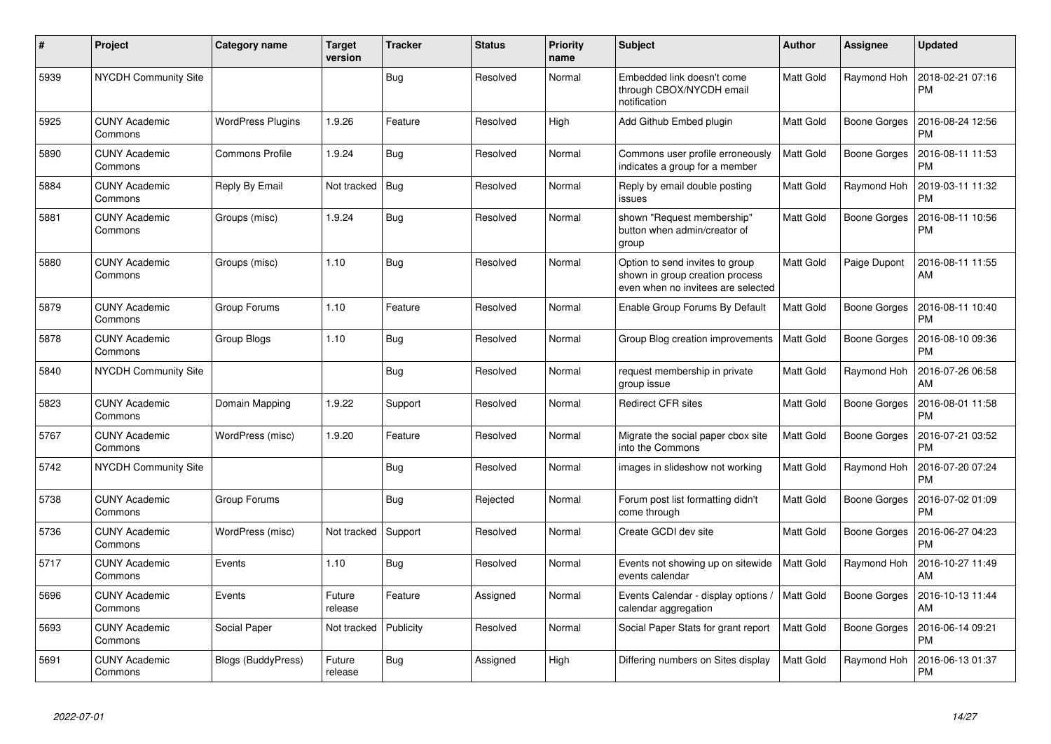| #    | Project                         | Category name            | <b>Target</b><br>version | <b>Tracker</b> | <b>Status</b> | <b>Priority</b><br>name | <b>Subject</b>                                                                                           | <b>Author</b>    | <b>Assignee</b>     | <b>Updated</b>                |
|------|---------------------------------|--------------------------|--------------------------|----------------|---------------|-------------------------|----------------------------------------------------------------------------------------------------------|------------------|---------------------|-------------------------------|
| 5939 | <b>NYCDH Community Site</b>     |                          |                          | Bug            | Resolved      | Normal                  | Embedded link doesn't come<br>through CBOX/NYCDH email<br>notification                                   | Matt Gold        | Raymond Hoh         | 2018-02-21 07:16<br><b>PM</b> |
| 5925 | <b>CUNY Academic</b><br>Commons | <b>WordPress Plugins</b> | 1.9.26                   | Feature        | Resolved      | High                    | Add Github Embed plugin                                                                                  | Matt Gold        | Boone Gorges        | 2016-08-24 12:56<br><b>PM</b> |
| 5890 | <b>CUNY Academic</b><br>Commons | <b>Commons Profile</b>   | 1.9.24                   | <b>Bug</b>     | Resolved      | Normal                  | Commons user profile erroneously<br>indicates a group for a member                                       | Matt Gold        | Boone Gorges        | 2016-08-11 11:53<br><b>PM</b> |
| 5884 | <b>CUNY Academic</b><br>Commons | Reply By Email           | Not tracked              | Bug            | Resolved      | Normal                  | Reply by email double posting<br>issues                                                                  | Matt Gold        | Raymond Hoh         | 2019-03-11 11:32<br>PM        |
| 5881 | <b>CUNY Academic</b><br>Commons | Groups (misc)            | 1.9.24                   | Bug            | Resolved      | Normal                  | shown "Request membership"<br>button when admin/creator of<br>group                                      | Matt Gold        | Boone Gorges        | 2016-08-11 10:56<br>PM        |
| 5880 | <b>CUNY Academic</b><br>Commons | Groups (misc)            | 1.10                     | <b>Bug</b>     | Resolved      | Normal                  | Option to send invites to group<br>shown in group creation process<br>even when no invitees are selected | Matt Gold        | Paige Dupont        | 2016-08-11 11:55<br>AM        |
| 5879 | <b>CUNY Academic</b><br>Commons | Group Forums             | 1.10                     | Feature        | Resolved      | Normal                  | Enable Group Forums By Default                                                                           | Matt Gold        | Boone Gorges        | 2016-08-11 10:40<br><b>PM</b> |
| 5878 | <b>CUNY Academic</b><br>Commons | Group Blogs              | 1.10                     | Bug            | Resolved      | Normal                  | Group Blog creation improvements                                                                         | Matt Gold        | Boone Gorges        | 2016-08-10 09:36<br><b>PM</b> |
| 5840 | <b>NYCDH Community Site</b>     |                          |                          | Bug            | Resolved      | Normal                  | request membership in private<br>group issue                                                             | Matt Gold        | Raymond Hoh         | 2016-07-26 06:58<br>AM        |
| 5823 | <b>CUNY Academic</b><br>Commons | Domain Mapping           | 1.9.22                   | Support        | Resolved      | Normal                  | <b>Redirect CFR sites</b>                                                                                | Matt Gold        | Boone Gorges        | 2016-08-01 11:58<br><b>PM</b> |
| 5767 | <b>CUNY Academic</b><br>Commons | WordPress (misc)         | 1.9.20                   | Feature        | Resolved      | Normal                  | Migrate the social paper cbox site<br>into the Commons                                                   | Matt Gold        | Boone Gorges        | 2016-07-21 03:52<br><b>PM</b> |
| 5742 | <b>NYCDH Community Site</b>     |                          |                          | Bug            | Resolved      | Normal                  | images in slideshow not working                                                                          | Matt Gold        | Raymond Hoh         | 2016-07-20 07:24<br><b>PM</b> |
| 5738 | <b>CUNY Academic</b><br>Commons | Group Forums             |                          | Bug            | Rejected      | Normal                  | Forum post list formatting didn't<br>come through                                                        | Matt Gold        | Boone Gorges        | 2016-07-02 01:09<br><b>PM</b> |
| 5736 | <b>CUNY Academic</b><br>Commons | WordPress (misc)         | Not tracked              | Support        | Resolved      | Normal                  | Create GCDI dev site                                                                                     | Matt Gold        | <b>Boone Gorges</b> | 2016-06-27 04:23<br><b>PM</b> |
| 5717 | <b>CUNY Academic</b><br>Commons | Events                   | 1.10                     | <b>Bug</b>     | Resolved      | Normal                  | Events not showing up on sitewide<br>events calendar                                                     | <b>Matt Gold</b> | Raymond Hoh         | 2016-10-27 11:49<br>AM        |
| 5696 | <b>CUNY Academic</b><br>Commons | Events                   | Future<br>release        | Feature        | Assigned      | Normal                  | Events Calendar - display options /<br>calendar aggregation                                              | Matt Gold        | Boone Gorges        | 2016-10-13 11:44<br>AM        |
| 5693 | <b>CUNY Academic</b><br>Commons | Social Paper             | Not tracked              | Publicity      | Resolved      | Normal                  | Social Paper Stats for grant report                                                                      | Matt Gold        | Boone Gorges        | 2016-06-14 09:21<br><b>PM</b> |
| 5691 | <b>CUNY Academic</b><br>Commons | Blogs (BuddyPress)       | Future<br>release        | Bug            | Assigned      | High                    | Differing numbers on Sites display                                                                       | Matt Gold        | Raymond Hoh         | 2016-06-13 01:37<br><b>PM</b> |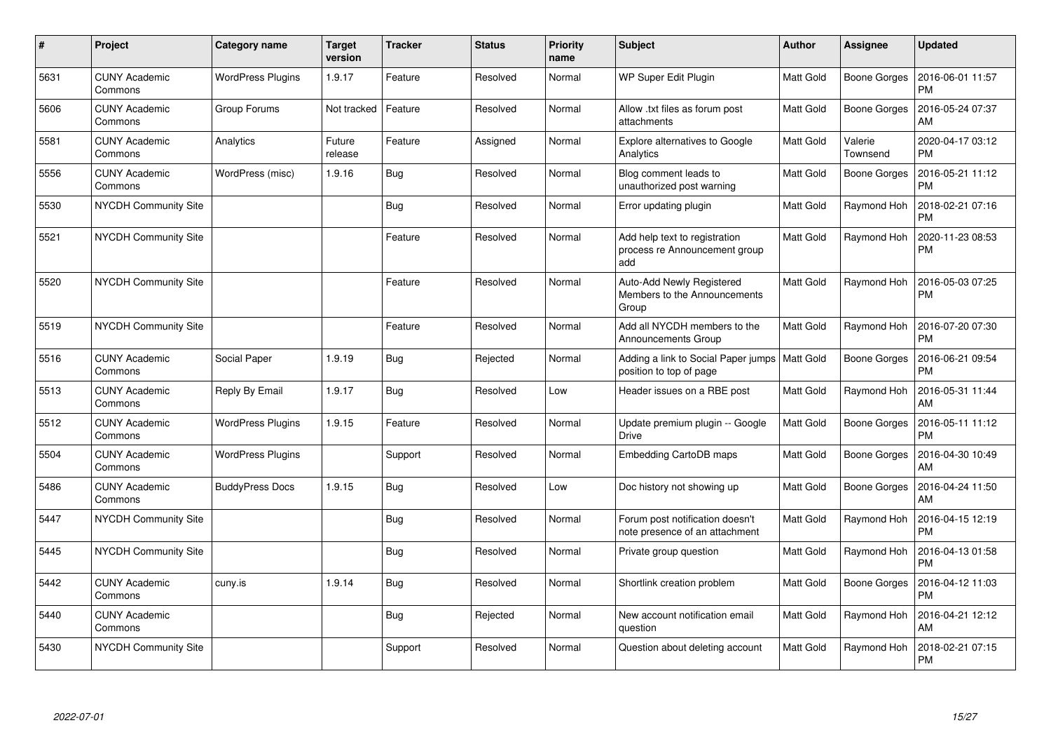| $\pmb{\#}$ | Project                         | Category name            | <b>Target</b><br>version | <b>Tracker</b> | <b>Status</b> | <b>Priority</b><br>name | <b>Subject</b>                                                        | Author           | Assignee            | <b>Updated</b>                |
|------------|---------------------------------|--------------------------|--------------------------|----------------|---------------|-------------------------|-----------------------------------------------------------------------|------------------|---------------------|-------------------------------|
| 5631       | <b>CUNY Academic</b><br>Commons | <b>WordPress Plugins</b> | 1.9.17                   | Feature        | Resolved      | Normal                  | WP Super Edit Plugin                                                  | <b>Matt Gold</b> | <b>Boone Gorges</b> | 2016-06-01 11:57<br><b>PM</b> |
| 5606       | <b>CUNY Academic</b><br>Commons | Group Forums             | Not tracked              | Feature        | Resolved      | Normal                  | Allow .txt files as forum post<br>attachments                         | <b>Matt Gold</b> | <b>Boone Gorges</b> | 2016-05-24 07:37<br>AM        |
| 5581       | <b>CUNY Academic</b><br>Commons | Analytics                | Future<br>release        | Feature        | Assigned      | Normal                  | <b>Explore alternatives to Google</b><br>Analytics                    | Matt Gold        | Valerie<br>Townsend | 2020-04-17 03:12<br><b>PM</b> |
| 5556       | <b>CUNY Academic</b><br>Commons | WordPress (misc)         | 1.9.16                   | <b>Bug</b>     | Resolved      | Normal                  | Blog comment leads to<br>unauthorized post warning                    | Matt Gold        | <b>Boone Gorges</b> | 2016-05-21 11:12<br><b>PM</b> |
| 5530       | NYCDH Community Site            |                          |                          | <b>Bug</b>     | Resolved      | Normal                  | Error updating plugin                                                 | Matt Gold        | Raymond Hoh         | 2018-02-21 07:16<br><b>PM</b> |
| 5521       | NYCDH Community Site            |                          |                          | Feature        | Resolved      | Normal                  | Add help text to registration<br>process re Announcement group<br>add | Matt Gold        | Raymond Hoh         | 2020-11-23 08:53<br><b>PM</b> |
| 5520       | NYCDH Community Site            |                          |                          | Feature        | Resolved      | Normal                  | Auto-Add Newly Registered<br>Members to the Announcements<br>Group    | Matt Gold        | Raymond Hoh         | 2016-05-03 07:25<br><b>PM</b> |
| 5519       | <b>NYCDH Community Site</b>     |                          |                          | Feature        | Resolved      | Normal                  | Add all NYCDH members to the<br>Announcements Group                   | <b>Matt Gold</b> | Raymond Hoh         | 2016-07-20 07:30<br><b>PM</b> |
| 5516       | <b>CUNY Academic</b><br>Commons | Social Paper             | 1.9.19                   | Bug            | Rejected      | Normal                  | Adding a link to Social Paper jumps  <br>position to top of page      | <b>Matt Gold</b> | <b>Boone Gorges</b> | 2016-06-21 09:54<br>PM        |
| 5513       | <b>CUNY Academic</b><br>Commons | Reply By Email           | 1.9.17                   | <b>Bug</b>     | Resolved      | Low                     | Header issues on a RBE post                                           | <b>Matt Gold</b> | Raymond Hoh         | 2016-05-31 11:44<br>AM        |
| 5512       | <b>CUNY Academic</b><br>Commons | <b>WordPress Plugins</b> | 1.9.15                   | Feature        | Resolved      | Normal                  | Update premium plugin -- Google<br>Drive                              | Matt Gold        | <b>Boone Gorges</b> | 2016-05-11 11:12<br><b>PM</b> |
| 5504       | <b>CUNY Academic</b><br>Commons | <b>WordPress Plugins</b> |                          | Support        | Resolved      | Normal                  | <b>Embedding CartoDB maps</b>                                         | Matt Gold        | <b>Boone Gorges</b> | 2016-04-30 10:49<br>AM        |
| 5486       | <b>CUNY Academic</b><br>Commons | <b>BuddyPress Docs</b>   | 1.9.15                   | Bug            | Resolved      | Low                     | Doc history not showing up                                            | <b>Matt Gold</b> | <b>Boone Gorges</b> | 2016-04-24 11:50<br>AM        |
| 5447       | NYCDH Community Site            |                          |                          | <b>Bug</b>     | Resolved      | Normal                  | Forum post notification doesn't<br>note presence of an attachment     | Matt Gold        | Raymond Hoh         | 2016-04-15 12:19<br><b>PM</b> |
| 5445       | <b>NYCDH Community Site</b>     |                          |                          | <b>Bug</b>     | Resolved      | Normal                  | Private group question                                                | Matt Gold        | Raymond Hoh         | 2016-04-13 01:58<br><b>PM</b> |
| 5442       | <b>CUNY Academic</b><br>Commons | cuny.is                  | 1.9.14                   | Bug            | Resolved      | Normal                  | Shortlink creation problem                                            | <b>Matt Gold</b> | <b>Boone Gorges</b> | 2016-04-12 11:03<br><b>PM</b> |
| 5440       | <b>CUNY Academic</b><br>Commons |                          |                          | Bug            | Rejected      | Normal                  | New account notification email<br>question                            | <b>Matt Gold</b> | Raymond Hoh         | 2016-04-21 12:12<br>AM        |
| 5430       | <b>NYCDH Community Site</b>     |                          |                          | Support        | Resolved      | Normal                  | Question about deleting account                                       | <b>Matt Gold</b> | Raymond Hoh         | 2018-02-21 07:15<br>PM        |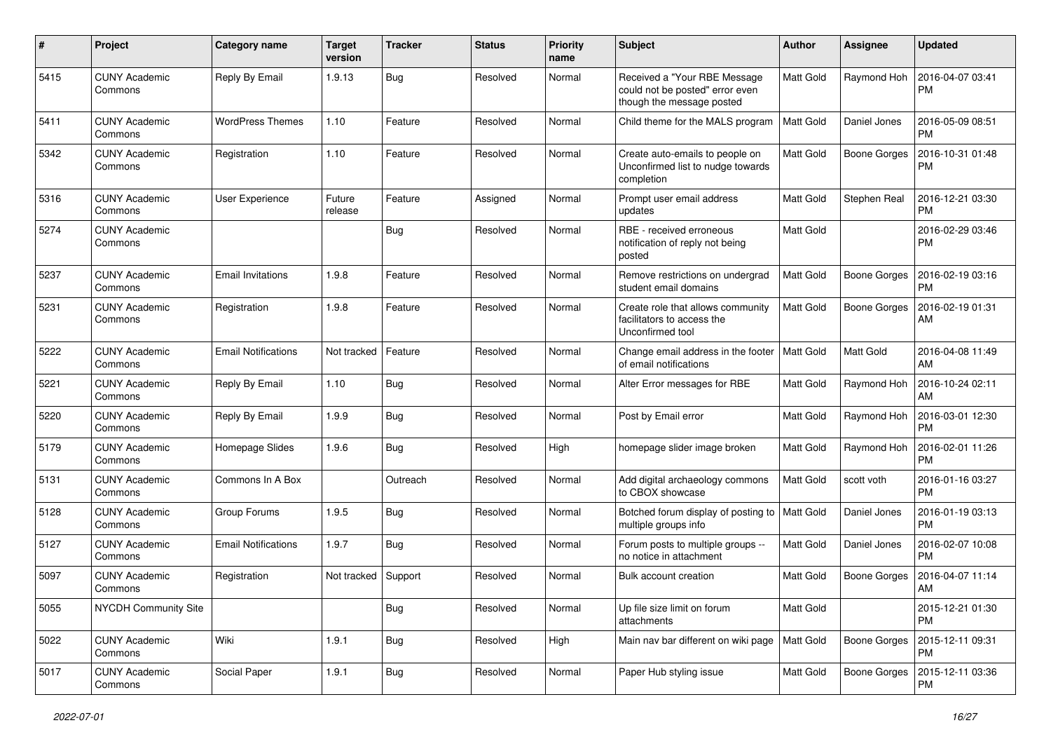| #    | Project                         | <b>Category name</b>       | Target<br>version | <b>Tracker</b> | <b>Status</b> | <b>Priority</b><br>name | Subject                                                                                      | Author    | <b>Assignee</b>     | <b>Updated</b>                |
|------|---------------------------------|----------------------------|-------------------|----------------|---------------|-------------------------|----------------------------------------------------------------------------------------------|-----------|---------------------|-------------------------------|
| 5415 | <b>CUNY Academic</b><br>Commons | Reply By Email             | 1.9.13            | <b>Bug</b>     | Resolved      | Normal                  | Received a "Your RBE Message<br>could not be posted" error even<br>though the message posted | Matt Gold | Raymond Hoh         | 2016-04-07 03:41<br>РM        |
| 5411 | <b>CUNY Academic</b><br>Commons | <b>WordPress Themes</b>    | 1.10              | Feature        | Resolved      | Normal                  | Child theme for the MALS program                                                             | Matt Gold | Daniel Jones        | 2016-05-09 08:51<br><b>PM</b> |
| 5342 | <b>CUNY Academic</b><br>Commons | Registration               | 1.10              | Feature        | Resolved      | Normal                  | Create auto-emails to people on<br>Unconfirmed list to nudge towards<br>completion           | Matt Gold | Boone Gorges        | 2016-10-31 01:48<br><b>PM</b> |
| 5316 | <b>CUNY Academic</b><br>Commons | User Experience            | Future<br>release | Feature        | Assigned      | Normal                  | Prompt user email address<br>updates                                                         | Matt Gold | Stephen Real        | 2016-12-21 03:30<br><b>PM</b> |
| 5274 | <b>CUNY Academic</b><br>Commons |                            |                   | <b>Bug</b>     | Resolved      | Normal                  | RBE - received erroneous<br>notification of reply not being<br>posted                        | Matt Gold |                     | 2016-02-29 03:46<br><b>PM</b> |
| 5237 | <b>CUNY Academic</b><br>Commons | <b>Email Invitations</b>   | 1.9.8             | Feature        | Resolved      | Normal                  | Remove restrictions on undergrad<br>student email domains                                    | Matt Gold | <b>Boone Gorges</b> | 2016-02-19 03:16<br><b>PM</b> |
| 5231 | <b>CUNY Academic</b><br>Commons | Registration               | 1.9.8             | Feature        | Resolved      | Normal                  | Create role that allows community<br>facilitators to access the<br>Unconfirmed tool          | Matt Gold | Boone Gorges        | 2016-02-19 01:31<br>AM        |
| 5222 | <b>CUNY Academic</b><br>Commons | <b>Email Notifications</b> | Not tracked       | Feature        | Resolved      | Normal                  | Change email address in the footer<br>of email notifications                                 | Matt Gold | Matt Gold           | 2016-04-08 11:49<br>AM        |
| 5221 | <b>CUNY Academic</b><br>Commons | Reply By Email             | 1.10              | <b>Bug</b>     | Resolved      | Normal                  | Alter Error messages for RBE                                                                 | Matt Gold | Raymond Hoh         | 2016-10-24 02:11<br>AM        |
| 5220 | <b>CUNY Academic</b><br>Commons | Reply By Email             | 1.9.9             | Bug            | Resolved      | Normal                  | Post by Email error                                                                          | Matt Gold | Raymond Hoh         | 2016-03-01 12:30<br><b>PM</b> |
| 5179 | <b>CUNY Academic</b><br>Commons | Homepage Slides            | 1.9.6             | <b>Bug</b>     | Resolved      | High                    | homepage slider image broken                                                                 | Matt Gold | Raymond Hoh         | 2016-02-01 11:26<br><b>PM</b> |
| 5131 | <b>CUNY Academic</b><br>Commons | Commons In A Box           |                   | Outreach       | Resolved      | Normal                  | Add digital archaeology commons<br>to CBOX showcase                                          | Matt Gold | scott voth          | 2016-01-16 03:27<br><b>PM</b> |
| 5128 | <b>CUNY Academic</b><br>Commons | Group Forums               | 1.9.5             | <b>Bug</b>     | Resolved      | Normal                  | Botched forum display of posting to<br>multiple groups info                                  | Matt Gold | Daniel Jones        | 2016-01-19 03:13<br>PM        |
| 5127 | <b>CUNY Academic</b><br>Commons | <b>Email Notifications</b> | 1.9.7             | Bug            | Resolved      | Normal                  | Forum posts to multiple groups --<br>no notice in attachment                                 | Matt Gold | Daniel Jones        | 2016-02-07 10:08<br><b>PM</b> |
| 5097 | CUNY Academic<br>Commons        | Registration               | Not tracked       | Support        | Resolved      | Normal                  | Bulk account creation                                                                        | Matt Gold | <b>Boone Gorges</b> | 2016-04-07 11:14<br>AM        |
| 5055 | NYCDH Community Site            |                            |                   | <b>Bug</b>     | Resolved      | Normal                  | Up file size limit on forum<br>attachments                                                   | Matt Gold |                     | 2015-12-21 01:30<br><b>PM</b> |
| 5022 | <b>CUNY Academic</b><br>Commons | Wiki                       | 1.9.1             | <b>Bug</b>     | Resolved      | High                    | Main nav bar different on wiki page                                                          | Matt Gold | Boone Gorges        | 2015-12-11 09:31<br><b>PM</b> |
| 5017 | <b>CUNY Academic</b><br>Commons | Social Paper               | 1.9.1             | Bug            | Resolved      | Normal                  | Paper Hub styling issue                                                                      | Matt Gold | Boone Gorges        | 2015-12-11 03:36<br>PM        |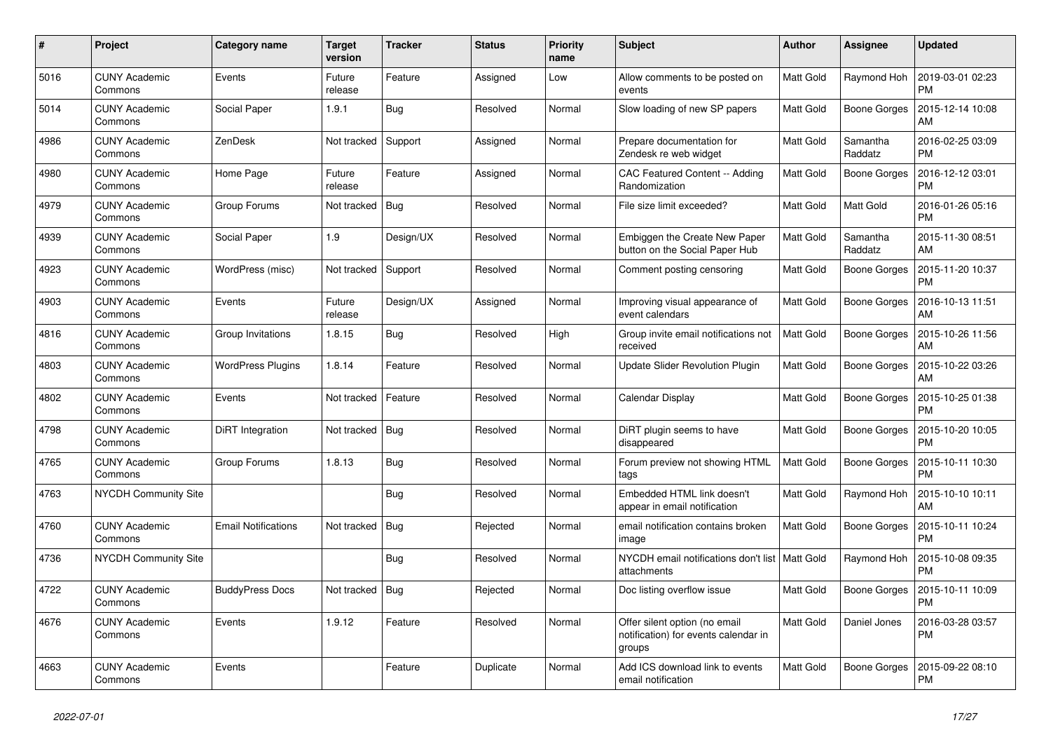| #    | Project                         | <b>Category name</b>       | <b>Target</b><br>version | <b>Tracker</b> | <b>Status</b> | <b>Priority</b><br>name | <b>Subject</b>                                                                  | <b>Author</b>    | Assignee            | <b>Updated</b>                |
|------|---------------------------------|----------------------------|--------------------------|----------------|---------------|-------------------------|---------------------------------------------------------------------------------|------------------|---------------------|-------------------------------|
| 5016 | <b>CUNY Academic</b><br>Commons | Events                     | Future<br>release        | Feature        | Assigned      | Low                     | Allow comments to be posted on<br>events                                        | <b>Matt Gold</b> | Raymond Hoh         | 2019-03-01 02:23<br><b>PM</b> |
| 5014 | <b>CUNY Academic</b><br>Commons | Social Paper               | 1.9.1                    | Bug            | Resolved      | Normal                  | Slow loading of new SP papers                                                   | Matt Gold        | <b>Boone Gorges</b> | 2015-12-14 10:08<br>AM        |
| 4986 | <b>CUNY Academic</b><br>Commons | ZenDesk                    | Not tracked              | Support        | Assigned      | Normal                  | Prepare documentation for<br>Zendesk re web widget                              | Matt Gold        | Samantha<br>Raddatz | 2016-02-25 03:09<br><b>PM</b> |
| 4980 | <b>CUNY Academic</b><br>Commons | Home Page                  | Future<br>release        | Feature        | Assigned      | Normal                  | CAC Featured Content -- Adding<br>Randomization                                 | <b>Matt Gold</b> | <b>Boone Gorges</b> | 2016-12-12 03:01<br><b>PM</b> |
| 4979 | <b>CUNY Academic</b><br>Commons | Group Forums               | Not tracked              | Bug            | Resolved      | Normal                  | File size limit exceeded?                                                       | Matt Gold        | Matt Gold           | 2016-01-26 05:16<br><b>PM</b> |
| 4939 | <b>CUNY Academic</b><br>Commons | Social Paper               | 1.9                      | Design/UX      | Resolved      | Normal                  | Embiggen the Create New Paper<br>button on the Social Paper Hub                 | Matt Gold        | Samantha<br>Raddatz | 2015-11-30 08:51<br>AM        |
| 4923 | <b>CUNY Academic</b><br>Commons | WordPress (misc)           | Not tracked              | Support        | Resolved      | Normal                  | Comment posting censoring                                                       | <b>Matt Gold</b> | Boone Gorges        | 2015-11-20 10:37<br><b>PM</b> |
| 4903 | <b>CUNY Academic</b><br>Commons | Events                     | Future<br>release        | Design/UX      | Assigned      | Normal                  | Improving visual appearance of<br>event calendars                               | Matt Gold        | <b>Boone Gorges</b> | 2016-10-13 11:51<br>AM        |
| 4816 | <b>CUNY Academic</b><br>Commons | Group Invitations          | 1.8.15                   | Bug            | Resolved      | High                    | Group invite email notifications not<br>received                                | <b>Matt Gold</b> | <b>Boone Gorges</b> | 2015-10-26 11:56<br>AM        |
| 4803 | <b>CUNY Academic</b><br>Commons | <b>WordPress Plugins</b>   | 1.8.14                   | Feature        | Resolved      | Normal                  | <b>Update Slider Revolution Plugin</b>                                          | Matt Gold        | <b>Boone Gorges</b> | 2015-10-22 03:26<br>AM        |
| 4802 | <b>CUNY Academic</b><br>Commons | Events                     | Not tracked              | Feature        | Resolved      | Normal                  | Calendar Display                                                                | Matt Gold        | <b>Boone Gorges</b> | 2015-10-25 01:38<br><b>PM</b> |
| 4798 | <b>CUNY Academic</b><br>Commons | DiRT Integration           | Not tracked              | Bug            | Resolved      | Normal                  | DiRT plugin seems to have<br>disappeared                                        | Matt Gold        | <b>Boone Gorges</b> | 2015-10-20 10:05<br><b>PM</b> |
| 4765 | <b>CUNY Academic</b><br>Commons | Group Forums               | 1.8.13                   | <b>Bug</b>     | Resolved      | Normal                  | Forum preview not showing HTML<br>tags                                          | Matt Gold        | Boone Gorges        | 2015-10-11 10:30<br><b>PM</b> |
| 4763 | <b>NYCDH Community Site</b>     |                            |                          | <b>Bug</b>     | Resolved      | Normal                  | Embedded HTML link doesn't<br>appear in email notification                      | Matt Gold        | Raymond Hoh         | 2015-10-10 10:11<br>AM        |
| 4760 | <b>CUNY Academic</b><br>Commons | <b>Email Notifications</b> | Not tracked              | Bug            | Rejected      | Normal                  | email notification contains broken<br>image                                     | <b>Matt Gold</b> | <b>Boone Gorges</b> | 2015-10-11 10:24<br><b>PM</b> |
| 4736 | <b>NYCDH Community Site</b>     |                            |                          | <b>Bug</b>     | Resolved      | Normal                  | NYCDH email notifications don't list   Matt Gold<br>attachments                 |                  | Raymond Hoh         | 2015-10-08 09:35<br><b>PM</b> |
| 4722 | <b>CUNY Academic</b><br>Commons | <b>BuddyPress Docs</b>     | Not tracked              | Bug            | Rejected      | Normal                  | Doc listing overflow issue                                                      | Matt Gold        | Boone Gorges        | 2015-10-11 10:09<br><b>PM</b> |
| 4676 | <b>CUNY Academic</b><br>Commons | Events                     | 1.9.12                   | Feature        | Resolved      | Normal                  | Offer silent option (no email<br>notification) for events calendar in<br>groups | <b>Matt Gold</b> | Daniel Jones        | 2016-03-28 03:57<br><b>PM</b> |
| 4663 | <b>CUNY Academic</b><br>Commons | Events                     |                          | Feature        | Duplicate     | Normal                  | Add ICS download link to events<br>email notification                           | Matt Gold        | <b>Boone Gorges</b> | 2015-09-22 08:10<br><b>PM</b> |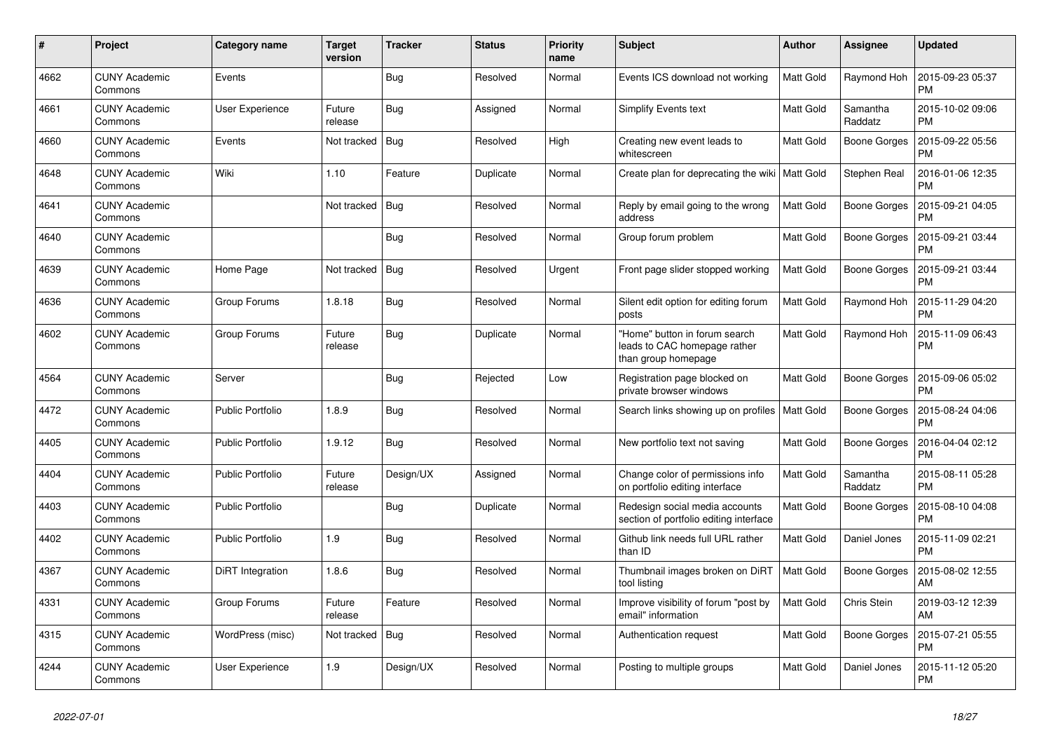| $\pmb{\#}$ | Project                         | Category name           | <b>Target</b><br>version | <b>Tracker</b> | <b>Status</b> | <b>Priority</b><br>name | <b>Subject</b>                                                                       | <b>Author</b>    | Assignee            | <b>Updated</b>                |
|------------|---------------------------------|-------------------------|--------------------------|----------------|---------------|-------------------------|--------------------------------------------------------------------------------------|------------------|---------------------|-------------------------------|
| 4662       | <b>CUNY Academic</b><br>Commons | Events                  |                          | Bug            | Resolved      | Normal                  | Events ICS download not working                                                      | <b>Matt Gold</b> | Raymond Hoh         | 2015-09-23 05:37<br><b>PM</b> |
| 4661       | <b>CUNY Academic</b><br>Commons | <b>User Experience</b>  | Future<br>release        | Bug            | Assigned      | Normal                  | Simplify Events text                                                                 | Matt Gold        | Samantha<br>Raddatz | 2015-10-02 09:06<br><b>PM</b> |
| 4660       | <b>CUNY Academic</b><br>Commons | Events                  | Not tracked              | <b>Bug</b>     | Resolved      | High                    | Creating new event leads to<br>whitescreen                                           | Matt Gold        | <b>Boone Gorges</b> | 2015-09-22 05:56<br><b>PM</b> |
| 4648       | <b>CUNY Academic</b><br>Commons | Wiki                    | 1.10                     | Feature        | Duplicate     | Normal                  | Create plan for deprecating the wiki   Matt Gold                                     |                  | Stephen Real        | 2016-01-06 12:35<br><b>PM</b> |
| 4641       | <b>CUNY Academic</b><br>Commons |                         | Not tracked              | Bug            | Resolved      | Normal                  | Reply by email going to the wrong<br>address                                         | Matt Gold        | <b>Boone Gorges</b> | 2015-09-21 04:05<br><b>PM</b> |
| 4640       | <b>CUNY Academic</b><br>Commons |                         |                          | Bug            | Resolved      | Normal                  | Group forum problem                                                                  | Matt Gold        | <b>Boone Gorges</b> | 2015-09-21 03:44<br><b>PM</b> |
| 4639       | <b>CUNY Academic</b><br>Commons | Home Page               | Not tracked              | Bug            | Resolved      | Urgent                  | Front page slider stopped working                                                    | <b>Matt Gold</b> | Boone Gorges        | 2015-09-21 03:44<br><b>PM</b> |
| 4636       | <b>CUNY Academic</b><br>Commons | Group Forums            | 1.8.18                   | Bug            | Resolved      | Normal                  | Silent edit option for editing forum<br>posts                                        | Matt Gold        | Raymond Hoh         | 2015-11-29 04:20<br><b>PM</b> |
| 4602       | <b>CUNY Academic</b><br>Commons | Group Forums            | Future<br>release        | Bug            | Duplicate     | Normal                  | 'Home" button in forum search<br>leads to CAC homepage rather<br>than group homepage | Matt Gold        | Raymond Hoh         | 2015-11-09 06:43<br><b>PM</b> |
| 4564       | <b>CUNY Academic</b><br>Commons | Server                  |                          | Bug            | Rejected      | Low                     | Registration page blocked on<br>private browser windows                              | <b>Matt Gold</b> | Boone Gorges        | 2015-09-06 05:02<br><b>PM</b> |
| 4472       | <b>CUNY Academic</b><br>Commons | Public Portfolio        | 1.8.9                    | <b>Bug</b>     | Resolved      | Normal                  | Search links showing up on profiles   Matt Gold                                      |                  | Boone Gorges        | 2015-08-24 04:06<br><b>PM</b> |
| 4405       | <b>CUNY Academic</b><br>Commons | <b>Public Portfolio</b> | 1.9.12                   | Bug            | Resolved      | Normal                  | New portfolio text not saving                                                        | Matt Gold        | Boone Gorges        | 2016-04-04 02:12<br><b>PM</b> |
| 4404       | <b>CUNY Academic</b><br>Commons | <b>Public Portfolio</b> | Future<br>release        | Design/UX      | Assigned      | Normal                  | Change color of permissions info<br>on portfolio editing interface                   | Matt Gold        | Samantha<br>Raddatz | 2015-08-11 05:28<br><b>PM</b> |
| 4403       | <b>CUNY Academic</b><br>Commons | <b>Public Portfolio</b> |                          | Bug            | Duplicate     | Normal                  | Redesign social media accounts<br>section of portfolio editing interface             | Matt Gold        | Boone Gorges        | 2015-08-10 04:08<br><b>PM</b> |
| 4402       | <b>CUNY Academic</b><br>Commons | Public Portfolio        | 1.9                      | Bug            | Resolved      | Normal                  | Github link needs full URL rather<br>than ID                                         | Matt Gold        | Daniel Jones        | 2015-11-09 02:21<br><b>PM</b> |
| 4367       | <b>CUNY Academic</b><br>Commons | DiRT Integration        | 1.8.6                    | Bug            | Resolved      | Normal                  | Thumbnail images broken on DiRT<br>tool listing                                      | <b>Matt Gold</b> | <b>Boone Gorges</b> | 2015-08-02 12:55<br>AM        |
| 4331       | <b>CUNY Academic</b><br>Commons | Group Forums            | Future<br>release        | Feature        | Resolved      | Normal                  | Improve visibility of forum "post by<br>email" information                           | Matt Gold        | Chris Stein         | 2019-03-12 12:39<br>AM        |
| 4315       | <b>CUNY Academic</b><br>Commons | WordPress (misc)        | Not tracked              | Bug            | Resolved      | Normal                  | Authentication request                                                               | <b>Matt Gold</b> | <b>Boone Gorges</b> | 2015-07-21 05:55<br><b>PM</b> |
| 4244       | <b>CUNY Academic</b><br>Commons | <b>User Experience</b>  | 1.9                      | Design/UX      | Resolved      | Normal                  | Posting to multiple groups                                                           | <b>Matt Gold</b> | Daniel Jones        | 2015-11-12 05:20<br><b>PM</b> |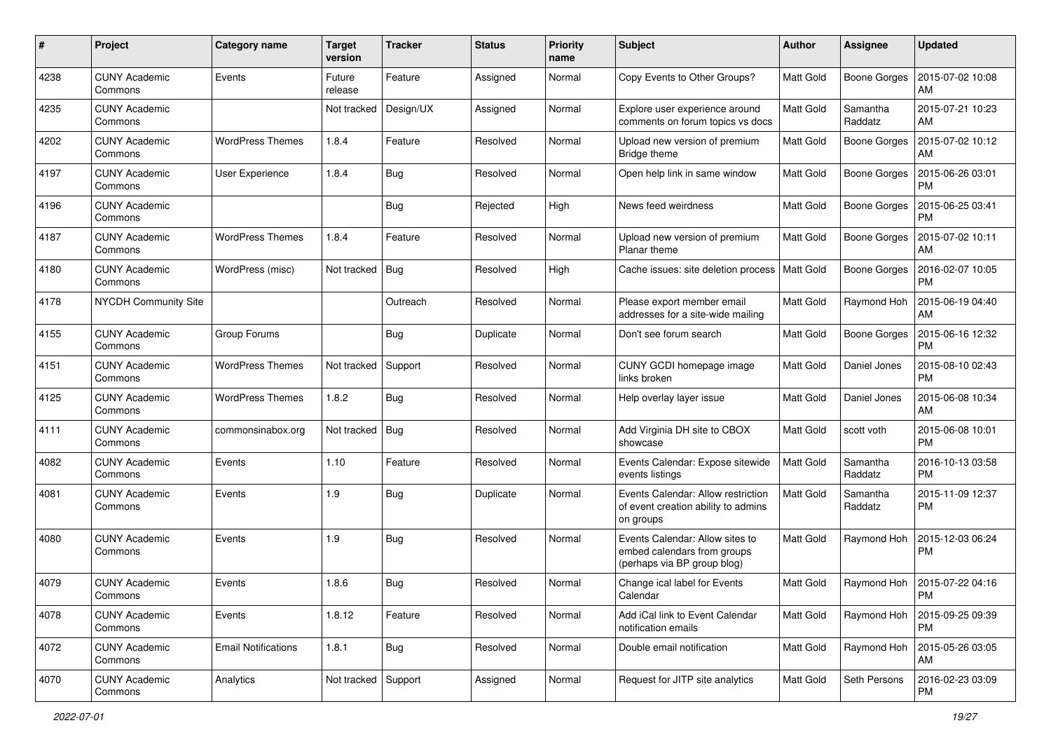| #    | Project                         | <b>Category name</b>       | <b>Target</b><br>version | <b>Tracker</b> | <b>Status</b> | <b>Priority</b><br>name | <b>Subject</b>                                                                                | Author           | <b>Assignee</b>     | <b>Updated</b>                       |
|------|---------------------------------|----------------------------|--------------------------|----------------|---------------|-------------------------|-----------------------------------------------------------------------------------------------|------------------|---------------------|--------------------------------------|
| 4238 | <b>CUNY Academic</b><br>Commons | Events                     | Future<br>release        | Feature        | Assigned      | Normal                  | Copy Events to Other Groups?                                                                  | <b>Matt Gold</b> | <b>Boone Gorges</b> | 2015-07-02 10:08<br>AM               |
| 4235 | <b>CUNY Academic</b><br>Commons |                            | Not tracked              | Design/UX      | Assigned      | Normal                  | Explore user experience around<br>comments on forum topics vs docs                            | <b>Matt Gold</b> | Samantha<br>Raddatz | 2015-07-21 10:23<br>AM               |
| 4202 | <b>CUNY Academic</b><br>Commons | <b>WordPress Themes</b>    | 1.8.4                    | Feature        | Resolved      | Normal                  | Upload new version of premium<br>Bridge theme                                                 | <b>Matt Gold</b> | <b>Boone Gorges</b> | 2015-07-02 10:12<br>AM               |
| 4197 | <b>CUNY Academic</b><br>Commons | User Experience            | 1.8.4                    | Bug            | Resolved      | Normal                  | Open help link in same window                                                                 | <b>Matt Gold</b> | <b>Boone Gorges</b> | 2015-06-26 03:01<br><b>PM</b>        |
| 4196 | <b>CUNY Academic</b><br>Commons |                            |                          | Bug            | Rejected      | High                    | News feed weirdness                                                                           | <b>Matt Gold</b> | Boone Gorges        | 2015-06-25 03:41<br><b>PM</b>        |
| 4187 | <b>CUNY Academic</b><br>Commons | <b>WordPress Themes</b>    | 1.8.4                    | Feature        | Resolved      | Normal                  | Upload new version of premium<br>Planar theme                                                 | Matt Gold        | <b>Boone Gorges</b> | 2015-07-02 10:11<br>AM               |
| 4180 | <b>CUNY Academic</b><br>Commons | WordPress (misc)           | Not tracked              | Bug            | Resolved      | High                    | Cache issues: site deletion process                                                           | Matt Gold        | <b>Boone Gorges</b> | 2016-02-07 10:05<br><b>PM</b>        |
| 4178 | <b>NYCDH Community Site</b>     |                            |                          | Outreach       | Resolved      | Normal                  | Please export member email<br>addresses for a site-wide mailing                               | Matt Gold        | Raymond Hoh         | 2015-06-19 04:40<br>AM               |
| 4155 | <b>CUNY Academic</b><br>Commons | Group Forums               |                          | <b>Bug</b>     | Duplicate     | Normal                  | Don't see forum search                                                                        | <b>Matt Gold</b> | <b>Boone Gorges</b> | 2015-06-16 12:32<br><b>PM</b>        |
| 4151 | <b>CUNY Academic</b><br>Commons | <b>WordPress Themes</b>    | Not tracked              | Support        | Resolved      | Normal                  | CUNY GCDI homepage image<br>links broken                                                      | <b>Matt Gold</b> | Daniel Jones        | 2015-08-10 02:43<br><b>PM</b>        |
| 4125 | <b>CUNY Academic</b><br>Commons | <b>WordPress Themes</b>    | 1.8.2                    | Bug            | Resolved      | Normal                  | Help overlay layer issue                                                                      | <b>Matt Gold</b> | Daniel Jones        | 2015-06-08 10:34<br>AM               |
| 4111 | <b>CUNY Academic</b><br>Commons | commonsinabox.org          | Not tracked              | Bug            | Resolved      | Normal                  | Add Virginia DH site to CBOX<br>showcase                                                      | <b>Matt Gold</b> | scott voth          | 2015-06-08 10:01<br><b>PM</b>        |
| 4082 | <b>CUNY Academic</b><br>Commons | Events                     | 1.10                     | Feature        | Resolved      | Normal                  | Events Calendar: Expose sitewide<br>events listings                                           | Matt Gold        | Samantha<br>Raddatz | 2016-10-13 03:58<br><b>PM</b>        |
| 4081 | <b>CUNY Academic</b><br>Commons | Events                     | 1.9                      | Bug            | Duplicate     | Normal                  | Events Calendar: Allow restriction<br>of event creation ability to admins<br>on groups        | Matt Gold        | Samantha<br>Raddatz | 2015-11-09 12:37<br>PM               |
| 4080 | <b>CUNY Academic</b><br>Commons | Events                     | 1.9                      | Bug            | Resolved      | Normal                  | Events Calendar: Allow sites to<br>embed calendars from groups<br>(perhaps via BP group blog) | <b>Matt Gold</b> | Raymond Hoh         | 2015-12-03 06:24<br><b>PM</b>        |
| 4079 | <b>CUNY Academic</b><br>Commons | Events                     | 1.8.6                    | Bug            | Resolved      | Normal                  | Change ical label for Events<br>Calendar                                                      | Matt Gold        |                     | Raymond Hoh   2015-07-22 04:16<br>PM |
| 4078 | <b>CUNY Academic</b><br>Commons | Events                     | 1.8.12                   | Feature        | Resolved      | Normal                  | Add iCal link to Event Calendar<br>notification emails                                        | Matt Gold        | Raymond Hoh         | 2015-09-25 09:39<br>PM               |
| 4072 | <b>CUNY Academic</b><br>Commons | <b>Email Notifications</b> | 1.8.1                    | Bug            | Resolved      | Normal                  | Double email notification                                                                     | Matt Gold        | Raymond Hoh         | 2015-05-26 03:05<br>AM               |
| 4070 | <b>CUNY Academic</b><br>Commons | Analytics                  | Not tracked Support      |                | Assigned      | Normal                  | Request for JITP site analytics                                                               | Matt Gold        | Seth Persons        | 2016-02-23 03:09<br>PM               |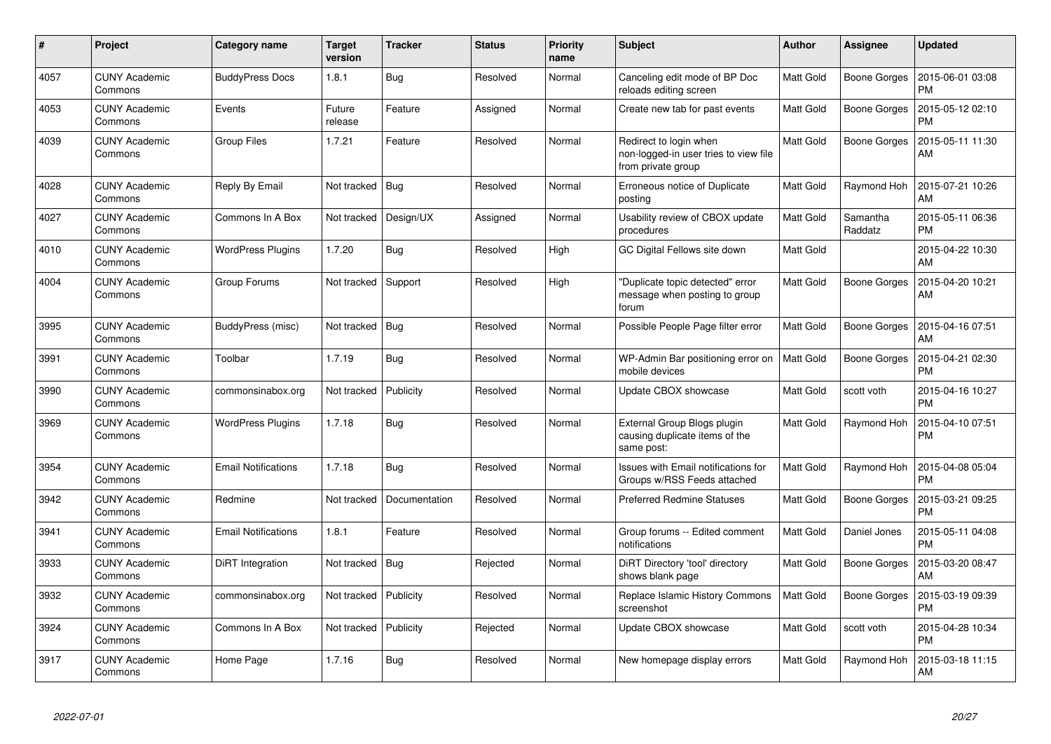| $\pmb{\#}$ | Project                         | Category name              | <b>Target</b><br>version | <b>Tracker</b> | <b>Status</b> | <b>Priority</b><br>name | <b>Subject</b>                                                                        | <b>Author</b> | <b>Assignee</b>     | <b>Updated</b>                |
|------------|---------------------------------|----------------------------|--------------------------|----------------|---------------|-------------------------|---------------------------------------------------------------------------------------|---------------|---------------------|-------------------------------|
| 4057       | <b>CUNY Academic</b><br>Commons | <b>BuddyPress Docs</b>     | 1.8.1                    | <b>Bug</b>     | Resolved      | Normal                  | Canceling edit mode of BP Doc<br>reloads editing screen                               | Matt Gold     | Boone Gorges        | 2015-06-01 03:08<br><b>PM</b> |
| 4053       | CUNY Academic<br>Commons        | Events                     | Future<br>release        | Feature        | Assigned      | Normal                  | Create new tab for past events                                                        | Matt Gold     | Boone Gorges        | 2015-05-12 02:10<br><b>PM</b> |
| 4039       | <b>CUNY Academic</b><br>Commons | <b>Group Files</b>         | 1.7.21                   | Feature        | Resolved      | Normal                  | Redirect to login when<br>non-logged-in user tries to view file<br>from private group | Matt Gold     | Boone Gorges        | 2015-05-11 11:30<br>AM        |
| 4028       | <b>CUNY Academic</b><br>Commons | Reply By Email             | Not tracked              | Bug            | Resolved      | Normal                  | Erroneous notice of Duplicate<br>posting                                              | Matt Gold     | Raymond Hoh         | 2015-07-21 10:26<br>AM        |
| 4027       | <b>CUNY Academic</b><br>Commons | Commons In A Box           | Not tracked              | Design/UX      | Assigned      | Normal                  | Usability review of CBOX update<br>procedures                                         | Matt Gold     | Samantha<br>Raddatz | 2015-05-11 06:36<br><b>PM</b> |
| 4010       | <b>CUNY Academic</b><br>Commons | <b>WordPress Plugins</b>   | 1.7.20                   | <b>Bug</b>     | Resolved      | High                    | GC Digital Fellows site down                                                          | Matt Gold     |                     | 2015-04-22 10:30<br>AM        |
| 4004       | CUNY Academic<br>Commons        | Group Forums               | Not tracked              | Support        | Resolved      | High                    | 'Duplicate topic detected" error<br>message when posting to group<br>forum            | Matt Gold     | Boone Gorges        | 2015-04-20 10:21<br>AM        |
| 3995       | <b>CUNY Academic</b><br>Commons | BuddyPress (misc)          | Not tracked              | Bug            | Resolved      | Normal                  | Possible People Page filter error                                                     | Matt Gold     | Boone Gorges        | 2015-04-16 07:51<br>AM        |
| 3991       | <b>CUNY Academic</b><br>Commons | Toolbar                    | 1.7.19                   | <b>Bug</b>     | Resolved      | Normal                  | WP-Admin Bar positioning error on<br>mobile devices                                   | Matt Gold     | Boone Gorges        | 2015-04-21 02:30<br>PM        |
| 3990       | <b>CUNY Academic</b><br>Commons | commonsinabox.org          | Not tracked              | Publicity      | Resolved      | Normal                  | Update CBOX showcase                                                                  | Matt Gold     | scott voth          | 2015-04-16 10:27<br><b>PM</b> |
| 3969       | <b>CUNY Academic</b><br>Commons | <b>WordPress Plugins</b>   | 1.7.18                   | <b>Bug</b>     | Resolved      | Normal                  | External Group Blogs plugin<br>causing duplicate items of the<br>same post:           | Matt Gold     | Raymond Hoh         | 2015-04-10 07:51<br><b>PM</b> |
| 3954       | <b>CUNY Academic</b><br>Commons | <b>Email Notifications</b> | 1.7.18                   | <b>Bug</b>     | Resolved      | Normal                  | <b>Issues with Email notifications for</b><br>Groups w/RSS Feeds attached             | Matt Gold     | Raymond Hoh         | 2015-04-08 05:04<br><b>PM</b> |
| 3942       | <b>CUNY Academic</b><br>Commons | Redmine                    | Not tracked              | Documentation  | Resolved      | Normal                  | <b>Preferred Redmine Statuses</b>                                                     | Matt Gold     | Boone Gorges        | 2015-03-21 09:25<br><b>PM</b> |
| 3941       | <b>CUNY Academic</b><br>Commons | <b>Email Notifications</b> | 1.8.1                    | Feature        | Resolved      | Normal                  | Group forums -- Edited comment<br>notifications                                       | Matt Gold     | Daniel Jones        | 2015-05-11 04:08<br><b>PM</b> |
| 3933       | <b>CUNY Academic</b><br>Commons | DiRT Integration           | Not tracked              | Bug            | Rejected      | Normal                  | DiRT Directory 'tool' directory<br>shows blank page                                   | Matt Gold     | Boone Gorges        | 2015-03-20 08:47<br>AM        |
| 3932       | <b>CUNY Academic</b><br>Commons | commonsinabox.org          | Not tracked              | Publicity      | Resolved      | Normal                  | Replace Islamic History Commons<br>screenshot                                         | Matt Gold     | Boone Gorges        | 2015-03-19 09:39<br><b>PM</b> |
| 3924       | <b>CUNY Academic</b><br>Commons | Commons In A Box           | Not tracked              | Publicity      | Rejected      | Normal                  | Update CBOX showcase                                                                  | Matt Gold     | scott voth          | 2015-04-28 10:34<br><b>PM</b> |
| 3917       | <b>CUNY Academic</b><br>Commons | Home Page                  | 1.7.16                   | <b>Bug</b>     | Resolved      | Normal                  | New homepage display errors                                                           | Matt Gold     | Raymond Hoh         | 2015-03-18 11:15<br>AM        |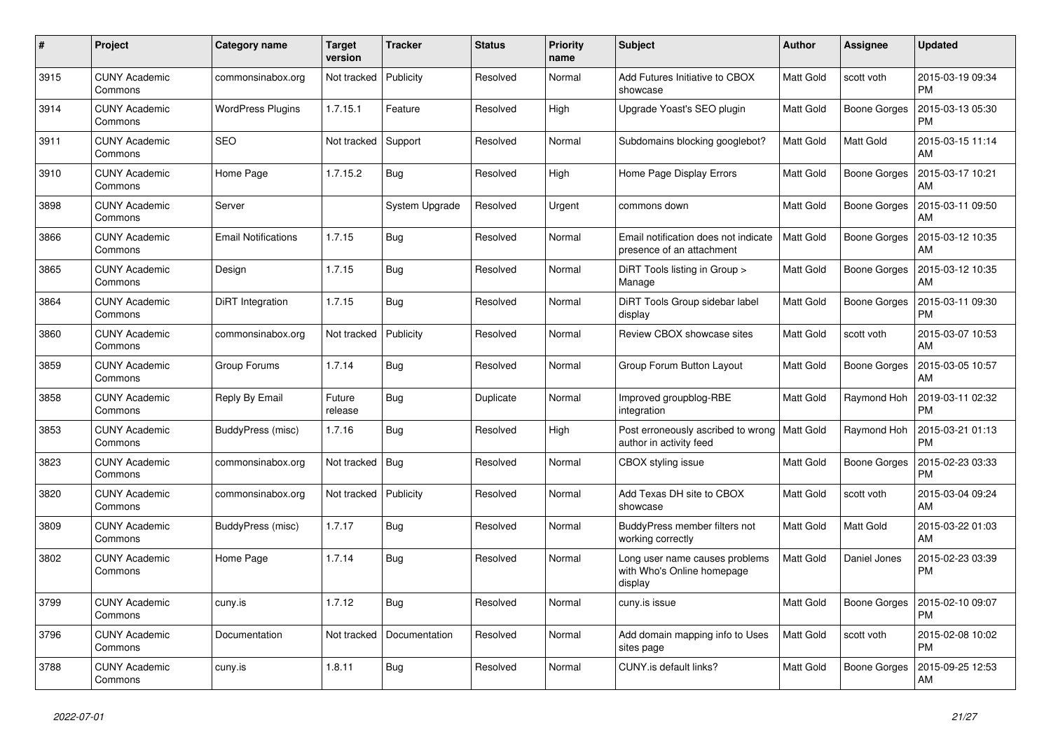| #    | Project                         | Category name              | <b>Target</b><br>version | <b>Tracker</b> | <b>Status</b> | <b>Priority</b><br>name | <b>Subject</b>                                                          | <b>Author</b>    | Assignee            | <b>Updated</b>                |
|------|---------------------------------|----------------------------|--------------------------|----------------|---------------|-------------------------|-------------------------------------------------------------------------|------------------|---------------------|-------------------------------|
| 3915 | <b>CUNY Academic</b><br>Commons | commonsinabox.org          | Not tracked              | Publicity      | Resolved      | Normal                  | Add Futures Initiative to CBOX<br>showcase                              | <b>Matt Gold</b> | scott voth          | 2015-03-19 09:34<br><b>PM</b> |
| 3914 | <b>CUNY Academic</b><br>Commons | <b>WordPress Plugins</b>   | 1.7.15.1                 | Feature        | Resolved      | High                    | Upgrade Yoast's SEO plugin                                              | Matt Gold        | <b>Boone Gorges</b> | 2015-03-13 05:30<br><b>PM</b> |
| 3911 | <b>CUNY Academic</b><br>Commons | <b>SEO</b>                 | Not tracked              | Support        | Resolved      | Normal                  | Subdomains blocking googlebot?                                          | Matt Gold        | Matt Gold           | 2015-03-15 11:14<br>AM        |
| 3910 | <b>CUNY Academic</b><br>Commons | Home Page                  | 1.7.15.2                 | <b>Bug</b>     | Resolved      | High                    | Home Page Display Errors                                                | Matt Gold        | Boone Gorges        | 2015-03-17 10:21<br>AM        |
| 3898 | <b>CUNY Academic</b><br>Commons | Server                     |                          | System Upgrade | Resolved      | Urgent                  | commons down                                                            | Matt Gold        | <b>Boone Gorges</b> | 2015-03-11 09:50<br>AM        |
| 3866 | <b>CUNY Academic</b><br>Commons | <b>Email Notifications</b> | 1.7.15                   | Bug            | Resolved      | Normal                  | Email notification does not indicate<br>presence of an attachment       | <b>Matt Gold</b> | Boone Gorges        | 2015-03-12 10:35<br>AM        |
| 3865 | <b>CUNY Academic</b><br>Commons | Design                     | 1.7.15                   | Bug            | Resolved      | Normal                  | DiRT Tools listing in Group ><br>Manage                                 | <b>Matt Gold</b> | Boone Gorges        | 2015-03-12 10:35<br>AM        |
| 3864 | <b>CUNY Academic</b><br>Commons | DiRT Integration           | 1.7.15                   | Bug            | Resolved      | Normal                  | DiRT Tools Group sidebar label<br>display                               | Matt Gold        | <b>Boone Gorges</b> | 2015-03-11 09:30<br><b>PM</b> |
| 3860 | <b>CUNY Academic</b><br>Commons | commonsinabox.org          | Not tracked              | Publicity      | Resolved      | Normal                  | Review CBOX showcase sites                                              | Matt Gold        | scott voth          | 2015-03-07 10:53<br>AM        |
| 3859 | <b>CUNY Academic</b><br>Commons | Group Forums               | 1.7.14                   | <b>Bug</b>     | Resolved      | Normal                  | Group Forum Button Layout                                               | <b>Matt Gold</b> | Boone Gorges        | 2015-03-05 10:57<br>AM        |
| 3858 | <b>CUNY Academic</b><br>Commons | Reply By Email             | Future<br>release        | Bug            | Duplicate     | Normal                  | Improved groupblog-RBE<br>integration                                   | Matt Gold        | Raymond Hoh         | 2019-03-11 02:32<br><b>PM</b> |
| 3853 | <b>CUNY Academic</b><br>Commons | BuddyPress (misc)          | 1.7.16                   | Bug            | Resolved      | High                    | Post erroneously ascribed to wrong<br>author in activity feed           | Matt Gold        | Raymond Hoh         | 2015-03-21 01:13<br><b>PM</b> |
| 3823 | <b>CUNY Academic</b><br>Commons | commonsinabox.org          | Not tracked              | Bug            | Resolved      | Normal                  | CBOX styling issue                                                      | Matt Gold        | Boone Gorges        | 2015-02-23 03:33<br><b>PM</b> |
| 3820 | <b>CUNY Academic</b><br>Commons | commonsinabox.org          | Not tracked              | Publicity      | Resolved      | Normal                  | Add Texas DH site to CBOX<br>showcase                                   | Matt Gold        | scott voth          | 2015-03-04 09:24<br>AM        |
| 3809 | <b>CUNY Academic</b><br>Commons | BuddyPress (misc)          | 1.7.17                   | Bug            | Resolved      | Normal                  | BuddyPress member filters not<br>working correctly                      | <b>Matt Gold</b> | Matt Gold           | 2015-03-22 01:03<br>AM        |
| 3802 | <b>CUNY Academic</b><br>Commons | Home Page                  | 1.7.14                   | Bug            | Resolved      | Normal                  | Long user name causes problems<br>with Who's Online homepage<br>display | Matt Gold        | Daniel Jones        | 2015-02-23 03:39<br><b>PM</b> |
| 3799 | <b>CUNY Academic</b><br>Commons | cuny.is                    | 1.7.12                   | Bug            | Resolved      | Normal                  | cuny.is issue                                                           | <b>Matt Gold</b> | Boone Gorges        | 2015-02-10 09:07<br><b>PM</b> |
| 3796 | <b>CUNY Academic</b><br>Commons | Documentation              | Not tracked              | Documentation  | Resolved      | Normal                  | Add domain mapping info to Uses<br>sites page                           | <b>Matt Gold</b> | scott voth          | 2015-02-08 10:02<br><b>PM</b> |
| 3788 | <b>CUNY Academic</b><br>Commons | cuny.is                    | 1.8.11                   | <b>Bug</b>     | Resolved      | Normal                  | CUNY.is default links?                                                  | Matt Gold        | <b>Boone Gorges</b> | 2015-09-25 12:53<br>AM        |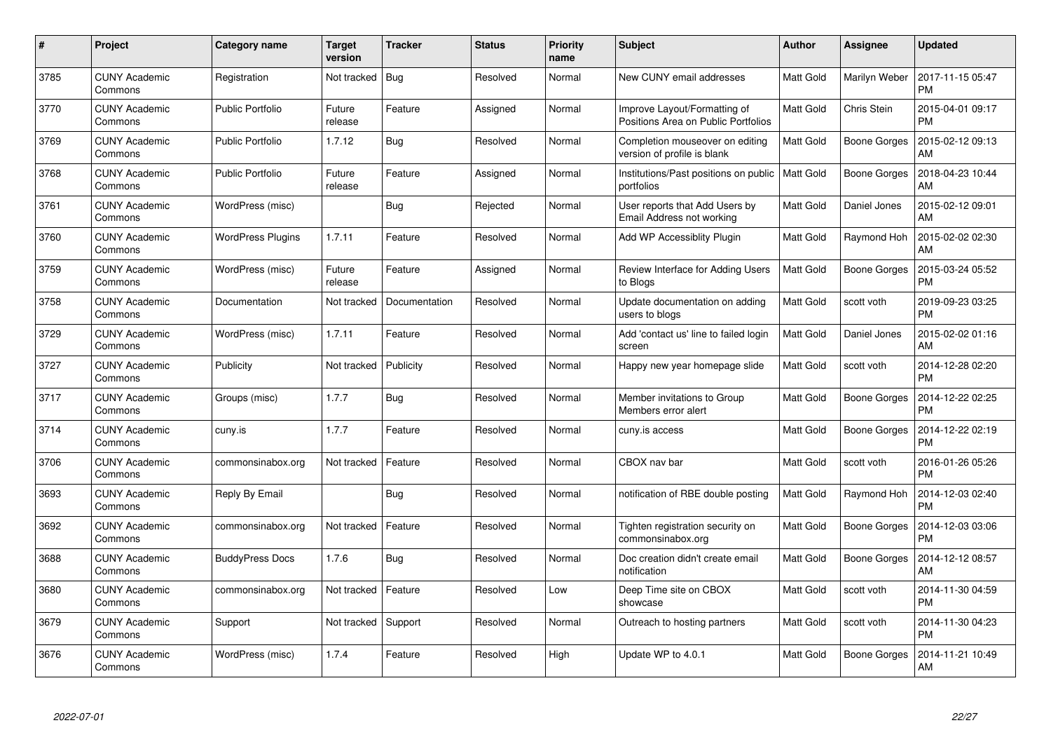| #    | Project                         | Category name            | <b>Target</b><br>version | <b>Tracker</b> | <b>Status</b> | <b>Priority</b><br>name | <b>Subject</b>                                                      | <b>Author</b>    | Assignee            | <b>Updated</b>                |
|------|---------------------------------|--------------------------|--------------------------|----------------|---------------|-------------------------|---------------------------------------------------------------------|------------------|---------------------|-------------------------------|
| 3785 | <b>CUNY Academic</b><br>Commons | Registration             | Not tracked              | Bug            | Resolved      | Normal                  | New CUNY email addresses                                            | Matt Gold        | Marilyn Weber       | 2017-11-15 05:47<br><b>PM</b> |
| 3770 | <b>CUNY Academic</b><br>Commons | <b>Public Portfolio</b>  | Future<br>release        | Feature        | Assigned      | Normal                  | Improve Layout/Formatting of<br>Positions Area on Public Portfolios | <b>Matt Gold</b> | Chris Stein         | 2015-04-01 09:17<br><b>PM</b> |
| 3769 | <b>CUNY Academic</b><br>Commons | <b>Public Portfolio</b>  | 1.7.12                   | Bug            | Resolved      | Normal                  | Completion mouseover on editing<br>version of profile is blank      | Matt Gold        | <b>Boone Gorges</b> | 2015-02-12 09:13<br>AM        |
| 3768 | <b>CUNY Academic</b><br>Commons | <b>Public Portfolio</b>  | Future<br>release        | Feature        | Assigned      | Normal                  | Institutions/Past positions on public<br>portfolios                 | Matt Gold        | Boone Gorges        | 2018-04-23 10:44<br>AM        |
| 3761 | <b>CUNY Academic</b><br>Commons | WordPress (misc)         |                          | Bug            | Rejected      | Normal                  | User reports that Add Users by<br>Email Address not working         | <b>Matt Gold</b> | Daniel Jones        | 2015-02-12 09:01<br>AM        |
| 3760 | <b>CUNY Academic</b><br>Commons | <b>WordPress Plugins</b> | 1.7.11                   | Feature        | Resolved      | Normal                  | Add WP Accessiblity Plugin                                          | Matt Gold        | Raymond Hoh         | 2015-02-02 02:30<br>AM        |
| 3759 | <b>CUNY Academic</b><br>Commons | WordPress (misc)         | Future<br>release        | Feature        | Assigned      | Normal                  | Review Interface for Adding Users<br>to Blogs                       | <b>Matt Gold</b> | <b>Boone Gorges</b> | 2015-03-24 05:52<br><b>PM</b> |
| 3758 | <b>CUNY Academic</b><br>Commons | Documentation            | Not tracked              | Documentation  | Resolved      | Normal                  | Update documentation on adding<br>users to blogs                    | Matt Gold        | scott voth          | 2019-09-23 03:25<br><b>PM</b> |
| 3729 | <b>CUNY Academic</b><br>Commons | WordPress (misc)         | 1.7.11                   | Feature        | Resolved      | Normal                  | Add 'contact us' line to failed login<br>screen                     | <b>Matt Gold</b> | Daniel Jones        | 2015-02-02 01:16<br>AM        |
| 3727 | <b>CUNY Academic</b><br>Commons | Publicity                | Not tracked              | Publicity      | Resolved      | Normal                  | Happy new year homepage slide                                       | Matt Gold        | scott voth          | 2014-12-28 02:20<br><b>PM</b> |
| 3717 | <b>CUNY Academic</b><br>Commons | Groups (misc)            | 1.7.7                    | Bug            | Resolved      | Normal                  | Member invitations to Group<br>Members error alert                  | Matt Gold        | <b>Boone Gorges</b> | 2014-12-22 02:25<br><b>PM</b> |
| 3714 | <b>CUNY Academic</b><br>Commons | cuny.is                  | 1.7.7                    | Feature        | Resolved      | Normal                  | cuny.is access                                                      | Matt Gold        | Boone Gorges        | 2014-12-22 02:19<br><b>PM</b> |
| 3706 | <b>CUNY Academic</b><br>Commons | commonsinabox.org        | Not tracked              | Feature        | Resolved      | Normal                  | CBOX nav bar                                                        | Matt Gold        | scott voth          | 2016-01-26 05:26<br><b>PM</b> |
| 3693 | <b>CUNY Academic</b><br>Commons | Reply By Email           |                          | Bug            | Resolved      | Normal                  | notification of RBE double posting                                  | Matt Gold        | Raymond Hoh         | 2014-12-03 02:40<br><b>PM</b> |
| 3692 | <b>CUNY Academic</b><br>Commons | commonsinabox.org        | Not tracked              | Feature        | Resolved      | Normal                  | Tighten registration security on<br>commonsinabox.org               | Matt Gold        | Boone Gorges        | 2014-12-03 03:06<br><b>PM</b> |
| 3688 | <b>CUNY Academic</b><br>Commons | <b>BuddyPress Docs</b>   | 1.7.6                    | <b>Bug</b>     | Resolved      | Normal                  | Doc creation didn't create email<br>notification                    | Matt Gold        | Boone Gorges        | 2014-12-12 08:57<br>AM        |
| 3680 | <b>CUNY Academic</b><br>Commons | commonsinabox.org        | Not tracked              | Feature        | Resolved      | Low                     | Deep Time site on CBOX<br>showcase                                  | Matt Gold        | scott voth          | 2014-11-30 04:59<br><b>PM</b> |
| 3679 | <b>CUNY Academic</b><br>Commons | Support                  | Not tracked              | Support        | Resolved      | Normal                  | Outreach to hosting partners                                        | Matt Gold        | scott voth          | 2014-11-30 04:23<br><b>PM</b> |
| 3676 | CUNY Academic<br>Commons        | WordPress (misc)         | 1.7.4                    | Feature        | Resolved      | High                    | Update WP to 4.0.1                                                  | <b>Matt Gold</b> | Boone Gorges        | 2014-11-21 10:49<br>AM        |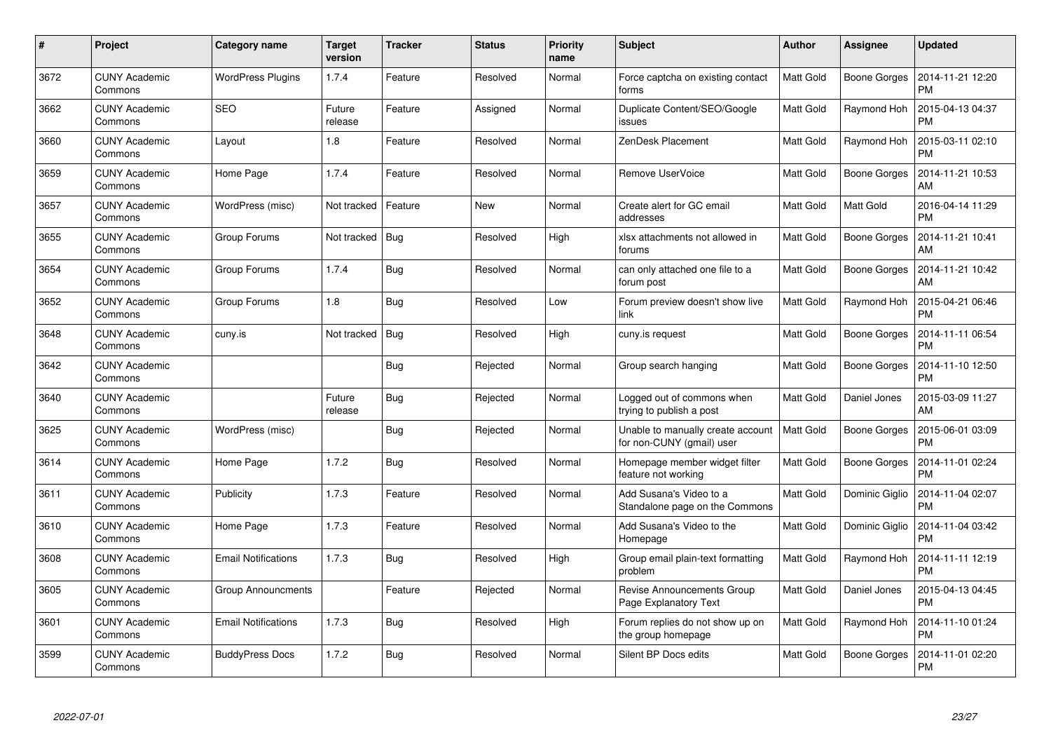| #    | Project                         | Category name              | <b>Target</b><br>version | <b>Tracker</b> | <b>Status</b> | <b>Priority</b><br>name | <b>Subject</b>                                                 | <b>Author</b>    | Assignee            | <b>Updated</b>                |
|------|---------------------------------|----------------------------|--------------------------|----------------|---------------|-------------------------|----------------------------------------------------------------|------------------|---------------------|-------------------------------|
| 3672 | <b>CUNY Academic</b><br>Commons | <b>WordPress Plugins</b>   | 1.7.4                    | Feature        | Resolved      | Normal                  | Force captcha on existing contact<br>forms                     | <b>Matt Gold</b> | <b>Boone Gorges</b> | 2014-11-21 12:20<br><b>PM</b> |
| 3662 | <b>CUNY Academic</b><br>Commons | <b>SEO</b>                 | Future<br>release        | Feature        | Assigned      | Normal                  | Duplicate Content/SEO/Google<br>issues                         | Matt Gold        | Raymond Hoh         | 2015-04-13 04:37<br><b>PM</b> |
| 3660 | <b>CUNY Academic</b><br>Commons | Layout                     | 1.8                      | Feature        | Resolved      | Normal                  | ZenDesk Placement                                              | <b>Matt Gold</b> | Raymond Hoh         | 2015-03-11 02:10<br><b>PM</b> |
| 3659 | <b>CUNY Academic</b><br>Commons | Home Page                  | 1.7.4                    | Feature        | Resolved      | Normal                  | Remove UserVoice                                               | Matt Gold        | Boone Gorges        | 2014-11-21 10:53<br>AM        |
| 3657 | <b>CUNY Academic</b><br>Commons | WordPress (misc)           | Not tracked              | Feature        | <b>New</b>    | Normal                  | Create alert for GC email<br>addresses                         | <b>Matt Gold</b> | Matt Gold           | 2016-04-14 11:29<br><b>PM</b> |
| 3655 | <b>CUNY Academic</b><br>Commons | Group Forums               | Not tracked              | Bug            | Resolved      | High                    | xlsx attachments not allowed in<br>forums                      | Matt Gold        | Boone Gorges        | 2014-11-21 10:41<br>AM        |
| 3654 | <b>CUNY Academic</b><br>Commons | Group Forums               | 1.7.4                    | Bug            | Resolved      | Normal                  | can only attached one file to a<br>forum post                  | Matt Gold        | Boone Gorges        | 2014-11-21 10:42<br>AM        |
| 3652 | <b>CUNY Academic</b><br>Commons | Group Forums               | 1.8                      | Bug            | Resolved      | Low                     | Forum preview doesn't show live<br>link                        | Matt Gold        | Raymond Hoh         | 2015-04-21 06:46<br><b>PM</b> |
| 3648 | <b>CUNY Academic</b><br>Commons | cuny.is                    | Not tracked              | Bug            | Resolved      | High                    | cuny.is request                                                | Matt Gold        | <b>Boone Gorges</b> | 2014-11-11 06:54<br><b>PM</b> |
| 3642 | <b>CUNY Academic</b><br>Commons |                            |                          | <b>Bug</b>     | Rejected      | Normal                  | Group search hanging                                           | Matt Gold        | Boone Gorges        | 2014-11-10 12:50<br><b>PM</b> |
| 3640 | <b>CUNY Academic</b><br>Commons |                            | Future<br>release        | <b>Bug</b>     | Rejected      | Normal                  | Logged out of commons when<br>trying to publish a post         | Matt Gold        | Daniel Jones        | 2015-03-09 11:27<br>AM        |
| 3625 | <b>CUNY Academic</b><br>Commons | WordPress (misc)           |                          | <b>Bug</b>     | Rejected      | Normal                  | Unable to manually create account<br>for non-CUNY (gmail) user | Matt Gold        | <b>Boone Gorges</b> | 2015-06-01 03:09<br><b>PM</b> |
| 3614 | <b>CUNY Academic</b><br>Commons | Home Page                  | 1.7.2                    | Bug            | Resolved      | Normal                  | Homepage member widget filter<br>feature not working           | Matt Gold        | Boone Gorges        | 2014-11-01 02:24<br><b>PM</b> |
| 3611 | <b>CUNY Academic</b><br>Commons | Publicity                  | 1.7.3                    | Feature        | Resolved      | Normal                  | Add Susana's Video to a<br>Standalone page on the Commons      | Matt Gold        | Dominic Giglio      | 2014-11-04 02:07<br><b>PM</b> |
| 3610 | <b>CUNY Academic</b><br>Commons | Home Page                  | 1.7.3                    | Feature        | Resolved      | Normal                  | Add Susana's Video to the<br>Homepage                          | Matt Gold        | Dominic Giglio      | 2014-11-04 03:42<br><b>PM</b> |
| 3608 | <b>CUNY Academic</b><br>Commons | <b>Email Notifications</b> | 1.7.3                    | Bug            | Resolved      | High                    | Group email plain-text formatting<br>problem                   | Matt Gold        | Raymond Hoh         | 2014-11-11 12:19<br><b>PM</b> |
| 3605 | <b>CUNY Academic</b><br>Commons | <b>Group Announcments</b>  |                          | Feature        | Rejected      | Normal                  | <b>Revise Announcements Group</b><br>Page Explanatory Text     | Matt Gold        | Daniel Jones        | 2015-04-13 04:45<br><b>PM</b> |
| 3601 | <b>CUNY Academic</b><br>Commons | <b>Email Notifications</b> | 1.7.3                    | <b>Bug</b>     | Resolved      | High                    | Forum replies do not show up on<br>the group homepage          | Matt Gold        | Raymond Hoh         | 2014-11-10 01:24<br><b>PM</b> |
| 3599 | CUNY Academic<br>Commons        | <b>BuddyPress Docs</b>     | 1.7.2                    | <b>Bug</b>     | Resolved      | Normal                  | Silent BP Docs edits                                           | Matt Gold        | Boone Gorges        | 2014-11-01 02:20<br><b>PM</b> |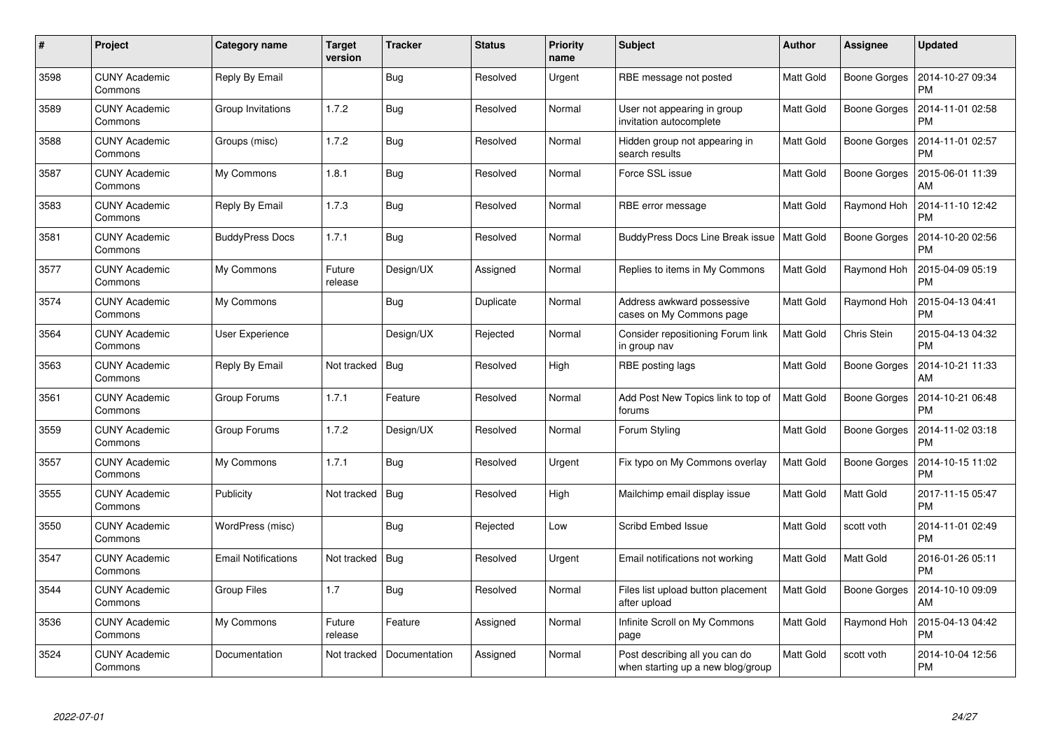| #    | Project                         | Category name              | <b>Target</b><br>version | <b>Tracker</b> | <b>Status</b> | <b>Priority</b><br>name | <b>Subject</b>                                                      | <b>Author</b>    | Assignee            | <b>Updated</b>                |
|------|---------------------------------|----------------------------|--------------------------|----------------|---------------|-------------------------|---------------------------------------------------------------------|------------------|---------------------|-------------------------------|
| 3598 | <b>CUNY Academic</b><br>Commons | Reply By Email             |                          | Bug            | Resolved      | Urgent                  | RBE message not posted                                              | <b>Matt Gold</b> | <b>Boone Gorges</b> | 2014-10-27 09:34<br><b>PM</b> |
| 3589 | <b>CUNY Academic</b><br>Commons | Group Invitations          | 1.7.2                    | Bug            | Resolved      | Normal                  | User not appearing in group<br>invitation autocomplete              | Matt Gold        | Boone Gorges        | 2014-11-01 02:58<br><b>PM</b> |
| 3588 | <b>CUNY Academic</b><br>Commons | Groups (misc)              | 1.7.2                    | Bug            | Resolved      | Normal                  | Hidden group not appearing in<br>search results                     | <b>Matt Gold</b> | <b>Boone Gorges</b> | 2014-11-01 02:57<br><b>PM</b> |
| 3587 | <b>CUNY Academic</b><br>Commons | My Commons                 | 1.8.1                    | Bug            | Resolved      | Normal                  | Force SSL issue                                                     | Matt Gold        | Boone Gorges        | 2015-06-01 11:39<br>AM        |
| 3583 | <b>CUNY Academic</b><br>Commons | Reply By Email             | 1.7.3                    | Bug            | Resolved      | Normal                  | RBE error message                                                   | <b>Matt Gold</b> | Raymond Hoh         | 2014-11-10 12:42<br><b>PM</b> |
| 3581 | <b>CUNY Academic</b><br>Commons | <b>BuddyPress Docs</b>     | 1.7.1                    | <b>Bug</b>     | Resolved      | Normal                  | <b>BuddyPress Docs Line Break issue</b>                             | Matt Gold        | <b>Boone Gorges</b> | 2014-10-20 02:56<br><b>PM</b> |
| 3577 | <b>CUNY Academic</b><br>Commons | My Commons                 | Future<br>release        | Design/UX      | Assigned      | Normal                  | Replies to items in My Commons                                      | <b>Matt Gold</b> | Raymond Hoh         | 2015-04-09 05:19<br><b>PM</b> |
| 3574 | <b>CUNY Academic</b><br>Commons | My Commons                 |                          | <b>Bug</b>     | Duplicate     | Normal                  | Address awkward possessive<br>cases on My Commons page              | Matt Gold        | Raymond Hoh         | 2015-04-13 04:41<br><b>PM</b> |
| 3564 | <b>CUNY Academic</b><br>Commons | <b>User Experience</b>     |                          | Design/UX      | Rejected      | Normal                  | Consider repositioning Forum link<br>in group nav                   | <b>Matt Gold</b> | Chris Stein         | 2015-04-13 04:32<br><b>PM</b> |
| 3563 | <b>CUNY Academic</b><br>Commons | Reply By Email             | Not tracked              | Bug            | Resolved      | High                    | RBE posting lags                                                    | Matt Gold        | <b>Boone Gorges</b> | 2014-10-21 11:33<br>AM        |
| 3561 | <b>CUNY Academic</b><br>Commons | Group Forums               | 1.7.1                    | Feature        | Resolved      | Normal                  | Add Post New Topics link to top of<br>forums                        | <b>Matt Gold</b> | <b>Boone Gorges</b> | 2014-10-21 06:48<br><b>PM</b> |
| 3559 | <b>CUNY Academic</b><br>Commons | Group Forums               | 1.7.2                    | Design/UX      | Resolved      | Normal                  | Forum Styling                                                       | Matt Gold        | <b>Boone Gorges</b> | 2014-11-02 03:18<br><b>PM</b> |
| 3557 | <b>CUNY Academic</b><br>Commons | My Commons                 | 1.7.1                    | Bug            | Resolved      | Urgent                  | Fix typo on My Commons overlay                                      | Matt Gold        | <b>Boone Gorges</b> | 2014-10-15 11:02<br><b>PM</b> |
| 3555 | <b>CUNY Academic</b><br>Commons | Publicity                  | Not tracked              | <b>Bug</b>     | Resolved      | High                    | Mailchimp email display issue                                       | Matt Gold        | Matt Gold           | 2017-11-15 05:47<br><b>PM</b> |
| 3550 | <b>CUNY Academic</b><br>Commons | WordPress (misc)           |                          | <b>Bug</b>     | Rejected      | Low                     | Scribd Embed Issue                                                  | Matt Gold        | scott voth          | 2014-11-01 02:49<br><b>PM</b> |
| 3547 | <b>CUNY Academic</b><br>Commons | <b>Email Notifications</b> | Not tracked              | Bug            | Resolved      | Urgent                  | Email notifications not working                                     | Matt Gold        | Matt Gold           | 2016-01-26 05:11<br><b>PM</b> |
| 3544 | <b>CUNY Academic</b><br>Commons | <b>Group Files</b>         | 1.7                      | Bug            | Resolved      | Normal                  | Files list upload button placement<br>after upload                  | <b>Matt Gold</b> | Boone Gorges        | 2014-10-10 09:09<br>AM        |
| 3536 | <b>CUNY Academic</b><br>Commons | My Commons                 | Future<br>release        | Feature        | Assigned      | Normal                  | Infinite Scroll on My Commons<br>page                               | Matt Gold        | Raymond Hoh         | 2015-04-13 04:42<br><b>PM</b> |
| 3524 | CUNY Academic<br>Commons        | Documentation              | Not tracked              | Documentation  | Assigned      | Normal                  | Post describing all you can do<br>when starting up a new blog/group | Matt Gold        | scott voth          | 2014-10-04 12:56<br><b>PM</b> |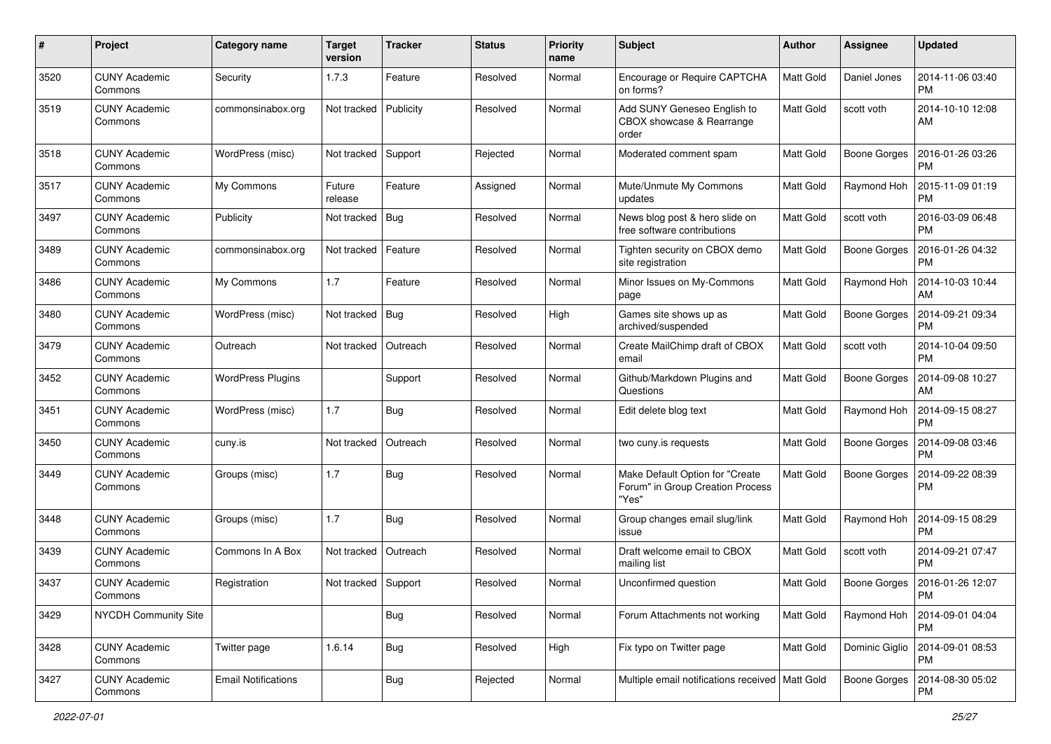| #    | Project                         | Category name              | <b>Target</b><br>version | <b>Tracker</b> | <b>Status</b> | <b>Priority</b><br>name | Subject                                                                      | Author           | Assignee            | <b>Updated</b>                |
|------|---------------------------------|----------------------------|--------------------------|----------------|---------------|-------------------------|------------------------------------------------------------------------------|------------------|---------------------|-------------------------------|
| 3520 | <b>CUNY Academic</b><br>Commons | Security                   | 1.7.3                    | Feature        | Resolved      | Normal                  | Encourage or Require CAPTCHA<br>on forms?                                    | <b>Matt Gold</b> | Daniel Jones        | 2014-11-06 03:40<br><b>PM</b> |
| 3519 | <b>CUNY Academic</b><br>Commons | commonsinabox.org          | Not tracked              | Publicity      | Resolved      | Normal                  | Add SUNY Geneseo English to<br>CBOX showcase & Rearrange<br>order            | <b>Matt Gold</b> | scott voth          | 2014-10-10 12:08<br>AM        |
| 3518 | <b>CUNY Academic</b><br>Commons | WordPress (misc)           | Not tracked              | Support        | Rejected      | Normal                  | Moderated comment spam                                                       | Matt Gold        | <b>Boone Gorges</b> | 2016-01-26 03:26<br><b>PM</b> |
| 3517 | <b>CUNY Academic</b><br>Commons | My Commons                 | Future<br>release        | Feature        | Assigned      | Normal                  | Mute/Unmute My Commons<br>updates                                            | <b>Matt Gold</b> | Raymond Hoh         | 2015-11-09 01:19<br><b>PM</b> |
| 3497 | <b>CUNY Academic</b><br>Commons | Publicity                  | Not tracked              | Bug            | Resolved      | Normal                  | News blog post & hero slide on<br>free software contributions                | Matt Gold        | scott voth          | 2016-03-09 06:48<br><b>PM</b> |
| 3489 | <b>CUNY Academic</b><br>Commons | commonsinabox.org          | Not tracked              | Feature        | Resolved      | Normal                  | Tighten security on CBOX demo<br>site registration                           | Matt Gold        | <b>Boone Gorges</b> | 2016-01-26 04:32<br><b>PM</b> |
| 3486 | <b>CUNY Academic</b><br>Commons | My Commons                 | 1.7                      | Feature        | Resolved      | Normal                  | Minor Issues on My-Commons<br>page                                           | <b>Matt Gold</b> | Raymond Hoh         | 2014-10-03 10:44<br>AM        |
| 3480 | <b>CUNY Academic</b><br>Commons | WordPress (misc)           | Not tracked              | Bug            | Resolved      | High                    | Games site shows up as<br>archived/suspended                                 | <b>Matt Gold</b> | <b>Boone Gorges</b> | 2014-09-21 09:34<br>PM        |
| 3479 | <b>CUNY Academic</b><br>Commons | Outreach                   | Not tracked              | Outreach       | Resolved      | Normal                  | Create MailChimp draft of CBOX<br>email                                      | Matt Gold        | scott voth          | 2014-10-04 09:50<br><b>PM</b> |
| 3452 | <b>CUNY Academic</b><br>Commons | <b>WordPress Plugins</b>   |                          | Support        | Resolved      | Normal                  | Github/Markdown Plugins and<br>Questions                                     | Matt Gold        | <b>Boone Gorges</b> | 2014-09-08 10:27<br>AM        |
| 3451 | <b>CUNY Academic</b><br>Commons | WordPress (misc)           | 1.7                      | <b>Bug</b>     | Resolved      | Normal                  | Edit delete blog text                                                        | <b>Matt Gold</b> | Raymond Hoh         | 2014-09-15 08:27<br><b>PM</b> |
| 3450 | <b>CUNY Academic</b><br>Commons | cuny.is                    | Not tracked              | Outreach       | Resolved      | Normal                  | two cuny is requests                                                         | Matt Gold        | <b>Boone Gorges</b> | 2014-09-08 03:46<br><b>PM</b> |
| 3449 | <b>CUNY Academic</b><br>Commons | Groups (misc)              | 1.7                      | <b>Bug</b>     | Resolved      | Normal                  | Make Default Option for "Create<br>Forum" in Group Creation Process<br>"Yes" | <b>Matt Gold</b> | <b>Boone Gorges</b> | 2014-09-22 08:39<br><b>PM</b> |
| 3448 | <b>CUNY Academic</b><br>Commons | Groups (misc)              | 1.7                      | <b>Bug</b>     | Resolved      | Normal                  | Group changes email slug/link<br>issue                                       | Matt Gold        | Raymond Hoh         | 2014-09-15 08:29<br><b>PM</b> |
| 3439 | <b>CUNY Academic</b><br>Commons | Commons In A Box           | Not tracked              | Outreach       | Resolved      | Normal                  | Draft welcome email to CBOX<br>mailing list                                  | Matt Gold        | scott voth          | 2014-09-21 07:47<br><b>PM</b> |
| 3437 | <b>CUNY Academic</b><br>Commons | Registration               | Not tracked              | Support        | Resolved      | Normal                  | Unconfirmed question                                                         | Matt Gold        | <b>Boone Gorges</b> | 2016-01-26 12:07<br>PM        |
| 3429 | NYCDH Community Site            |                            |                          | <b>Bug</b>     | Resolved      | Normal                  | Forum Attachments not working                                                | Matt Gold        | Raymond Hoh         | 2014-09-01 04:04<br><b>PM</b> |
| 3428 | <b>CUNY Academic</b><br>Commons | Twitter page               | 1.6.14                   | <b>Bug</b>     | Resolved      | High                    | Fix typo on Twitter page                                                     | Matt Gold        | Dominic Giglio      | 2014-09-01 08:53<br>PM        |
| 3427 | <b>CUNY Academic</b><br>Commons | <b>Email Notifications</b> |                          | <b>Bug</b>     | Rejected      | Normal                  | Multiple email notifications received   Matt Gold                            |                  | <b>Boone Gorges</b> | 2014-08-30 05:02<br>PM        |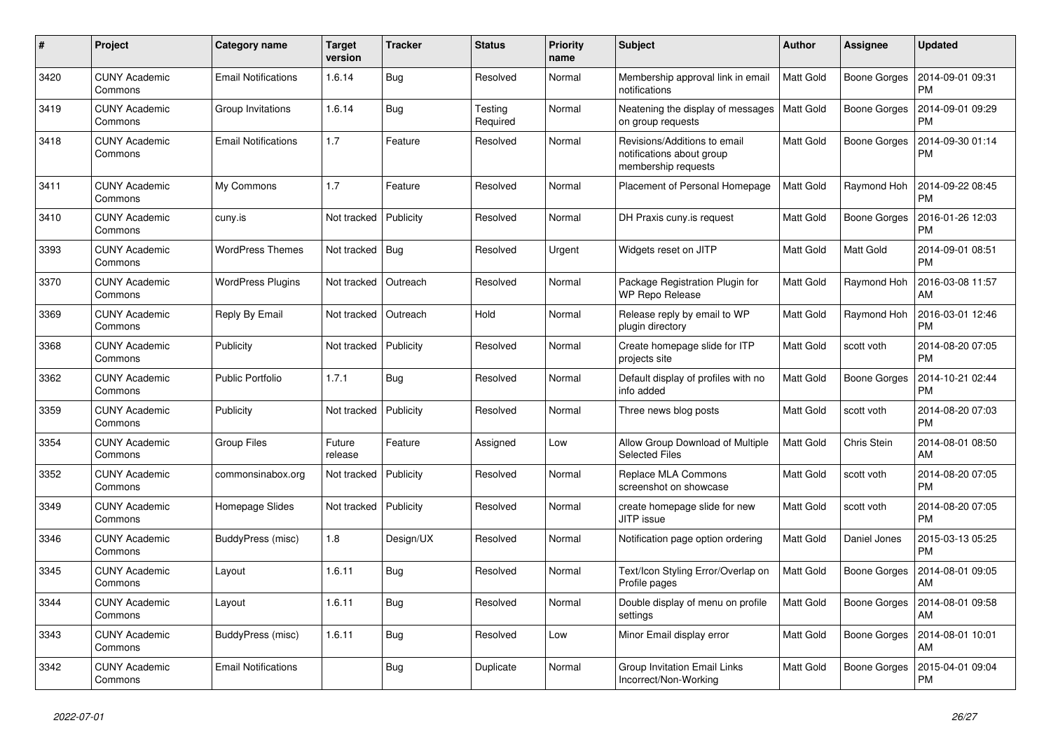| $\pmb{\#}$ | Project                         | Category name              | <b>Target</b><br>version | <b>Tracker</b> | <b>Status</b>       | <b>Priority</b><br>name | <b>Subject</b>                                                                   | <b>Author</b>    | Assignee            | <b>Updated</b>                |
|------------|---------------------------------|----------------------------|--------------------------|----------------|---------------------|-------------------------|----------------------------------------------------------------------------------|------------------|---------------------|-------------------------------|
| 3420       | <b>CUNY Academic</b><br>Commons | <b>Email Notifications</b> | 1.6.14                   | Bug            | Resolved            | Normal                  | Membership approval link in email<br>notifications                               | <b>Matt Gold</b> | <b>Boone Gorges</b> | 2014-09-01 09:31<br><b>PM</b> |
| 3419       | <b>CUNY Academic</b><br>Commons | Group Invitations          | 1.6.14                   | <b>Bug</b>     | Testing<br>Required | Normal                  | Neatening the display of messages<br>on group requests                           | <b>Matt Gold</b> | <b>Boone Gorges</b> | 2014-09-01 09:29<br><b>PM</b> |
| 3418       | <b>CUNY Academic</b><br>Commons | <b>Email Notifications</b> | 1.7                      | Feature        | Resolved            | Normal                  | Revisions/Additions to email<br>notifications about group<br>membership requests | Matt Gold        | <b>Boone Gorges</b> | 2014-09-30 01:14<br><b>PM</b> |
| 3411       | <b>CUNY Academic</b><br>Commons | My Commons                 | 1.7                      | Feature        | Resolved            | Normal                  | Placement of Personal Homepage                                                   | <b>Matt Gold</b> | Raymond Hoh         | 2014-09-22 08:45<br><b>PM</b> |
| 3410       | <b>CUNY Academic</b><br>Commons | cuny.is                    | Not tracked              | Publicity      | Resolved            | Normal                  | DH Praxis cuny is request                                                        | <b>Matt Gold</b> | <b>Boone Gorges</b> | 2016-01-26 12:03<br><b>PM</b> |
| 3393       | CUNY Academic<br>Commons        | <b>WordPress Themes</b>    | Not tracked              | Bug            | Resolved            | Urgent                  | Widgets reset on JITP                                                            | Matt Gold        | Matt Gold           | 2014-09-01 08:51<br><b>PM</b> |
| 3370       | <b>CUNY Academic</b><br>Commons | <b>WordPress Plugins</b>   | Not tracked              | Outreach       | Resolved            | Normal                  | Package Registration Plugin for<br><b>WP Repo Release</b>                        | <b>Matt Gold</b> | Raymond Hoh         | 2016-03-08 11:57<br>AM        |
| 3369       | <b>CUNY Academic</b><br>Commons | Reply By Email             | Not tracked              | Outreach       | Hold                | Normal                  | Release reply by email to WP<br>plugin directory                                 | Matt Gold        | Raymond Hoh         | 2016-03-01 12:46<br><b>PM</b> |
| 3368       | <b>CUNY Academic</b><br>Commons | Publicity                  | Not tracked              | Publicity      | Resolved            | Normal                  | Create homepage slide for ITP<br>projects site                                   | Matt Gold        | scott voth          | 2014-08-20 07:05<br><b>PM</b> |
| 3362       | <b>CUNY Academic</b><br>Commons | <b>Public Portfolio</b>    | 1.7.1                    | <b>Bug</b>     | Resolved            | Normal                  | Default display of profiles with no<br>info added                                | <b>Matt Gold</b> | <b>Boone Gorges</b> | 2014-10-21 02:44<br><b>PM</b> |
| 3359       | <b>CUNY Academic</b><br>Commons | Publicity                  | Not tracked              | Publicity      | Resolved            | Normal                  | Three news blog posts                                                            | <b>Matt Gold</b> | scott voth          | 2014-08-20 07:03<br><b>PM</b> |
| 3354       | <b>CUNY Academic</b><br>Commons | <b>Group Files</b>         | Future<br>release        | Feature        | Assigned            | Low                     | Allow Group Download of Multiple<br><b>Selected Files</b>                        | <b>Matt Gold</b> | Chris Stein         | 2014-08-01 08:50<br>AM        |
| 3352       | <b>CUNY Academic</b><br>Commons | commonsinabox.org          | Not tracked              | Publicity      | Resolved            | Normal                  | Replace MLA Commons<br>screenshot on showcase                                    | Matt Gold        | scott voth          | 2014-08-20 07:05<br><b>PM</b> |
| 3349       | <b>CUNY Academic</b><br>Commons | Homepage Slides            | Not tracked              | Publicity      | Resolved            | Normal                  | create homepage slide for new<br>JITP issue                                      | <b>Matt Gold</b> | scott voth          | 2014-08-20 07:05<br><b>PM</b> |
| 3346       | <b>CUNY Academic</b><br>Commons | BuddyPress (misc)          | 1.8                      | Design/UX      | Resolved            | Normal                  | Notification page option ordering                                                | Matt Gold        | Daniel Jones        | 2015-03-13 05:25<br><b>PM</b> |
| 3345       | <b>CUNY Academic</b><br>Commons | Layout                     | 1.6.11                   | <b>Bug</b>     | Resolved            | Normal                  | Text/Icon Styling Error/Overlap on<br>Profile pages                              | Matt Gold        | <b>Boone Gorges</b> | 2014-08-01 09:05<br>AM        |
| 3344       | <b>CUNY Academic</b><br>Commons | Layout                     | 1.6.11                   | Bug            | Resolved            | Normal                  | Double display of menu on profile<br>settings                                    | <b>Matt Gold</b> | Boone Gorges        | 2014-08-01 09:58<br>AM        |
| 3343       | <b>CUNY Academic</b><br>Commons | BuddyPress (misc)          | 1.6.11                   | Bug            | Resolved            | Low                     | Minor Email display error                                                        | <b>Matt Gold</b> | Boone Gorges        | 2014-08-01 10:01<br>AM        |
| 3342       | <b>CUNY Academic</b><br>Commons | <b>Email Notifications</b> |                          | <b>Bug</b>     | Duplicate           | Normal                  | Group Invitation Email Links<br>Incorrect/Non-Working                            | Matt Gold        | <b>Boone Gorges</b> | 2015-04-01 09:04<br><b>PM</b> |